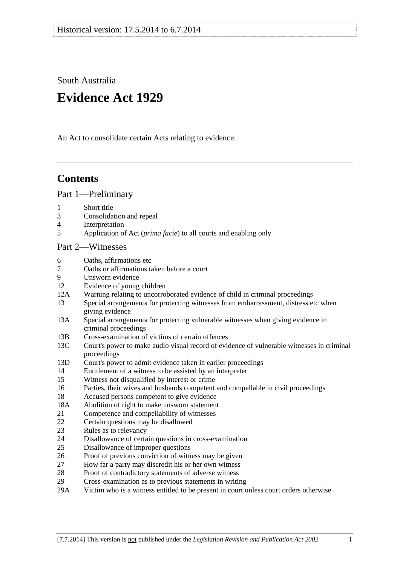South Australia

# **Evidence Act 1929**

An Act to consolidate certain Acts relating to evidence.

# **Contents**

[Part 1—Preliminary](#page-6-0)

- [1 Short title](#page-6-0)
- [3 Consolidation and repeal](#page-6-0)
- [4 Interpretation](#page-6-0)
- [5 Application of Act \(](#page-8-0)*prima facie*) to all courts and enabling only

## [Part 2—Witnesses](#page-10-0)

- [6 Oaths, affirmations etc](#page-10-0)
- [7 Oaths or affirmations taken before a court](#page-10-0)
- [9 Unsworn evidence](#page-10-0)
- [12 Evidence of young children](#page-11-0)
- [12A Warning relating to uncorroborated evidence of child in criminal proceedings](#page-11-0)
- [13 Special arrangements for protecting witnesses from embarrassment, distress etc when](#page-11-0)  [giving evidence](#page-11-0)
- [13A Special arrangements for protecting vulnerable witnesses when giving evidence in](#page-13-0)  [criminal proceedings](#page-13-0)
- [13B Cross-examination of victims of certain offences](#page-15-0)
- [13C Court's power to make audio visual record of evidence of vulnerable witnesses in criminal](#page-16-0)  [proceedings](#page-16-0)
- [13D Court's power to admit evidence taken in earlier proceedings](#page-17-0)
- [14 Entitlement of a witness to be assisted by an interpreter](#page-18-0)
- [15 Witness not disqualified by interest or crime](#page-18-0)
- [16 Parties, their wives and husbands competent and compellable in civil proceedings](#page-18-0)
- [18 Accused persons competent to give evidence](#page-18-0)
- [18A Abolition of right to make unsworn statement](#page-19-0)
- [21 Competence and compellability of witnesses](#page-20-0)
- [22 Certain questions may be disallowed](#page-21-0)
- [23 Rules as to relevancy](#page-21-0)
- [24 Disallowance of certain questions in cross-examination](#page-21-0)
- [25 Disallowance of improper questions](#page-21-0)
- [26 Proof of previous conviction of witness may be given](#page-22-0)
- [27 How far a party may discredit his or her own witness](#page-22-0)
- [28 Proof of contradictory statements of adverse witness](#page-23-0)
- [29 Cross-examination as to previous statements in writing](#page-23-0)
- [29A Victim who is a witness entitled to be present in court unless court orders otherwise](#page-23-0)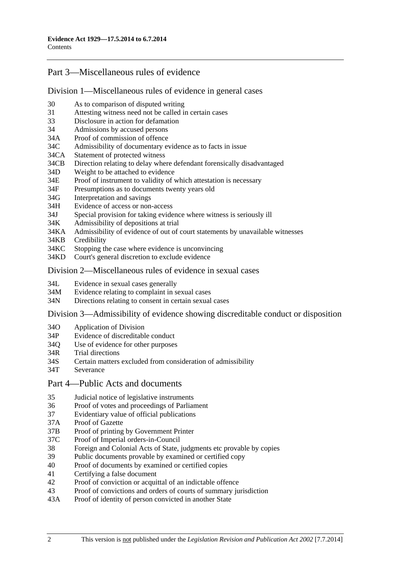## [Part 3—Miscellaneous rules of evidence](#page-24-0)

#### [Division 1—Miscellaneous rules of evidence in general cases](#page-24-0)

- [30 As to comparison of disputed writing](#page-24-0)
- [31 Attesting witness need not be called in certain cases](#page-24-0)
- [33 Disclosure in action for defamation](#page-24-0)
- [34 Admissions by accused persons](#page-24-0)
- [34A Proof of commission of offence](#page-24-0)
- [34C Admissibility of documentary evidence as to facts in issue](#page-24-0)
- [34CA Statement of protected witness](#page-26-0)
- [34CB Direction relating to delay where defendant forensically disadvantaged](#page-26-0)
- [34D Weight to be attached to evidence](#page-27-0)
- [34E Proof of instrument to validity of which attestation is necessary](#page-27-0)
- [34F Presumptions as to documents twenty years old](#page-27-0)
- [34G Interpretation and savings](#page-27-0)
- [34H Evidence of access or non-access](#page-28-0)
- [34J Special provision for taking evidence where witness is seriously ill](#page-28-0)
- [34K Admissibility of depositions at trial](#page-28-0)
- [34KA Admissibility of evidence of out of court statements by unavailable witnesses](#page-28-0)
- [34KB Credibility](#page-30-0)
- [34KC Stopping the case where evidence is unconvincing](#page-30-0)
- [34KD Court's general discretion to exclude evidence](#page-31-0)

#### [Division 2—Miscellaneous rules of evidence in sexual cases](#page-31-0)

- [34L Evidence in sexual cases generally](#page-31-0)
- [34M Evidence relating to complaint in sexual cases](#page-32-0)
- [34N Directions relating to consent in certain sexual cases](#page-33-0)

#### [Division 3—Admissibility of evidence showing discreditable conduct or disposition](#page-34-0)

- [34O Application of Division](#page-34-0)
- [34P Evidence of discreditable conduct](#page-34-0)
- [34Q Use of evidence for other purposes](#page-35-0)
- [34R Trial directions](#page-35-0)
- [34S Certain matters excluded from consideration of admissibility](#page-35-0)
- [34T Severance](#page-35-0)
- [Part 4—Public Acts and documents](#page-36-0)
- [35 Judicial notice of legislative instruments](#page-36-0)
- [36 Proof of votes and proceedings of Parliament](#page-36-0)
- [37 Evidentiary value of official publications](#page-36-0)
- [37A Proof of Gazette](#page-36-0)
- [37B Proof of printing by Government Printer](#page-36-0)
- [37C Proof of Imperial orders-in-Council](#page-37-0)
- [38 Foreign and Colonial Acts of State, judgments etc provable by copies](#page-37-0)
- [39 Public documents provable by examined or certified copy](#page-37-0)
- [40 Proof of documents by examined or certified copies](#page-38-0)
- [41 Certifying a false document](#page-38-0)
- [42 Proof of conviction or acquittal of an indictable offence](#page-38-0)
- [43 Proof of convictions and orders of courts of summary jurisdiction](#page-38-0)
- [43A Proof of identity of person convicted in another State](#page-39-0)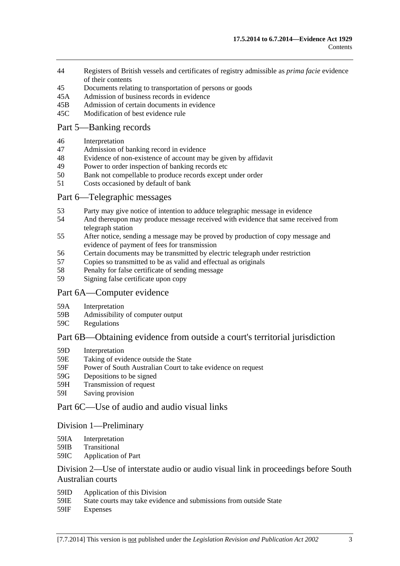- [44 Registers of British vessels and certificates of registry admissible as](#page-39-0) *prima facie* evidence of their contents
- [45 Documents relating to transportation of persons or goods](#page-39-0)
- [45A Admission of business records in evidence](#page-40-0)
- [45B Admission of certain documents in evidence](#page-41-0)
- [45C Modification of best evidence rule](#page-41-0)

### [Part 5—Banking records](#page-44-0)

- [46 Interpretation](#page-44-0)
- [47 Admission of banking record in evidence](#page-44-0)
- [48 Evidence of non-existence of account may be given by affidavit](#page-44-0)
- [49 Power to order inspection of banking records etc](#page-45-0)
- [50 Bank not compellable to produce records except under order](#page-46-0)
- [51 Costs occasioned by default of bank](#page-46-0)

### [Part 6—Telegraphic messages](#page-48-0)

- [53 Party may give notice of intention to adduce telegraphic message in evidence](#page-48-0)
- [54 And thereupon may produce message received with evidence that same received from](#page-48-0)  [telegraph station](#page-48-0)
- [55 After notice, sending a message may be proved by production of copy message and](#page-48-0)  [evidence of payment of fees for transmission](#page-48-0)
- [56 Certain documents may be transmitted by electric telegraph under restriction](#page-49-0)
- [57 Copies so transmitted to be as valid and effectual as originals](#page-50-0)
- [58 Penalty for false certificate of sending message](#page-50-0)
- [59 Signing false certificate upon copy](#page-50-0)

#### [Part 6A—Computer evidence](#page-52-0)

- [59A Interpretation](#page-52-0)
- [59B Admissibility of computer output](#page-52-0)
- [59C Regulations](#page-53-0)

## [Part 6B—Obtaining evidence from outside a court's territorial jurisdiction](#page-54-0)

- [59D Interpretation](#page-54-0)
- [59E Taking of evidence outside the State](#page-54-0)
- [59F Power of South Australian Court to take evidence on request](#page-55-0)
- [59G Depositions to be signed](#page-55-0)
- [59H Transmission of request](#page-55-0)
- [59I Saving provision](#page-56-0)

## [Part 6C—Use of audio and audio visual links](#page-58-0)

#### [Division 1—Preliminary](#page-58-0)

- [59IA Interpretation](#page-58-0)
- [59IB Transitional](#page-58-0)
- [59IC Application of Part](#page-58-0)

## [Division 2—Use of interstate audio or audio visual link in proceedings before South](#page-59-0)  [Australian courts](#page-59-0)

- [59ID Application of this Division](#page-59-0)
- [59IE State courts may take evidence and submissions from outside State](#page-59-0)
- [59IF Expenses](#page-59-0)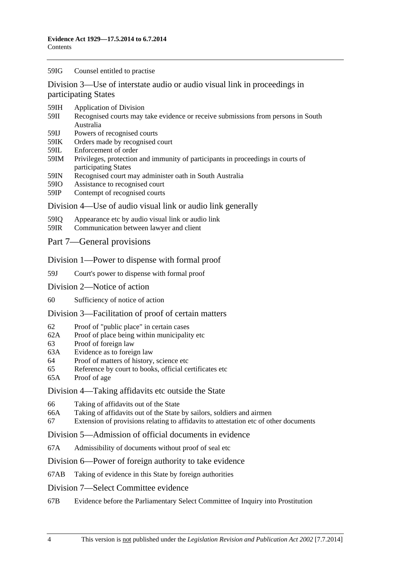#### [59IG Counsel entitled to practise](#page-59-0)

[Division 3—Use of interstate audio or audio visual link in proceedings in](#page-60-0)  [participating States](#page-60-0)

- [59IH Application of Division](#page-60-0)
- [59II Recognised courts may take evidence or receive submissions from persons in South](#page-60-0)  [Australia](#page-60-0)
- [59IJ Powers of recognised courts](#page-60-0)
- [59IK Orders made by recognised court](#page-60-0)
- [59IL Enforcement of order](#page-60-0)
- [59IM Privileges, protection and immunity of participants in proceedings in courts of](#page-61-0)  [participating States](#page-61-0)
- [59IN Recognised court may administer oath in South Australia](#page-61-0)
- [59IO Assistance to recognised court](#page-61-0)
- [59IP Contempt of recognised courts](#page-61-0)

#### [Division 4—Use of audio visual link or audio link generally](#page-62-0)

- [59IQ Appearance etc by audio visual link or audio link](#page-62-0)
- [59IR Communication between lawyer and client](#page-63-0)
- [Part 7—General provisions](#page-66-0)

#### [Division 1—Power to dispense with formal proof](#page-66-0)

- [59J Court's power to dispense with formal proof](#page-66-0)
- [Division 2—Notice of action](#page-66-0)
- [60 Sufficiency of notice of action](#page-66-0)

#### [Division 3—Facilitation of proof of certain matters](#page-66-0)

- [62 Proof of "public place" in certain cases](#page-66-0)
- [62A Proof of place being within municipality etc](#page-66-0)
- [63 Proof of foreign law](#page-67-0)
- [63A Evidence as to foreign law](#page-67-0)
- [64 Proof of matters of history, science etc](#page-67-0)
- [65 Reference by court to books, official certificates etc](#page-67-0)
- [65A Proof of age](#page-68-0)

#### [Division 4—Taking affidavits etc outside the State](#page-68-0)

- [66 Taking of affidavits out of the State](#page-68-0)
- [66A Taking of affidavits out of the State by sailors, soldiers and airmen](#page-69-0)
- [67 Extension of provisions relating to affidavits to attestation etc of other documents](#page-70-0)

#### [Division 5—Admission of official documents in evidence](#page-70-0)

[67A Admissibility of documents without proof of seal etc](#page-70-0)

#### [Division 6—Power of foreign authority to take evidence](#page-71-0)

[67AB Taking of evidence in this State by foreign authorities](#page-71-0) 

#### [Division 7—Select Committee evidence](#page-71-0)

[67B Evidence before the Parliamentary Select Committee of Inquiry into Prostitution](#page-71-0)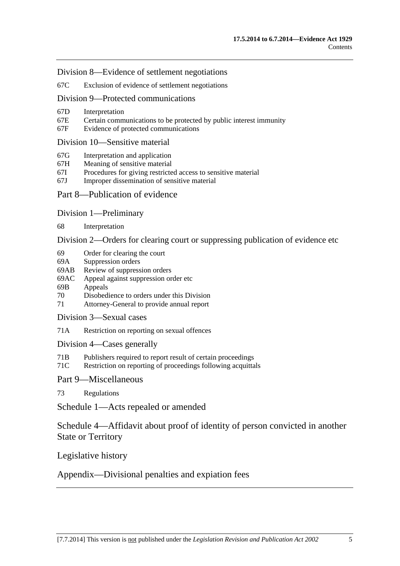[Division 8—Evidence of settlement negotiations](#page-72-0) 

[67C Exclusion of evidence of settlement negotiations](#page-72-0) 

[Division 9—Protected communications](#page-73-0) 

- [67D Interpretation](#page-73-0)
- [67E Certain communications to be protected by public interest immunity](#page-73-0)
- [67F Evidence of protected communications](#page-74-0)

#### [Division 10—Sensitive material](#page-75-0)

- [67G Interpretation and application](#page-75-0)
- [67H Meaning of sensitive material](#page-77-0)
- [67I Procedures for giving restricted access to sensitive material](#page-77-0)
- [67J Improper dissemination of sensitive material](#page-78-0)

### [Part 8—Publication of evidence](#page-80-0)

[Division 1—Preliminary](#page-80-0)

[68 Interpretation](#page-80-0) 

[Division 2—Orders for clearing court or suppressing publication of evidence etc](#page-80-0) 

- [69 Order for clearing the court](#page-80-0)
- [69A Suppression orders](#page-81-0)
- [69AB Review of suppression orders](#page-83-0)
- [69AC Appeal against suppression order etc](#page-84-0)
- [69B Appeals](#page-84-0)
- [70 Disobedience to orders under this Division](#page-85-0)
- [71 Attorney-General to provide annual report](#page-85-0)
- [Division 3—Sexual cases](#page-86-0)
- [71A Restriction on reporting on sexual offences](#page-86-0)

[Division 4—Cases generally](#page-88-0) 

- [71B Publishers required to report result of certain proceedings](#page-88-0)
- [71C Restriction on reporting of proceedings following acquittals](#page-89-0)
- [Part 9—Miscellaneous](#page-90-0)

[73 Regulations](#page-90-0)

[Schedule 1—Acts repealed or amended](#page-92-0) 

[Schedule 4—Affidavit about proof of identity of person convicted in another](#page-93-0)  [State or Territory](#page-93-0)

[Legislative history](#page-94-0) 

[Appendix—Divisional penalties and expiation fees](#page-106-0)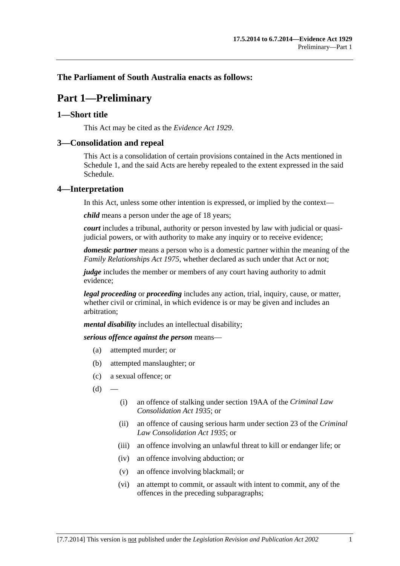## <span id="page-6-0"></span>**The Parliament of South Australia enacts as follows:**

# **Part 1—Preliminary**

### **1—Short title**

This Act may be cited as the *Evidence Act 1929*.

## **3—Consolidation and repeal**

This Act is a consolidation of certain provisions contained in the Acts mentioned in [Schedule 1,](#page-92-0) and the said Acts are hereby repealed to the extent expressed in the said Schedule.

## **4—Interpretation**

In this Act, unless some other intention is expressed, or implied by the context—

*child* means a person under the age of 18 years;

*court* includes a tribunal, authority or person invested by law with judicial or quasijudicial powers, or with authority to make any inquiry or to receive evidence;

*domestic partner* means a person who is a domestic partner within the meaning of the *[Family Relationships Act 1975](http://www.legislation.sa.gov.au/index.aspx?action=legref&type=act&legtitle=Family%20Relationships%20Act%201975)*, whether declared as such under that Act or not;

*judge* includes the member or members of any court having authority to admit evidence;

*legal proceeding* or *proceeding* includes any action, trial, inquiry, cause, or matter, whether civil or criminal, in which evidence is or may be given and includes an arbitration;

*mental disability* includes an intellectual disability;

*serious offence against the person* means—

- (a) attempted murder; or
- (b) attempted manslaughter; or
- (c) a sexual offence; or
- $(d)$
- (i) an offence of stalking under section 19AA of the *[Criminal Law](http://www.legislation.sa.gov.au/index.aspx?action=legref&type=act&legtitle=Criminal%20Law%20Consolidation%20Act%201935)  [Consolidation Act 1935](http://www.legislation.sa.gov.au/index.aspx?action=legref&type=act&legtitle=Criminal%20Law%20Consolidation%20Act%201935)*; or
- (ii) an offence of causing serious harm under section 23 of the *[Criminal](http://www.legislation.sa.gov.au/index.aspx?action=legref&type=act&legtitle=Criminal%20Law%20Consolidation%20Act%201935)  [Law Consolidation Act 1935](http://www.legislation.sa.gov.au/index.aspx?action=legref&type=act&legtitle=Criminal%20Law%20Consolidation%20Act%201935)*; or
- (iii) an offence involving an unlawful threat to kill or endanger life; or
- (iv) an offence involving abduction; or
- (v) an offence involving blackmail; or
- (vi) an attempt to commit, or assault with intent to commit, any of the offences in the preceding subparagraphs;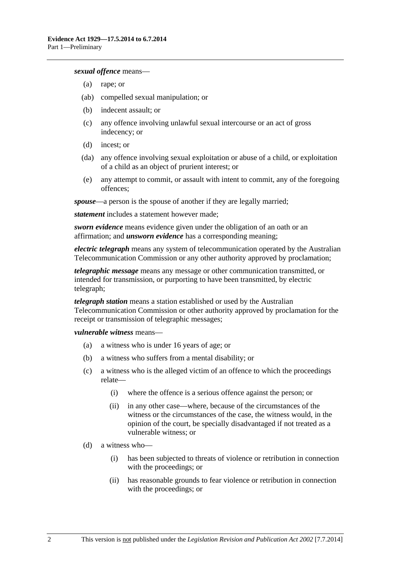#### *sexual offence* means—

- (a) rape; or
- (ab) compelled sexual manipulation; or
- (b) indecent assault; or
- (c) any offence involving unlawful sexual intercourse or an act of gross indecency; or
- (d) incest; or
- (da) any offence involving sexual exploitation or abuse of a child, or exploitation of a child as an object of prurient interest; or
- (e) any attempt to commit, or assault with intent to commit, any of the foregoing offences;

*spouse*—a person is the spouse of another if they are legally married;

*statement* includes a statement however made;

*sworn evidence* means evidence given under the obligation of an oath or an affirmation; and *unsworn evidence* has a corresponding meaning;

*electric telegraph* means any system of telecommunication operated by the Australian Telecommunication Commission or any other authority approved by proclamation;

*telegraphic message* means any message or other communication transmitted, or intended for transmission, or purporting to have been transmitted, by electric telegraph;

*telegraph station* means a station established or used by the Australian Telecommunication Commission or other authority approved by proclamation for the receipt or transmission of telegraphic messages;

*vulnerable witness* means—

- (a) a witness who is under 16 years of age; or
- (b) a witness who suffers from a mental disability; or
- (c) a witness who is the alleged victim of an offence to which the proceedings relate—
	- (i) where the offence is a serious offence against the person; or
	- (ii) in any other case—where, because of the circumstances of the witness or the circumstances of the case, the witness would, in the opinion of the court, be specially disadvantaged if not treated as a vulnerable witness; or
- (d) a witness who—
	- (i) has been subjected to threats of violence or retribution in connection with the proceedings; or
	- (ii) has reasonable grounds to fear violence or retribution in connection with the proceedings; or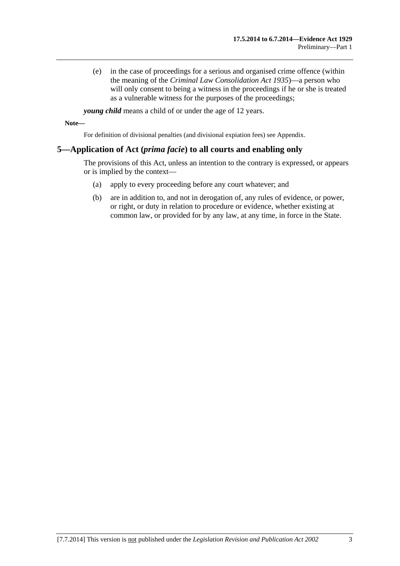<span id="page-8-0"></span> (e) in the case of proceedings for a serious and organised crime offence (within the meaning of the *[Criminal Law Consolidation Act 1935](http://www.legislation.sa.gov.au/index.aspx?action=legref&type=act&legtitle=Criminal%20Law%20Consolidation%20Act%201935)*)—a person who will only consent to being a witness in the proceedings if he or she is treated as a vulnerable witness for the purposes of the proceedings;

*young child* means a child of or under the age of 12 years.

**Note—** 

For definition of divisional penalties (and divisional expiation fees) see Appendix.

## **5—Application of Act (***prima facie***) to all courts and enabling only**

The provisions of this Act, unless an intention to the contrary is expressed, or appears or is implied by the context—

- (a) apply to every proceeding before any court whatever; and
- (b) are in addition to, and not in derogation of, any rules of evidence, or power, or right, or duty in relation to procedure or evidence, whether existing at common law, or provided for by any law, at any time, in force in the State.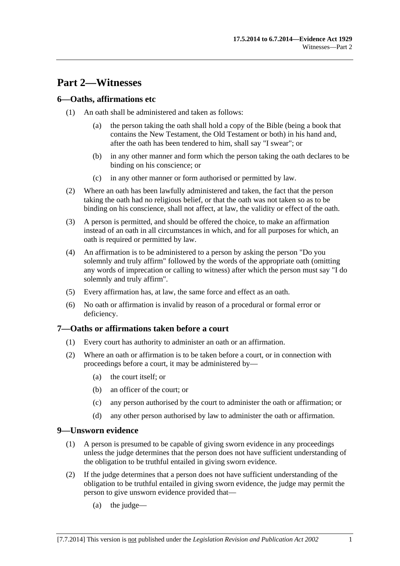# <span id="page-10-0"></span>**Part 2—Witnesses**

## **6—Oaths, affirmations etc**

- (1) An oath shall be administered and taken as follows:
	- (a) the person taking the oath shall hold a copy of the Bible (being a book that contains the New Testament, the Old Testament or both) in his hand and, after the oath has been tendered to him, shall say "I swear"; or
	- (b) in any other manner and form which the person taking the oath declares to be binding on his conscience; or
	- (c) in any other manner or form authorised or permitted by law.
- (2) Where an oath has been lawfully administered and taken, the fact that the person taking the oath had no religious belief, or that the oath was not taken so as to be binding on his conscience, shall not affect, at law, the validity or effect of the oath.
- (3) A person is permitted, and should be offered the choice, to make an affirmation instead of an oath in all circumstances in which, and for all purposes for which, an oath is required or permitted by law.
- (4) An affirmation is to be administered to a person by asking the person "Do you solemnly and truly affirm" followed by the words of the appropriate oath (omitting any words of imprecation or calling to witness) after which the person must say "I do solemnly and truly affirm".
- (5) Every affirmation has, at law, the same force and effect as an oath.
- (6) No oath or affirmation is invalid by reason of a procedural or formal error or deficiency.

## **7—Oaths or affirmations taken before a court**

- (1) Every court has authority to administer an oath or an affirmation.
- (2) Where an oath or affirmation is to be taken before a court, or in connection with proceedings before a court, it may be administered by—
	- (a) the court itself; or
	- (b) an officer of the court; or
	- (c) any person authorised by the court to administer the oath or affirmation; or
	- (d) any other person authorised by law to administer the oath or affirmation.

## **9—Unsworn evidence**

- (1) A person is presumed to be capable of giving sworn evidence in any proceedings unless the judge determines that the person does not have sufficient understanding of the obligation to be truthful entailed in giving sworn evidence.
- (2) If the judge determines that a person does not have sufficient understanding of the obligation to be truthful entailed in giving sworn evidence, the judge may permit the person to give unsworn evidence provided that—
	- (a) the judge—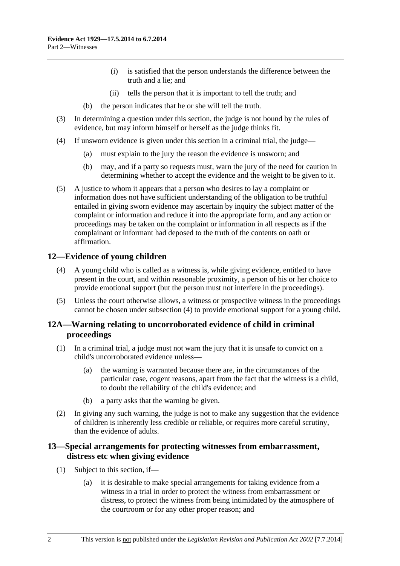- (i) is satisfied that the person understands the difference between the truth and a lie; and
- (ii) tells the person that it is important to tell the truth; and
- (b) the person indicates that he or she will tell the truth.
- <span id="page-11-0"></span> (3) In determining a question under this section, the judge is not bound by the rules of evidence, but may inform himself or herself as the judge thinks fit.
- (4) If unsworn evidence is given under this section in a criminal trial, the judge—
	- (a) must explain to the jury the reason the evidence is unsworn; and
	- (b) may, and if a party so requests must, warn the jury of the need for caution in determining whether to accept the evidence and the weight to be given to it.
- (5) A justice to whom it appears that a person who desires to lay a complaint or information does not have sufficient understanding of the obligation to be truthful entailed in giving sworn evidence may ascertain by inquiry the subject matter of the complaint or information and reduce it into the appropriate form, and any action or proceedings may be taken on the complaint or information in all respects as if the complainant or informant had deposed to the truth of the contents on oath or affirmation.

## **12—Evidence of young children**

- (4) A young child who is called as a witness is, while giving evidence, entitled to have present in the court, and within reasonable proximity, a person of his or her choice to provide emotional support (but the person must not interfere in the proceedings).
- (5) Unless the court otherwise allows, a witness or prospective witness in the proceedings cannot be chosen under [subsection \(4\)](#page-11-0) to provide emotional support for a young child.

## **12A—Warning relating to uncorroborated evidence of child in criminal proceedings**

- (1) In a criminal trial, a judge must not warn the jury that it is unsafe to convict on a child's uncorroborated evidence unless—
	- (a) the warning is warranted because there are, in the circumstances of the particular case, cogent reasons, apart from the fact that the witness is a child, to doubt the reliability of the child's evidence; and
	- (b) a party asks that the warning be given.
- (2) In giving any such warning, the judge is not to make any suggestion that the evidence of children is inherently less credible or reliable, or requires more careful scrutiny, than the evidence of adults.

## **13—Special arrangements for protecting witnesses from embarrassment, distress etc when giving evidence**

- (1) Subject to this section, if—
	- (a) it is desirable to make special arrangements for taking evidence from a witness in a trial in order to protect the witness from embarrassment or distress, to protect the witness from being intimidated by the atmosphere of the courtroom or for any other proper reason; and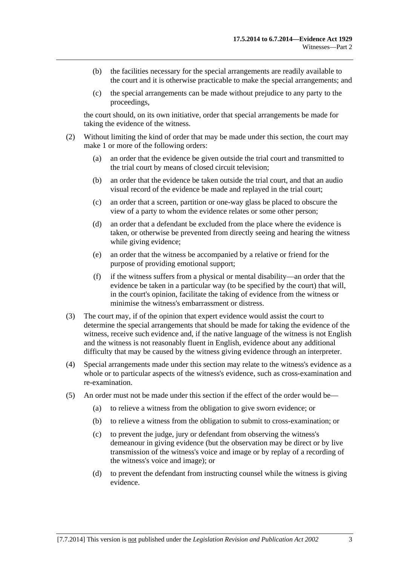- (b) the facilities necessary for the special arrangements are readily available to the court and it is otherwise practicable to make the special arrangements; and
- (c) the special arrangements can be made without prejudice to any party to the proceedings,

the court should, on its own initiative, order that special arrangements be made for taking the evidence of the witness.

- (2) Without limiting the kind of order that may be made under this section, the court may make 1 or more of the following orders:
	- (a) an order that the evidence be given outside the trial court and transmitted to the trial court by means of closed circuit television;
	- (b) an order that the evidence be taken outside the trial court, and that an audio visual record of the evidence be made and replayed in the trial court;
	- (c) an order that a screen, partition or one-way glass be placed to obscure the view of a party to whom the evidence relates or some other person;
	- (d) an order that a defendant be excluded from the place where the evidence is taken, or otherwise be prevented from directly seeing and hearing the witness while giving evidence;
	- (e) an order that the witness be accompanied by a relative or friend for the purpose of providing emotional support;
	- (f) if the witness suffers from a physical or mental disability—an order that the evidence be taken in a particular way (to be specified by the court) that will, in the court's opinion, facilitate the taking of evidence from the witness or minimise the witness's embarrassment or distress.
- (3) The court may, if of the opinion that expert evidence would assist the court to determine the special arrangements that should be made for taking the evidence of the witness, receive such evidence and, if the native language of the witness is not English and the witness is not reasonably fluent in English, evidence about any additional difficulty that may be caused by the witness giving evidence through an interpreter.
- (4) Special arrangements made under this section may relate to the witness's evidence as a whole or to particular aspects of the witness's evidence, such as cross-examination and re-examination.
- (5) An order must not be made under this section if the effect of the order would be—
	- (a) to relieve a witness from the obligation to give sworn evidence; or
	- (b) to relieve a witness from the obligation to submit to cross-examination; or
	- (c) to prevent the judge, jury or defendant from observing the witness's demeanour in giving evidence (but the observation may be direct or by live transmission of the witness's voice and image or by replay of a recording of the witness's voice and image); or
	- (d) to prevent the defendant from instructing counsel while the witness is giving evidence.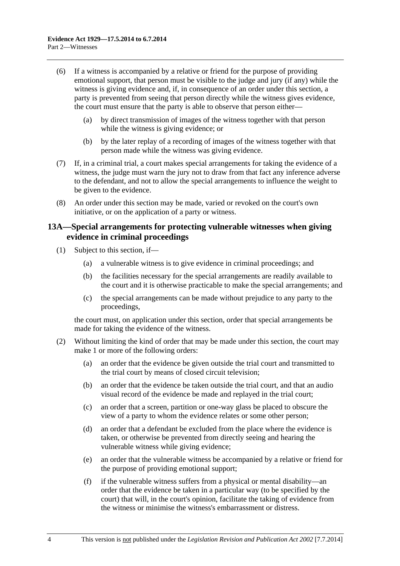- <span id="page-13-0"></span> (6) If a witness is accompanied by a relative or friend for the purpose of providing emotional support, that person must be visible to the judge and jury (if any) while the witness is giving evidence and, if, in consequence of an order under this section, a party is prevented from seeing that person directly while the witness gives evidence, the court must ensure that the party is able to observe that person either—
	- (a) by direct transmission of images of the witness together with that person while the witness is giving evidence; or
	- (b) by the later replay of a recording of images of the witness together with that person made while the witness was giving evidence.
- (7) If, in a criminal trial, a court makes special arrangements for taking the evidence of a witness, the judge must warn the jury not to draw from that fact any inference adverse to the defendant, and not to allow the special arrangements to influence the weight to be given to the evidence.
- (8) An order under this section may be made, varied or revoked on the court's own initiative, or on the application of a party or witness.

## **13A—Special arrangements for protecting vulnerable witnesses when giving evidence in criminal proceedings**

- (1) Subject to this section, if—
	- (a) a vulnerable witness is to give evidence in criminal proceedings; and
	- (b) the facilities necessary for the special arrangements are readily available to the court and it is otherwise practicable to make the special arrangements; and
	- (c) the special arrangements can be made without prejudice to any party to the proceedings,

the court must, on application under this section, order that special arrangements be made for taking the evidence of the witness.

- (2) Without limiting the kind of order that may be made under this section, the court may make 1 or more of the following orders:
	- (a) an order that the evidence be given outside the trial court and transmitted to the trial court by means of closed circuit television;
	- (b) an order that the evidence be taken outside the trial court, and that an audio visual record of the evidence be made and replayed in the trial court;
	- (c) an order that a screen, partition or one-way glass be placed to obscure the view of a party to whom the evidence relates or some other person;
	- (d) an order that a defendant be excluded from the place where the evidence is taken, or otherwise be prevented from directly seeing and hearing the vulnerable witness while giving evidence;
	- (e) an order that the vulnerable witness be accompanied by a relative or friend for the purpose of providing emotional support;
	- (f) if the vulnerable witness suffers from a physical or mental disability—an order that the evidence be taken in a particular way (to be specified by the court) that will, in the court's opinion, facilitate the taking of evidence from the witness or minimise the witness's embarrassment or distress.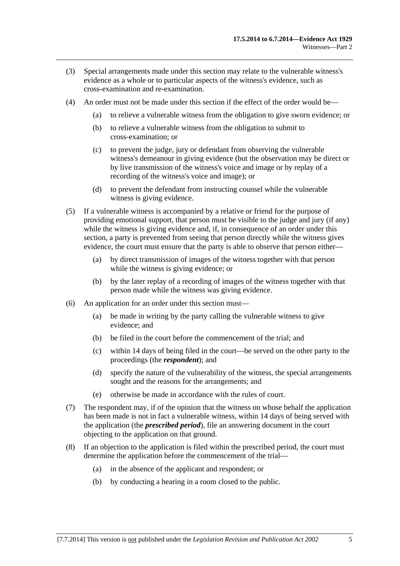- (3) Special arrangements made under this section may relate to the vulnerable witness's evidence as a whole or to particular aspects of the witness's evidence, such as cross-examination and re-examination.
- (4) An order must not be made under this section if the effect of the order would be—
	- (a) to relieve a vulnerable witness from the obligation to give sworn evidence; or
	- (b) to relieve a vulnerable witness from the obligation to submit to cross-examination; or
	- (c) to prevent the judge, jury or defendant from observing the vulnerable witness's demeanour in giving evidence (but the observation may be direct or by live transmission of the witness's voice and image or by replay of a recording of the witness's voice and image); or
	- (d) to prevent the defendant from instructing counsel while the vulnerable witness is giving evidence.
- (5) If a vulnerable witness is accompanied by a relative or friend for the purpose of providing emotional support, that person must be visible to the judge and jury (if any) while the witness is giving evidence and, if, in consequence of an order under this section, a party is prevented from seeing that person directly while the witness gives evidence, the court must ensure that the party is able to observe that person either—
	- (a) by direct transmission of images of the witness together with that person while the witness is giving evidence; or
	- (b) by the later replay of a recording of images of the witness together with that person made while the witness was giving evidence.
- (6) An application for an order under this section must—
	- (a) be made in writing by the party calling the vulnerable witness to give evidence; and
	- $(b)$  be filed in the court before the commencement of the trial; and
	- (c) within 14 days of being filed in the court—be served on the other party to the proceedings (the *respondent*); and
	- (d) specify the nature of the vulnerability of the witness, the special arrangements sought and the reasons for the arrangements; and
	- (e) otherwise be made in accordance with the rules of court.
- (7) The respondent may, if of the opinion that the witness on whose behalf the application has been made is not in fact a vulnerable witness, within 14 days of being served with the application (the *prescribed period*), file an answering document in the court objecting to the application on that ground.
- (8) If an objection to the application is filed within the prescribed period, the court must determine the application before the commencement of the trial—
	- (a) in the absence of the applicant and respondent; or
	- (b) by conducting a hearing in a room closed to the public.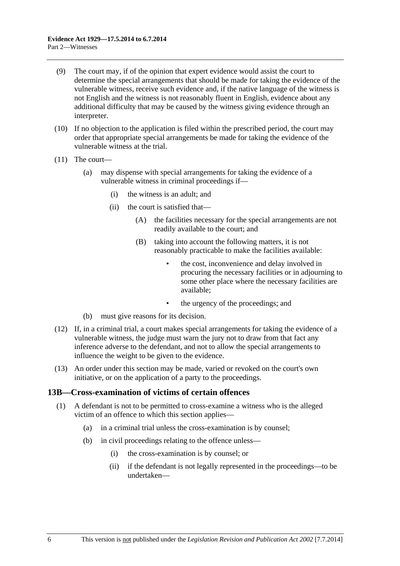- <span id="page-15-0"></span> (9) The court may, if of the opinion that expert evidence would assist the court to determine the special arrangements that should be made for taking the evidence of the vulnerable witness, receive such evidence and, if the native language of the witness is not English and the witness is not reasonably fluent in English, evidence about any additional difficulty that may be caused by the witness giving evidence through an interpreter.
- (10) If no objection to the application is filed within the prescribed period, the court may order that appropriate special arrangements be made for taking the evidence of the vulnerable witness at the trial.
- (11) The court—
	- (a) may dispense with special arrangements for taking the evidence of a vulnerable witness in criminal proceedings if—
		- (i) the witness is an adult; and
		- (ii) the court is satisfied that—
			- (A) the facilities necessary for the special arrangements are not readily available to the court; and
			- (B) taking into account the following matters, it is not reasonably practicable to make the facilities available:
				- the cost, inconvenience and delay involved in procuring the necessary facilities or in adjourning to some other place where the necessary facilities are available;
				- the urgency of the proceedings; and
	- (b) must give reasons for its decision.
- (12) If, in a criminal trial, a court makes special arrangements for taking the evidence of a vulnerable witness, the judge must warn the jury not to draw from that fact any inference adverse to the defendant, and not to allow the special arrangements to influence the weight to be given to the evidence.
- (13) An order under this section may be made, varied or revoked on the court's own initiative, or on the application of a party to the proceedings.

#### **13B—Cross-examination of victims of certain offences**

- (1) A defendant is not to be permitted to cross-examine a witness who is the alleged victim of an offence to which this section applies—
	- (a) in a criminal trial unless the cross-examination is by counsel;
	- (b) in civil proceedings relating to the offence unless—
		- (i) the cross-examination is by counsel; or
		- (ii) if the defendant is not legally represented in the proceedings—to be undertaken—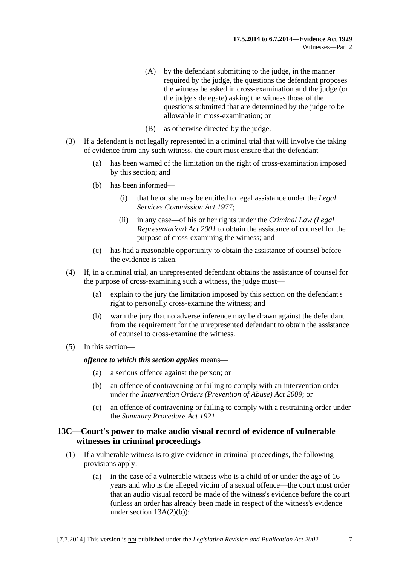- (A) by the defendant submitting to the judge, in the manner required by the judge, the questions the defendant proposes the witness be asked in cross-examination and the judge (or the judge's delegate) asking the witness those of the questions submitted that are determined by the judge to be allowable in cross-examination; or
- (B) as otherwise directed by the judge.
- <span id="page-16-0"></span> (3) If a defendant is not legally represented in a criminal trial that will involve the taking of evidence from any such witness, the court must ensure that the defendant—
	- (a) has been warned of the limitation on the right of cross-examination imposed by this section; and
	- (b) has been informed—
		- (i) that he or she may be entitled to legal assistance under the *[Legal](http://www.legislation.sa.gov.au/index.aspx?action=legref&type=act&legtitle=Legal%20Services%20Commission%20Act%201977)  [Services Commission Act 1977](http://www.legislation.sa.gov.au/index.aspx?action=legref&type=act&legtitle=Legal%20Services%20Commission%20Act%201977)*;
		- (ii) in any case—of his or her rights under the *[Criminal Law \(Legal](http://www.legislation.sa.gov.au/index.aspx?action=legref&type=act&legtitle=Criminal%20Law%20(Legal%20Representation)%20Act%202001)  [Representation\) Act 2001](http://www.legislation.sa.gov.au/index.aspx?action=legref&type=act&legtitle=Criminal%20Law%20(Legal%20Representation)%20Act%202001)* to obtain the assistance of counsel for the purpose of cross-examining the witness; and
	- (c) has had a reasonable opportunity to obtain the assistance of counsel before the evidence is taken.
- (4) If, in a criminal trial, an unrepresented defendant obtains the assistance of counsel for the purpose of cross-examining such a witness, the judge must—
	- (a) explain to the jury the limitation imposed by this section on the defendant's right to personally cross-examine the witness; and
	- (b) warn the jury that no adverse inference may be drawn against the defendant from the requirement for the unrepresented defendant to obtain the assistance of counsel to cross-examine the witness.
- (5) In this section—

*offence to which this section applies* means—

- (a) a serious offence against the person; or
- (b) an offence of contravening or failing to comply with an intervention order under the *[Intervention Orders \(Prevention of Abuse\) Act 2009](http://www.legislation.sa.gov.au/index.aspx?action=legref&type=act&legtitle=Intervention%20Orders%20(Prevention%20of%20Abuse)%20Act%202009)*; or
- (c) an offence of contravening or failing to comply with a restraining order under the *[Summary Procedure Act 1921](http://www.legislation.sa.gov.au/index.aspx?action=legref&type=act&legtitle=Summary%20Procedure%20Act%201921)*.

## **13C—Court's power to make audio visual record of evidence of vulnerable witnesses in criminal proceedings**

- (1) If a vulnerable witness is to give evidence in criminal proceedings, the following provisions apply:
	- (a) in the case of a vulnerable witness who is a child of or under the age of 16 years and who is the alleged victim of a sexual offence—the court must order that an audio visual record be made of the witness's evidence before the court (unless an order has already been made in respect of the witness's evidence under section  $13A(2)(b)$ ;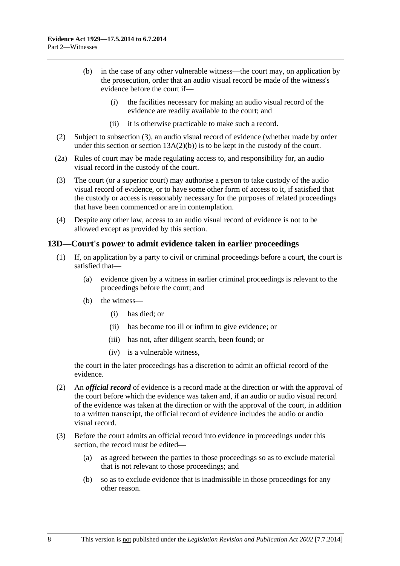- <span id="page-17-0"></span> (b) in the case of any other vulnerable witness—the court may, on application by the prosecution, order that an audio visual record be made of the witness's evidence before the court if—
	- (i) the facilities necessary for making an audio visual record of the evidence are readily available to the court; and
	- (ii) it is otherwise practicable to make such a record.
- (2) Subject to [subsection \(3\),](#page-17-0) an audio visual record of evidence (whether made by order under this section or section  $13A(2)(b)$  is to be kept in the custody of the court.
- (2a) Rules of court may be made regulating access to, and responsibility for, an audio visual record in the custody of the court.
- (3) The court (or a superior court) may authorise a person to take custody of the audio visual record of evidence, or to have some other form of access to it, if satisfied that the custody or access is reasonably necessary for the purposes of related proceedings that have been commenced or are in contemplation.
- (4) Despite any other law, access to an audio visual record of evidence is not to be allowed except as provided by this section.

## **13D—Court's power to admit evidence taken in earlier proceedings**

- (1) If, on application by a party to civil or criminal proceedings before a court, the court is satisfied that—
	- (a) evidence given by a witness in earlier criminal proceedings is relevant to the proceedings before the court; and
	- (b) the witness—
		- (i) has died; or
		- (ii) has become too ill or infirm to give evidence; or
		- (iii) has not, after diligent search, been found; or
		- (iv) is a vulnerable witness,

the court in the later proceedings has a discretion to admit an official record of the evidence.

- (2) An *official record* of evidence is a record made at the direction or with the approval of the court before which the evidence was taken and, if an audio or audio visual record of the evidence was taken at the direction or with the approval of the court, in addition to a written transcript, the official record of evidence includes the audio or audio visual record.
- (3) Before the court admits an official record into evidence in proceedings under this section, the record must be edited—
	- (a) as agreed between the parties to those proceedings so as to exclude material that is not relevant to those proceedings; and
	- (b) so as to exclude evidence that is inadmissible in those proceedings for any other reason.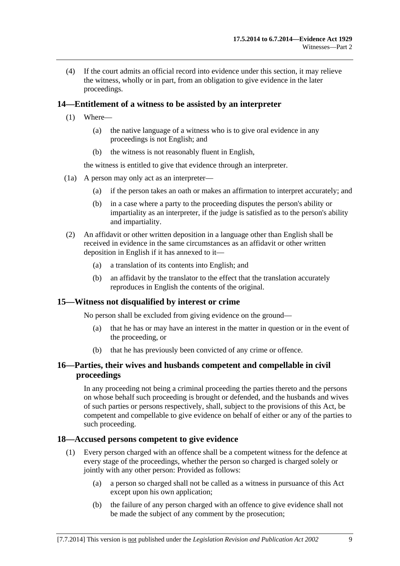<span id="page-18-0"></span> (4) If the court admits an official record into evidence under this section, it may relieve the witness, wholly or in part, from an obligation to give evidence in the later proceedings.

## **14—Entitlement of a witness to be assisted by an interpreter**

- (1) Where—
	- (a) the native language of a witness who is to give oral evidence in any proceedings is not English; and
	- (b) the witness is not reasonably fluent in English,

the witness is entitled to give that evidence through an interpreter.

- (1a) A person may only act as an interpreter—
	- (a) if the person takes an oath or makes an affirmation to interpret accurately; and
	- (b) in a case where a party to the proceeding disputes the person's ability or impartiality as an interpreter, if the judge is satisfied as to the person's ability and impartiality.
- (2) An affidavit or other written deposition in a language other than English shall be received in evidence in the same circumstances as an affidavit or other written deposition in English if it has annexed to it—
	- (a) a translation of its contents into English; and
	- (b) an affidavit by the translator to the effect that the translation accurately reproduces in English the contents of the original.

## **15—Witness not disqualified by interest or crime**

No person shall be excluded from giving evidence on the ground—

- (a) that he has or may have an interest in the matter in question or in the event of the proceeding, or
- (b) that he has previously been convicted of any crime or offence.

## **16—Parties, their wives and husbands competent and compellable in civil proceedings**

In any proceeding not being a criminal proceeding the parties thereto and the persons on whose behalf such proceeding is brought or defended, and the husbands and wives of such parties or persons respectively, shall, subject to the provisions of this Act, be competent and compellable to give evidence on behalf of either or any of the parties to such proceeding.

## **18—Accused persons competent to give evidence**

- (1) Every person charged with an offence shall be a competent witness for the defence at every stage of the proceedings, whether the person so charged is charged solely or jointly with any other person: Provided as follows:
	- (a) a person so charged shall not be called as a witness in pursuance of this Act except upon his own application;
	- (b) the failure of any person charged with an offence to give evidence shall not be made the subject of any comment by the prosecution;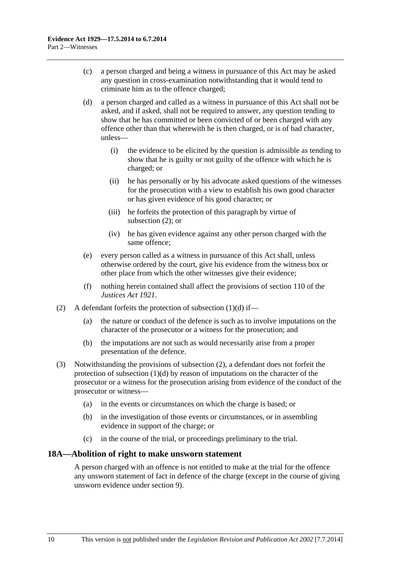- <span id="page-19-0"></span> (c) a person charged and being a witness in pursuance of this Act may be asked any question in cross-examination notwithstanding that it would tend to criminate him as to the offence charged;
- (d) a person charged and called as a witness in pursuance of this Act shall not be asked, and if asked, shall not be required to answer, any question tending to show that he has committed or been convicted of or been charged with any offence other than that wherewith he is then charged, or is of bad character, unless—
	- (i) the evidence to be elicited by the question is admissible as tending to show that he is guilty or not guilty of the offence with which he is charged; or
	- (ii) he has personally or by his advocate asked questions of the witnesses for the prosecution with a view to establish his own good character or has given evidence of his good character; or
	- (iii) he forfeits the protection of this paragraph by virtue of [subsection \(2\);](#page-19-0) or
	- (iv) he has given evidence against any other person charged with the same offence;
- (e) every person called as a witness in pursuance of this Act shall, unless otherwise ordered by the court, give his evidence from the witness box or other place from which the other witnesses give their evidence;
- (f) nothing herein contained shall affect the provisions of section 110 of the *[Justices Act 1921](http://www.legislation.sa.gov.au/index.aspx?action=legref&type=act&legtitle=Justices%20Act%201921)*.
- (2) A defendant forfeits the protection of subsection  $(1)(d)$  if—
	- (a) the nature or conduct of the defence is such as to involve imputations on the character of the prosecutor or a witness for the prosecution; and
	- (b) the imputations are not such as would necessarily arise from a proper presentation of the defence.
- (3) Notwithstanding the provisions of [subsection \(2\)](#page-19-0), a defendant does not forfeit the protection of [subsection \(1\)\(d\)](#page-19-0) by reason of imputations on the character of the prosecutor or a witness for the prosecution arising from evidence of the conduct of the prosecutor or witness—
	- (a) in the events or circumstances on which the charge is based; or
	- (b) in the investigation of those events or circumstances, or in assembling evidence in support of the charge; or
	- (c) in the course of the trial, or proceedings preliminary to the trial.

## **18A—Abolition of right to make unsworn statement**

A person charged with an offence is not entitled to make at the trial for the offence any unsworn statement of fact in defence of the charge (except in the course of giving unsworn evidence under [section 9](#page-10-0)).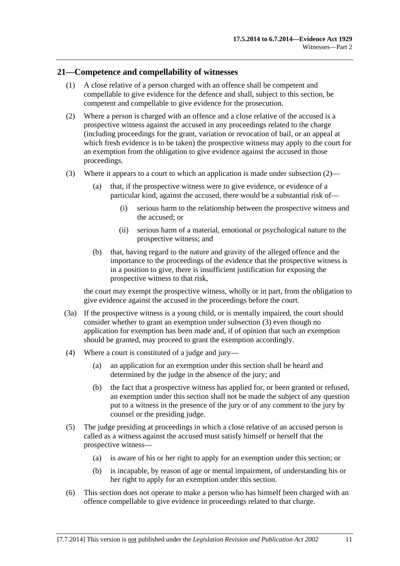## <span id="page-20-0"></span>**21—Competence and compellability of witnesses**

- (1) A close relative of a person charged with an offence shall be competent and compellable to give evidence for the defence and shall, subject to this section, be competent and compellable to give evidence for the prosecution.
- (2) Where a person is charged with an offence and a close relative of the accused is a prospective witness against the accused in any proceedings related to the charge (including proceedings for the grant, variation or revocation of bail, or an appeal at which fresh evidence is to be taken) the prospective witness may apply to the court for an exemption from the obligation to give evidence against the accused in those proceedings.
- (3) Where it appears to a court to which an application is made under subsection  $(2)$ 
	- (a) that, if the prospective witness were to give evidence, or evidence of a particular kind, against the accused, there would be a substantial risk of—
		- (i) serious harm to the relationship between the prospective witness and the accused; or
		- (ii) serious harm of a material, emotional or psychological nature to the prospective witness; and
	- (b) that, having regard to the nature and gravity of the alleged offence and the importance to the proceedings of the evidence that the prospective witness is in a position to give, there is insufficient justification for exposing the prospective witness to that risk,

the court may exempt the prospective witness, wholly or in part, from the obligation to give evidence against the accused in the proceedings before the court.

- (3a) If the prospective witness is a young child, or is mentally impaired, the court should consider whether to grant an exemption under [subsection \(3\)](#page-20-0) even though no application for exemption has been made and, if of opinion that such an exemption should be granted, may proceed to grant the exemption accordingly.
- (4) Where a court is constituted of a judge and jury—
	- (a) an application for an exemption under this section shall be heard and determined by the judge in the absence of the jury; and
	- (b) the fact that a prospective witness has applied for, or been granted or refused, an exemption under this section shall not be made the subject of any question put to a witness in the presence of the jury or of any comment to the jury by counsel or the presiding judge.
- (5) The judge presiding at proceedings in which a close relative of an accused person is called as a witness against the accused must satisfy himself or herself that the prospective witness—
	- (a) is aware of his or her right to apply for an exemption under this section; or
	- (b) is incapable, by reason of age or mental impairment, of understanding his or her right to apply for an exemption under this section.
- (6) This section does not operate to make a person who has himself been charged with an offence compellable to give evidence in proceedings related to that charge.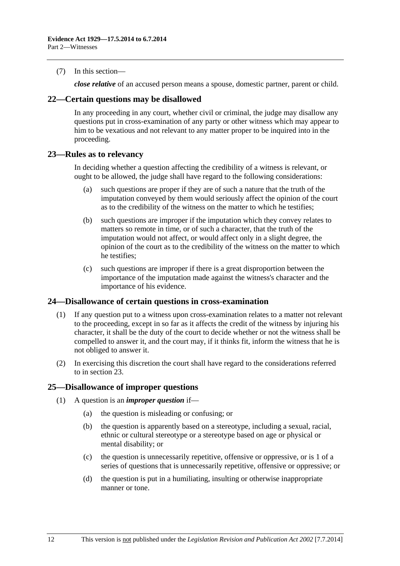<span id="page-21-0"></span>(7) In this section—

*close relative* of an accused person means a spouse, domestic partner, parent or child.

#### **22—Certain questions may be disallowed**

In any proceeding in any court, whether civil or criminal, the judge may disallow any questions put in cross-examination of any party or other witness which may appear to him to be vexatious and not relevant to any matter proper to be inquired into in the proceeding.

### **23—Rules as to relevancy**

In deciding whether a question affecting the credibility of a witness is relevant, or ought to be allowed, the judge shall have regard to the following considerations:

- (a) such questions are proper if they are of such a nature that the truth of the imputation conveyed by them would seriously affect the opinion of the court as to the credibility of the witness on the matter to which he testifies;
- (b) such questions are improper if the imputation which they convey relates to matters so remote in time, or of such a character, that the truth of the imputation would not affect, or would affect only in a slight degree, the opinion of the court as to the credibility of the witness on the matter to which he testifies;
- (c) such questions are improper if there is a great disproportion between the importance of the imputation made against the witness's character and the importance of his evidence.

#### **24—Disallowance of certain questions in cross-examination**

- (1) If any question put to a witness upon cross-examination relates to a matter not relevant to the proceeding, except in so far as it affects the credit of the witness by injuring his character, it shall be the duty of the court to decide whether or not the witness shall be compelled to answer it, and the court may, if it thinks fit, inform the witness that he is not obliged to answer it.
- (2) In exercising this discretion the court shall have regard to the considerations referred to in [section 23](#page-21-0).

## **25—Disallowance of improper questions**

- (1) A question is an *improper question* if—
	- (a) the question is misleading or confusing; or
	- (b) the question is apparently based on a stereotype, including a sexual, racial, ethnic or cultural stereotype or a stereotype based on age or physical or mental disability; or
	- (c) the question is unnecessarily repetitive, offensive or oppressive, or is 1 of a series of questions that is unnecessarily repetitive, offensive or oppressive; or
	- (d) the question is put in a humiliating, insulting or otherwise inappropriate manner or tone.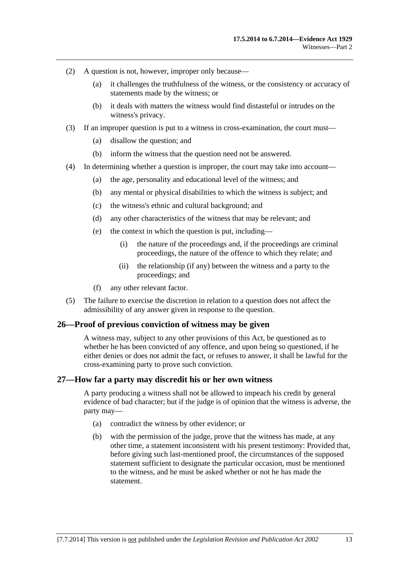- <span id="page-22-0"></span> (2) A question is not, however, improper only because—
	- (a) it challenges the truthfulness of the witness, or the consistency or accuracy of statements made by the witness; or
	- (b) it deals with matters the witness would find distasteful or intrudes on the witness's privacy.
- (3) If an improper question is put to a witness in cross-examination, the court must—
	- (a) disallow the question; and
	- (b) inform the witness that the question need not be answered.
- (4) In determining whether a question is improper, the court may take into account—
	- (a) the age, personality and educational level of the witness; and
	- (b) any mental or physical disabilities to which the witness is subject; and
	- (c) the witness's ethnic and cultural background; and
	- (d) any other characteristics of the witness that may be relevant; and
	- (e) the context in which the question is put, including—
		- (i) the nature of the proceedings and, if the proceedings are criminal proceedings, the nature of the offence to which they relate; and
		- (ii) the relationship (if any) between the witness and a party to the proceedings; and
	- (f) any other relevant factor.
- (5) The failure to exercise the discretion in relation to a question does not affect the admissibility of any answer given in response to the question.

#### **26—Proof of previous conviction of witness may be given**

A witness may, subject to any other provisions of this Act, be questioned as to whether he has been convicted of any offence, and upon being so questioned, if he either denies or does not admit the fact, or refuses to answer, it shall be lawful for the cross-examining party to prove such conviction.

#### **27—How far a party may discredit his or her own witness**

A party producing a witness shall not be allowed to impeach his credit by general evidence of bad character; but if the judge is of opinion that the witness is adverse, the party may—

- (a) contradict the witness by other evidence; or
- (b) with the permission of the judge, prove that the witness has made, at any other time, a statement inconsistent with his present testimony: Provided that, before giving such last-mentioned proof, the circumstances of the supposed statement sufficient to designate the particular occasion, must be mentioned to the witness, and he must be asked whether or not he has made the statement.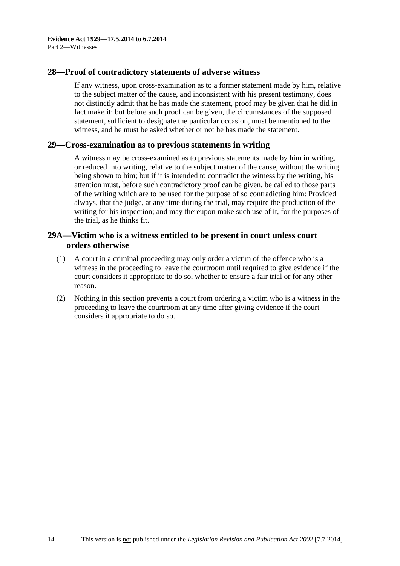## <span id="page-23-0"></span>**28—Proof of contradictory statements of adverse witness**

If any witness, upon cross-examination as to a former statement made by him, relative to the subject matter of the cause, and inconsistent with his present testimony, does not distinctly admit that he has made the statement, proof may be given that he did in fact make it; but before such proof can be given, the circumstances of the supposed statement, sufficient to designate the particular occasion, must be mentioned to the witness, and he must be asked whether or not he has made the statement.

#### **29—Cross-examination as to previous statements in writing**

A witness may be cross-examined as to previous statements made by him in writing, or reduced into writing, relative to the subject matter of the cause, without the writing being shown to him; but if it is intended to contradict the witness by the writing, his attention must, before such contradictory proof can be given, be called to those parts of the writing which are to be used for the purpose of so contradicting him: Provided always, that the judge, at any time during the trial, may require the production of the writing for his inspection; and may thereupon make such use of it, for the purposes of the trial, as he thinks fit.

## **29A—Victim who is a witness entitled to be present in court unless court orders otherwise**

- (1) A court in a criminal proceeding may only order a victim of the offence who is a witness in the proceeding to leave the courtroom until required to give evidence if the court considers it appropriate to do so, whether to ensure a fair trial or for any other reason.
- (2) Nothing in this section prevents a court from ordering a victim who is a witness in the proceeding to leave the courtroom at any time after giving evidence if the court considers it appropriate to do so.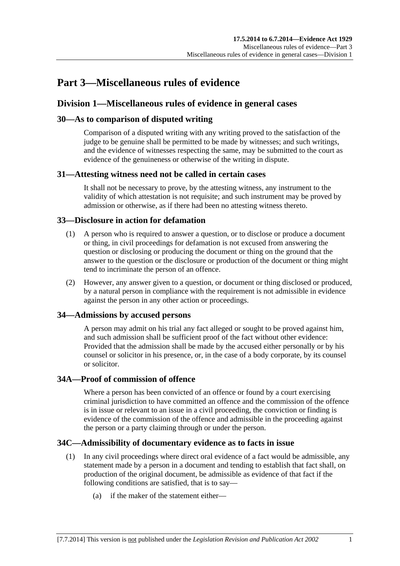# <span id="page-24-0"></span>**Part 3—Miscellaneous rules of evidence**

## **Division 1—Miscellaneous rules of evidence in general cases**

## **30—As to comparison of disputed writing**

Comparison of a disputed writing with any writing proved to the satisfaction of the judge to be genuine shall be permitted to be made by witnesses; and such writings, and the evidence of witnesses respecting the same, may be submitted to the court as evidence of the genuineness or otherwise of the writing in dispute.

## **31—Attesting witness need not be called in certain cases**

It shall not be necessary to prove, by the attesting witness, any instrument to the validity of which attestation is not requisite; and such instrument may be proved by admission or otherwise, as if there had been no attesting witness thereto.

## **33—Disclosure in action for defamation**

- (1) A person who is required to answer a question, or to disclose or produce a document or thing, in civil proceedings for defamation is not excused from answering the question or disclosing or producing the document or thing on the ground that the answer to the question or the disclosure or production of the document or thing might tend to incriminate the person of an offence.
- (2) However, any answer given to a question, or document or thing disclosed or produced, by a natural person in compliance with the requirement is not admissible in evidence against the person in any other action or proceedings.

## **34—Admissions by accused persons**

A person may admit on his trial any fact alleged or sought to be proved against him, and such admission shall be sufficient proof of the fact without other evidence: Provided that the admission shall be made by the accused either personally or by his counsel or solicitor in his presence, or, in the case of a body corporate, by its counsel or solicitor.

## **34A—Proof of commission of offence**

Where a person has been convicted of an offence or found by a court exercising criminal jurisdiction to have committed an offence and the commission of the offence is in issue or relevant to an issue in a civil proceeding, the conviction or finding is evidence of the commission of the offence and admissible in the proceeding against the person or a party claiming through or under the person.

## **34C—Admissibility of documentary evidence as to facts in issue**

- (1) In any civil proceedings where direct oral evidence of a fact would be admissible, any statement made by a person in a document and tending to establish that fact shall, on production of the original document, be admissible as evidence of that fact if the following conditions are satisfied, that is to say—
	- (a) if the maker of the statement either—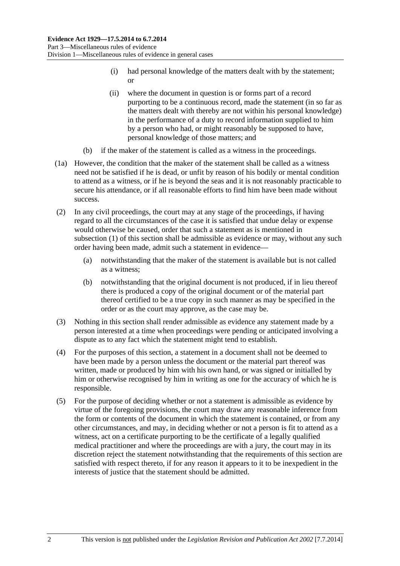- (i) had personal knowledge of the matters dealt with by the statement; or
- (ii) where the document in question is or forms part of a record purporting to be a continuous record, made the statement (in so far as the matters dealt with thereby are not within his personal knowledge) in the performance of a duty to record information supplied to him by a person who had, or might reasonably be supposed to have, personal knowledge of those matters; and
- (b) if the maker of the statement is called as a witness in the proceedings.
- (1a) However, the condition that the maker of the statement shall be called as a witness need not be satisfied if he is dead, or unfit by reason of his bodily or mental condition to attend as a witness, or if he is beyond the seas and it is not reasonably practicable to secure his attendance, or if all reasonable efforts to find him have been made without success.
- (2) In any civil proceedings, the court may at any stage of the proceedings, if having regard to all the circumstances of the case it is satisfied that undue delay or expense would otherwise be caused, order that such a statement as is mentioned in [subsection \(1\)](#page-24-0) of this section shall be admissible as evidence or may, without any such order having been made, admit such a statement in evidence—
	- (a) notwithstanding that the maker of the statement is available but is not called as a witness;
	- (b) notwithstanding that the original document is not produced, if in lieu thereof there is produced a copy of the original document or of the material part thereof certified to be a true copy in such manner as may be specified in the order or as the court may approve, as the case may be.
- (3) Nothing in this section shall render admissible as evidence any statement made by a person interested at a time when proceedings were pending or anticipated involving a dispute as to any fact which the statement might tend to establish.
- (4) For the purposes of this section, a statement in a document shall not be deemed to have been made by a person unless the document or the material part thereof was written, made or produced by him with his own hand, or was signed or initialled by him or otherwise recognised by him in writing as one for the accuracy of which he is responsible.
- (5) For the purpose of deciding whether or not a statement is admissible as evidence by virtue of the foregoing provisions, the court may draw any reasonable inference from the form or contents of the document in which the statement is contained, or from any other circumstances, and may, in deciding whether or not a person is fit to attend as a witness, act on a certificate purporting to be the certificate of a legally qualified medical practitioner and where the proceedings are with a jury, the court may in its discretion reject the statement notwithstanding that the requirements of this section are satisfied with respect thereto, if for any reason it appears to it to be inexpedient in the interests of justice that the statement should be admitted.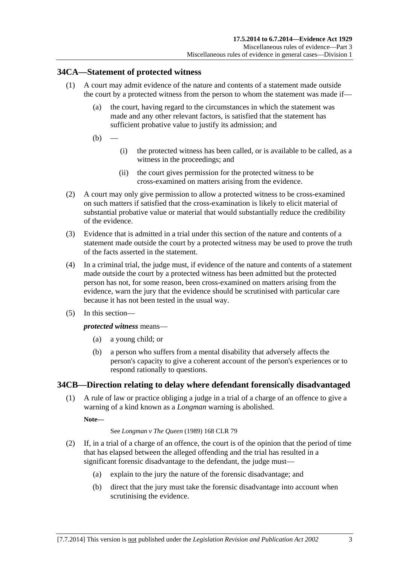## <span id="page-26-0"></span>**34CA—Statement of protected witness**

- (1) A court may admit evidence of the nature and contents of a statement made outside the court by a protected witness from the person to whom the statement was made if—
	- (a) the court, having regard to the circumstances in which the statement was made and any other relevant factors, is satisfied that the statement has sufficient probative value to justify its admission; and
	- $(b)$
- (i) the protected witness has been called, or is available to be called, as a witness in the proceedings; and
- (ii) the court gives permission for the protected witness to be cross-examined on matters arising from the evidence.
- (2) A court may only give permission to allow a protected witness to be cross-examined on such matters if satisfied that the cross-examination is likely to elicit material of substantial probative value or material that would substantially reduce the credibility of the evidence.
- (3) Evidence that is admitted in a trial under this section of the nature and contents of a statement made outside the court by a protected witness may be used to prove the truth of the facts asserted in the statement.
- (4) In a criminal trial, the judge must, if evidence of the nature and contents of a statement made outside the court by a protected witness has been admitted but the protected person has not, for some reason, been cross-examined on matters arising from the evidence, warn the jury that the evidence should be scrutinised with particular care because it has not been tested in the usual way.
- (5) In this section—

#### *protected witness* means—

- (a) a young child; or
- (b) a person who suffers from a mental disability that adversely affects the person's capacity to give a coherent account of the person's experiences or to respond rationally to questions.

## **34CB—Direction relating to delay where defendant forensically disadvantaged**

 (1) A rule of law or practice obliging a judge in a trial of a charge of an offence to give a warning of a kind known as a *Longman* warning is abolished.

**Note—** 

See *Longman v The Queen* (1989) 168 CLR 79

- (2) If, in a trial of a charge of an offence, the court is of the opinion that the period of time that has elapsed between the alleged offending and the trial has resulted in a significant forensic disadvantage to the defendant, the judge must—
	- (a) explain to the jury the nature of the forensic disadvantage; and
	- (b) direct that the jury must take the forensic disadvantage into account when scrutinising the evidence.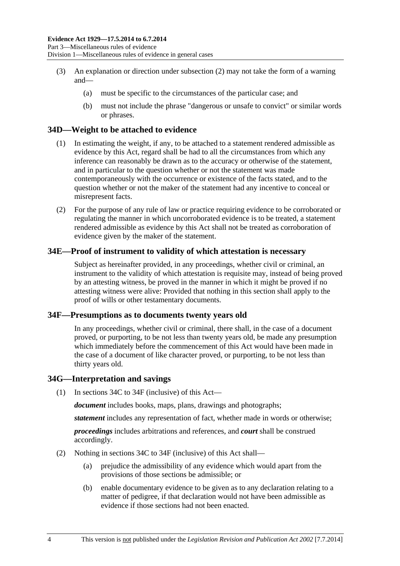- <span id="page-27-0"></span> (3) An explanation or direction under [subsection \(2\)](#page-26-0) may not take the form of a warning and—
	- (a) must be specific to the circumstances of the particular case; and
	- (b) must not include the phrase "dangerous or unsafe to convict" or similar words or phrases.

### **34D—Weight to be attached to evidence**

- (1) In estimating the weight, if any, to be attached to a statement rendered admissible as evidence by this Act, regard shall be had to all the circumstances from which any inference can reasonably be drawn as to the accuracy or otherwise of the statement, and in particular to the question whether or not the statement was made contemporaneously with the occurrence or existence of the facts stated, and to the question whether or not the maker of the statement had any incentive to conceal or misrepresent facts.
- (2) For the purpose of any rule of law or practice requiring evidence to be corroborated or regulating the manner in which uncorroborated evidence is to be treated, a statement rendered admissible as evidence by this Act shall not be treated as corroboration of evidence given by the maker of the statement.

### **34E—Proof of instrument to validity of which attestation is necessary**

Subject as hereinafter provided, in any proceedings, whether civil or criminal, an instrument to the validity of which attestation is requisite may, instead of being proved by an attesting witness, be proved in the manner in which it might be proved if no attesting witness were alive: Provided that nothing in this section shall apply to the proof of wills or other testamentary documents.

#### **34F—Presumptions as to documents twenty years old**

In any proceedings, whether civil or criminal, there shall, in the case of a document proved, or purporting, to be not less than twenty years old, be made any presumption which immediately before the commencement of this Act would have been made in the case of a document of like character proved, or purporting, to be not less than thirty years old.

#### **34G—Interpretation and savings**

(1) In [sections 34C](#page-24-0) to [34F](#page-27-0) (inclusive) of this Act—

*document* includes books, maps, plans, drawings and photographs;

*statement* includes any representation of fact, whether made in words or otherwise;

*proceedings* includes arbitrations and references, and *court* shall be construed accordingly.

- (2) Nothing in [sections 34C](#page-24-0) to [34F](#page-27-0) (inclusive) of this Act shall—
	- (a) prejudice the admissibility of any evidence which would apart from the provisions of those sections be admissible; or
	- (b) enable documentary evidence to be given as to any declaration relating to a matter of pedigree, if that declaration would not have been admissible as evidence if those sections had not been enacted.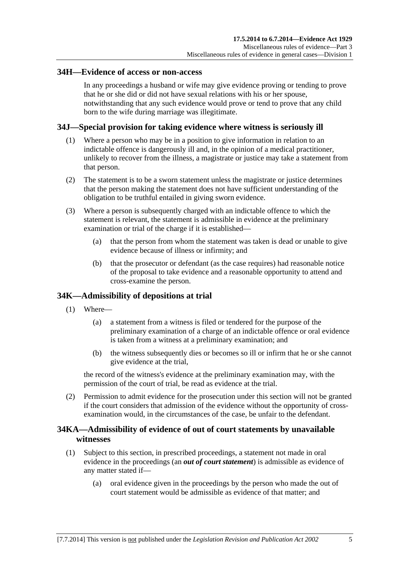### <span id="page-28-0"></span>**34H—Evidence of access or non-access**

In any proceedings a husband or wife may give evidence proving or tending to prove that he or she did or did not have sexual relations with his or her spouse, notwithstanding that any such evidence would prove or tend to prove that any child born to the wife during marriage was illegitimate.

## **34J—Special provision for taking evidence where witness is seriously ill**

- (1) Where a person who may be in a position to give information in relation to an indictable offence is dangerously ill and, in the opinion of a medical practitioner, unlikely to recover from the illness, a magistrate or justice may take a statement from that person.
- (2) The statement is to be a sworn statement unless the magistrate or justice determines that the person making the statement does not have sufficient understanding of the obligation to be truthful entailed in giving sworn evidence.
- (3) Where a person is subsequently charged with an indictable offence to which the statement is relevant, the statement is admissible in evidence at the preliminary examination or trial of the charge if it is established—
	- (a) that the person from whom the statement was taken is dead or unable to give evidence because of illness or infirmity; and
	- (b) that the prosecutor or defendant (as the case requires) had reasonable notice of the proposal to take evidence and a reasonable opportunity to attend and cross-examine the person.

## **34K—Admissibility of depositions at trial**

- (1) Where—
	- (a) a statement from a witness is filed or tendered for the purpose of the preliminary examination of a charge of an indictable offence or oral evidence is taken from a witness at a preliminary examination; and
	- (b) the witness subsequently dies or becomes so ill or infirm that he or she cannot give evidence at the trial,

the record of the witness's evidence at the preliminary examination may, with the permission of the court of trial, be read as evidence at the trial.

 (2) Permission to admit evidence for the prosecution under this section will not be granted if the court considers that admission of the evidence without the opportunity of crossexamination would, in the circumstances of the case, be unfair to the defendant.

## **34KA—Admissibility of evidence of out of court statements by unavailable witnesses**

- (1) Subject to this section, in prescribed proceedings, a statement not made in oral evidence in the proceedings (an *out of court statement*) is admissible as evidence of any matter stated if—
	- (a) oral evidence given in the proceedings by the person who made the out of court statement would be admissible as evidence of that matter; and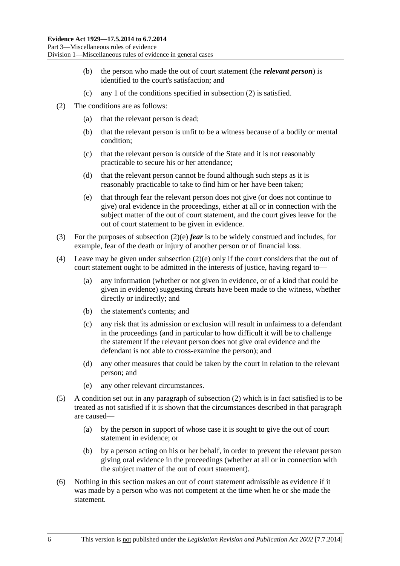- <span id="page-29-0"></span> (b) the person who made the out of court statement (the *relevant person*) is identified to the court's satisfaction; and
- (c) any 1 of the conditions specified in [subsection \(2\)](#page-29-0) is satisfied.
- (2) The conditions are as follows:
	- (a) that the relevant person is dead;
	- (b) that the relevant person is unfit to be a witness because of a bodily or mental condition;
	- (c) that the relevant person is outside of the State and it is not reasonably practicable to secure his or her attendance;
	- (d) that the relevant person cannot be found although such steps as it is reasonably practicable to take to find him or her have been taken;
	- (e) that through fear the relevant person does not give (or does not continue to give) oral evidence in the proceedings, either at all or in connection with the subject matter of the out of court statement, and the court gives leave for the out of court statement to be given in evidence.
- (3) For the purposes of [subsection \(2\)\(e\)](#page-29-0) *fear* is to be widely construed and includes, for example, fear of the death or injury of another person or of financial loss.
- (4) Leave may be given under [subsection \(2\)\(e\)](#page-29-0) only if the court considers that the out of court statement ought to be admitted in the interests of justice, having regard to—
	- (a) any information (whether or not given in evidence, or of a kind that could be given in evidence) suggesting threats have been made to the witness, whether directly or indirectly; and
	- (b) the statement's contents; and
	- (c) any risk that its admission or exclusion will result in unfairness to a defendant in the proceedings (and in particular to how difficult it will be to challenge the statement if the relevant person does not give oral evidence and the defendant is not able to cross-examine the person); and
	- (d) any other measures that could be taken by the court in relation to the relevant person; and
	- (e) any other relevant circumstances.
- (5) A condition set out in any paragraph of [subsection \(2\)](#page-29-0) which is in fact satisfied is to be treated as not satisfied if it is shown that the circumstances described in that paragraph are caused—
	- (a) by the person in support of whose case it is sought to give the out of court statement in evidence; or
	- (b) by a person acting on his or her behalf, in order to prevent the relevant person giving oral evidence in the proceedings (whether at all or in connection with the subject matter of the out of court statement).
- (6) Nothing in this section makes an out of court statement admissible as evidence if it was made by a person who was not competent at the time when he or she made the statement.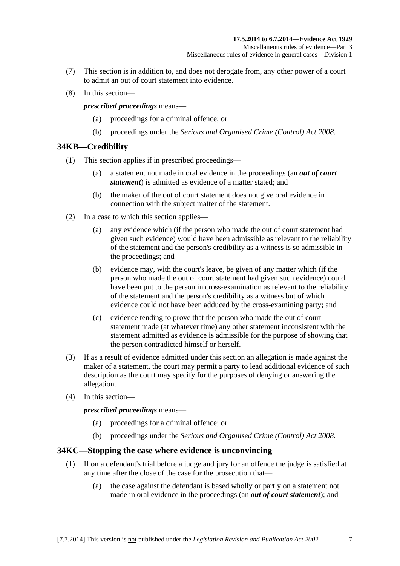- <span id="page-30-0"></span> (7) This section is in addition to, and does not derogate from, any other power of a court to admit an out of court statement into evidence.
- (8) In this section—

*prescribed proceedings* means—

- (a) proceedings for a criminal offence; or
- (b) proceedings under the *[Serious and Organised Crime \(Control\) Act 2008](http://www.legislation.sa.gov.au/index.aspx?action=legref&type=act&legtitle=Serious%20and%20Organised%20Crime%20(Control)%20Act%202008)*.

### **34KB—Credibility**

- (1) This section applies if in prescribed proceedings—
	- (a) a statement not made in oral evidence in the proceedings (an *out of court statement*) is admitted as evidence of a matter stated; and
	- (b) the maker of the out of court statement does not give oral evidence in connection with the subject matter of the statement.
- (2) In a case to which this section applies—
	- (a) any evidence which (if the person who made the out of court statement had given such evidence) would have been admissible as relevant to the reliability of the statement and the person's credibility as a witness is so admissible in the proceedings; and
	- (b) evidence may, with the court's leave, be given of any matter which (if the person who made the out of court statement had given such evidence) could have been put to the person in cross-examination as relevant to the reliability of the statement and the person's credibility as a witness but of which evidence could not have been adduced by the cross-examining party; and
	- (c) evidence tending to prove that the person who made the out of court statement made (at whatever time) any other statement inconsistent with the statement admitted as evidence is admissible for the purpose of showing that the person contradicted himself or herself.
- (3) If as a result of evidence admitted under this section an allegation is made against the maker of a statement, the court may permit a party to lead additional evidence of such description as the court may specify for the purposes of denying or answering the allegation.
- (4) In this section—

*prescribed proceedings* means—

- (a) proceedings for a criminal offence; or
- (b) proceedings under the *[Serious and Organised Crime \(Control\) Act 2008](http://www.legislation.sa.gov.au/index.aspx?action=legref&type=act&legtitle=Serious%20and%20Organised%20Crime%20(Control)%20Act%202008)*.

#### **34KC—Stopping the case where evidence is unconvincing**

- (1) If on a defendant's trial before a judge and jury for an offence the judge is satisfied at any time after the close of the case for the prosecution that—
	- (a) the case against the defendant is based wholly or partly on a statement not made in oral evidence in the proceedings (an *out of court statement*); and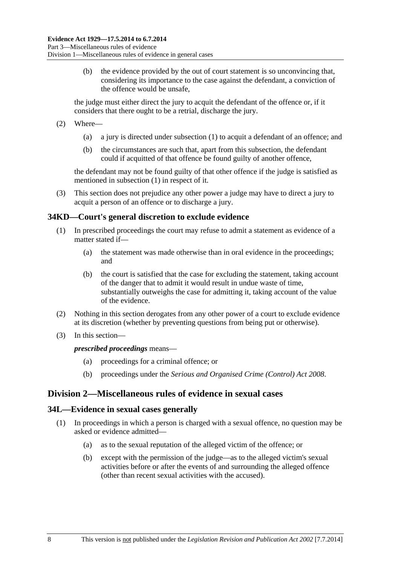<span id="page-31-0"></span> (b) the evidence provided by the out of court statement is so unconvincing that, considering its importance to the case against the defendant, a conviction of the offence would be unsafe,

the judge must either direct the jury to acquit the defendant of the offence or, if it considers that there ought to be a retrial, discharge the jury.

- (2) Where—
	- (a) a jury is directed under [subsection \(1\)](#page-30-0) to acquit a defendant of an offence; and
	- (b) the circumstances are such that, apart from this subsection, the defendant could if acquitted of that offence be found guilty of another offence,

the defendant may not be found guilty of that other offence if the judge is satisfied as mentioned in [subsection \(1\)](#page-30-0) in respect of it.

 (3) This section does not prejudice any other power a judge may have to direct a jury to acquit a person of an offence or to discharge a jury.

### **34KD—Court's general discretion to exclude evidence**

- (1) In prescribed proceedings the court may refuse to admit a statement as evidence of a matter stated if—
	- (a) the statement was made otherwise than in oral evidence in the proceedings; and
	- (b) the court is satisfied that the case for excluding the statement, taking account of the danger that to admit it would result in undue waste of time, substantially outweighs the case for admitting it, taking account of the value of the evidence.
- (2) Nothing in this section derogates from any other power of a court to exclude evidence at its discretion (whether by preventing questions from being put or otherwise).
- (3) In this section—

#### *prescribed proceedings* means—

- (a) proceedings for a criminal offence; or
- (b) proceedings under the *[Serious and Organised Crime \(Control\) Act 2008](http://www.legislation.sa.gov.au/index.aspx?action=legref&type=act&legtitle=Serious%20and%20Organised%20Crime%20(Control)%20Act%202008)*.

## **Division 2—Miscellaneous rules of evidence in sexual cases**

#### **34L—Evidence in sexual cases generally**

- (1) In proceedings in which a person is charged with a sexual offence, no question may be asked or evidence admitted—
	- (a) as to the sexual reputation of the alleged victim of the offence; or
	- (b) except with the permission of the judge—as to the alleged victim's sexual activities before or after the events of and surrounding the alleged offence (other than recent sexual activities with the accused).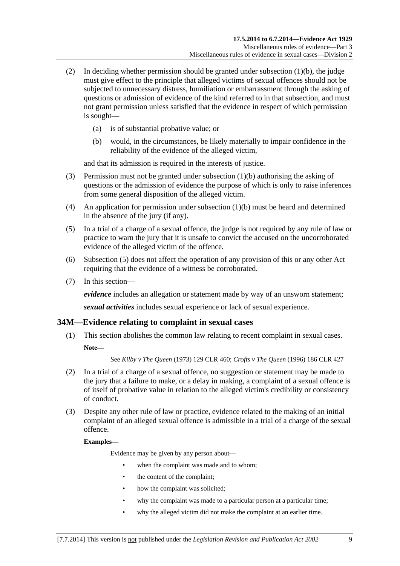- <span id="page-32-0"></span>(2) In deciding whether permission should be granted under subsection  $(1)(b)$ , the judge must give effect to the principle that alleged victims of sexual offences should not be subjected to unnecessary distress, humiliation or embarrassment through the asking of questions or admission of evidence of the kind referred to in that subsection, and must not grant permission unless satisfied that the evidence in respect of which permission is sought—
	- (a) is of substantial probative value; or
	- (b) would, in the circumstances, be likely materially to impair confidence in the reliability of the evidence of the alleged victim,

and that its admission is required in the interests of justice.

- (3) Permission must not be granted under [subsection \(1\)\(b\)](#page-31-0) authorising the asking of questions or the admission of evidence the purpose of which is only to raise inferences from some general disposition of the alleged victim.
- (4) An application for permission under subsection  $(1)(b)$  must be heard and determined in the absence of the jury (if any).
- (5) In a trial of a charge of a sexual offence, the judge is not required by any rule of law or practice to warn the jury that it is unsafe to convict the accused on the uncorroborated evidence of the alleged victim of the offence.
- (6) [Subsection \(5\)](#page-32-0) does not affect the operation of any provision of this or any other Act requiring that the evidence of a witness be corroborated.
- (7) In this section—

*evidence* includes an allegation or statement made by way of an unsworn statement;

*sexual activities* includes sexual experience or lack of sexual experience.

#### **34M—Evidence relating to complaint in sexual cases**

 (1) This section abolishes the common law relating to recent complaint in sexual cases. **Note—** 

See *Kilby v The Queen* (1973) 129 CLR 460; *Crofts v The Queen* (1996) 186 CLR 427

- (2) In a trial of a charge of a sexual offence, no suggestion or statement may be made to the jury that a failure to make, or a delay in making, a complaint of a sexual offence is of itself of probative value in relation to the alleged victim's credibility or consistency of conduct.
- (3) Despite any other rule of law or practice, evidence related to the making of an initial complaint of an alleged sexual offence is admissible in a trial of a charge of the sexual offence.

#### **Examples—**

Evidence may be given by any person about—

- when the complaint was made and to whom;
- the content of the complaint;
- how the complaint was solicited;
- why the complaint was made to a particular person at a particular time;
- why the alleged victim did not make the complaint at an earlier time.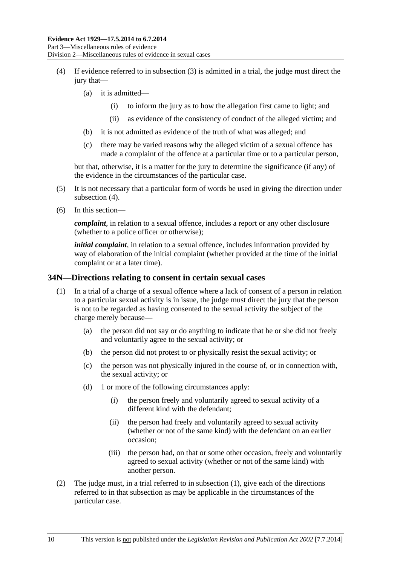- <span id="page-33-0"></span> (4) If evidence referred to in [subsection \(3\)](#page-32-0) is admitted in a trial, the judge must direct the jury that—
	- (a) it is admitted—
		- (i) to inform the jury as to how the allegation first came to light; and
		- (ii) as evidence of the consistency of conduct of the alleged victim; and
	- (b) it is not admitted as evidence of the truth of what was alleged; and
	- (c) there may be varied reasons why the alleged victim of a sexual offence has made a complaint of the offence at a particular time or to a particular person,

but that, otherwise, it is a matter for the jury to determine the significance (if any) of the evidence in the circumstances of the particular case.

- (5) It is not necessary that a particular form of words be used in giving the direction under [subsection \(4\).](#page-33-0)
- (6) In this section—

*complaint*, in relation to a sexual offence, includes a report or any other disclosure (whether to a police officer or otherwise);

*initial complaint*, in relation to a sexual offence, includes information provided by way of elaboration of the initial complaint (whether provided at the time of the initial complaint or at a later time).

#### **34N—Directions relating to consent in certain sexual cases**

- (1) In a trial of a charge of a sexual offence where a lack of consent of a person in relation to a particular sexual activity is in issue, the judge must direct the jury that the person is not to be regarded as having consented to the sexual activity the subject of the charge merely because—
	- (a) the person did not say or do anything to indicate that he or she did not freely and voluntarily agree to the sexual activity; or
	- (b) the person did not protest to or physically resist the sexual activity; or
	- (c) the person was not physically injured in the course of, or in connection with, the sexual activity; or
	- (d) 1 or more of the following circumstances apply:
		- (i) the person freely and voluntarily agreed to sexual activity of a different kind with the defendant;
		- (ii) the person had freely and voluntarily agreed to sexual activity (whether or not of the same kind) with the defendant on an earlier occasion;
		- (iii) the person had, on that or some other occasion, freely and voluntarily agreed to sexual activity (whether or not of the same kind) with another person.
- (2) The judge must, in a trial referred to in [subsection \(1\),](#page-33-0) give each of the directions referred to in that subsection as may be applicable in the circumstances of the particular case.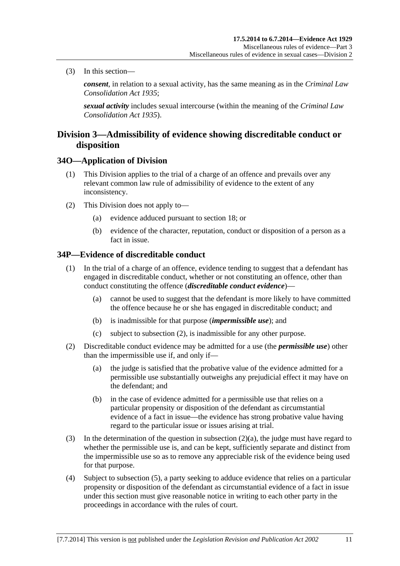<span id="page-34-0"></span>(3) In this section—

*consent*, in relation to a sexual activity, has the same meaning as in the *[Criminal Law](http://www.legislation.sa.gov.au/index.aspx?action=legref&type=act&legtitle=Criminal%20Law%20Consolidation%20Act%201935)  [Consolidation Act 1935](http://www.legislation.sa.gov.au/index.aspx?action=legref&type=act&legtitle=Criminal%20Law%20Consolidation%20Act%201935)*;

*sexual activity* includes sexual intercourse (within the meaning of the *[Criminal Law](http://www.legislation.sa.gov.au/index.aspx?action=legref&type=act&legtitle=Criminal%20Law%20Consolidation%20Act%201935)  [Consolidation Act 1935](http://www.legislation.sa.gov.au/index.aspx?action=legref&type=act&legtitle=Criminal%20Law%20Consolidation%20Act%201935)*).

## **Division 3—Admissibility of evidence showing discreditable conduct or disposition**

#### **34O—Application of Division**

- (1) This Division applies to the trial of a charge of an offence and prevails over any relevant common law rule of admissibility of evidence to the extent of any inconsistency.
- (2) This Division does not apply to—
	- (a) evidence adduced pursuant to [section 18;](#page-18-0) or
	- (b) evidence of the character, reputation, conduct or disposition of a person as a fact in issue.

### **34P—Evidence of discreditable conduct**

- (1) In the trial of a charge of an offence, evidence tending to suggest that a defendant has engaged in discreditable conduct, whether or not constituting an offence, other than conduct constituting the offence (*discreditable conduct evidence*)—
	- (a) cannot be used to suggest that the defendant is more likely to have committed the offence because he or she has engaged in discreditable conduct; and
	- (b) is inadmissible for that purpose (*impermissible use*); and
	- (c) subject to [subsection \(2\),](#page-34-0) is inadmissible for any other purpose.
- (2) Discreditable conduct evidence may be admitted for a use (the *permissible use*) other than the impermissible use if, and only if—
	- (a) the judge is satisfied that the probative value of the evidence admitted for a permissible use substantially outweighs any prejudicial effect it may have on the defendant; and
	- (b) in the case of evidence admitted for a permissible use that relies on a particular propensity or disposition of the defendant as circumstantial evidence of a fact in issue—the evidence has strong probative value having regard to the particular issue or issues arising at trial.
- (3) In the determination of the question in [subsection \(2\)\(a\),](#page-34-0) the judge must have regard to whether the permissible use is, and can be kept, sufficiently separate and distinct from the impermissible use so as to remove any appreciable risk of the evidence being used for that purpose.
- (4) Subject to [subsection \(5\),](#page-35-0) a party seeking to adduce evidence that relies on a particular propensity or disposition of the defendant as circumstantial evidence of a fact in issue under this section must give reasonable notice in writing to each other party in the proceedings in accordance with the rules of court.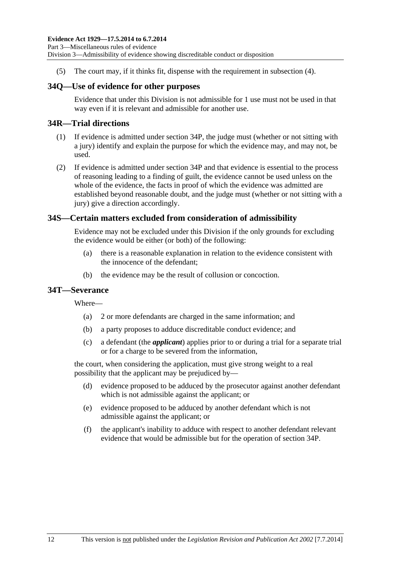<span id="page-35-0"></span>(5) The court may, if it thinks fit, dispense with the requirement in [subsection \(4\)](#page-34-0).

## **34Q—Use of evidence for other purposes**

Evidence that under this Division is not admissible for 1 use must not be used in that way even if it is relevant and admissible for another use.

## **34R—Trial directions**

- (1) If evidence is admitted under [section 34P](#page-34-0), the judge must (whether or not sitting with a jury) identify and explain the purpose for which the evidence may, and may not, be used.
- (2) If evidence is admitted under [section 34P](#page-34-0) and that evidence is essential to the process of reasoning leading to a finding of guilt, the evidence cannot be used unless on the whole of the evidence, the facts in proof of which the evidence was admitted are established beyond reasonable doubt, and the judge must (whether or not sitting with a jury) give a direction accordingly.

## **34S—Certain matters excluded from consideration of admissibility**

Evidence may not be excluded under this Division if the only grounds for excluding the evidence would be either (or both) of the following:

- (a) there is a reasonable explanation in relation to the evidence consistent with the innocence of the defendant;
- (b) the evidence may be the result of collusion or concoction.

#### **34T—Severance**

Where—

- (a) 2 or more defendants are charged in the same information; and
- (b) a party proposes to adduce discreditable conduct evidence; and
- (c) a defendant (the *applicant*) applies prior to or during a trial for a separate trial or for a charge to be severed from the information,

the court, when considering the application, must give strong weight to a real possibility that the applicant may be prejudiced by—

- (d) evidence proposed to be adduced by the prosecutor against another defendant which is not admissible against the applicant; or
- (e) evidence proposed to be adduced by another defendant which is not admissible against the applicant; or
- (f) the applicant's inability to adduce with respect to another defendant relevant evidence that would be admissible but for the operation of [section 34P.](#page-34-0)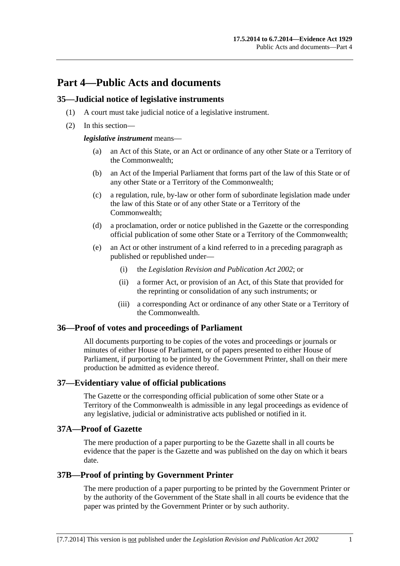# **Part 4—Public Acts and documents**

#### **35—Judicial notice of legislative instruments**

- (1) A court must take judicial notice of a legislative instrument.
- (2) In this section—

*legislative instrument* means—

- (a) an Act of this State, or an Act or ordinance of any other State or a Territory of the Commonwealth;
- (b) an Act of the Imperial Parliament that forms part of the law of this State or of any other State or a Territory of the Commonwealth;
- (c) a regulation, rule, by-law or other form of subordinate legislation made under the law of this State or of any other State or a Territory of the Commonwealth;
- (d) a proclamation, order or notice published in the Gazette or the corresponding official publication of some other State or a Territory of the Commonwealth;
- (e) an Act or other instrument of a kind referred to in a preceding paragraph as published or republished under—
	- (i) the *[Legislation Revision and Publication Act 2002](http://www.legislation.sa.gov.au/index.aspx?action=legref&type=act&legtitle=Legislation%20Revision%20and%20Publication%20Act%202002)*; or
	- (ii) a former Act, or provision of an Act, of this State that provided for the reprinting or consolidation of any such instruments; or
	- (iii) a corresponding Act or ordinance of any other State or a Territory of the Commonwealth.

#### **36—Proof of votes and proceedings of Parliament**

All documents purporting to be copies of the votes and proceedings or journals or minutes of either House of Parliament, or of papers presented to either House of Parliament, if purporting to be printed by the Government Printer, shall on their mere production be admitted as evidence thereof.

#### **37—Evidentiary value of official publications**

The Gazette or the corresponding official publication of some other State or a Territory of the Commonwealth is admissible in any legal proceedings as evidence of any legislative, judicial or administrative acts published or notified in it.

#### **37A—Proof of Gazette**

The mere production of a paper purporting to be the Gazette shall in all courts be evidence that the paper is the Gazette and was published on the day on which it bears date.

#### **37B—Proof of printing by Government Printer**

The mere production of a paper purporting to be printed by the Government Printer or by the authority of the Government of the State shall in all courts be evidence that the paper was printed by the Government Printer or by such authority.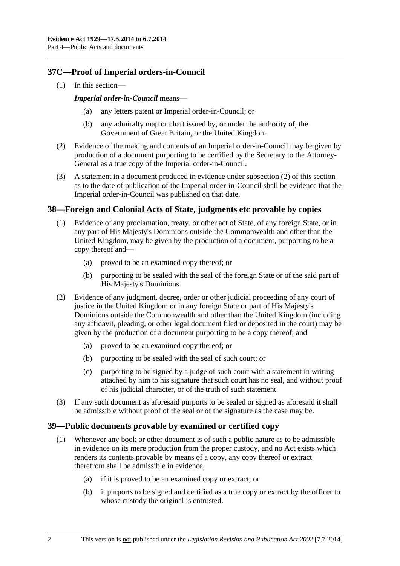# <span id="page-37-0"></span>**37C—Proof of Imperial orders-in-Council**

(1) In this section—

#### *Imperial order-in-Council* means—

- any letters patent or Imperial order-in-Council; or
- (b) any admiralty map or chart issued by, or under the authority of, the Government of Great Britain, or the United Kingdom.
- (2) Evidence of the making and contents of an Imperial order-in-Council may be given by production of a document purporting to be certified by the Secretary to the Attorney-General as a true copy of the Imperial order-in-Council.
- (3) A statement in a document produced in evidence under [subsection \(2\)](#page-37-0) of this section as to the date of publication of the Imperial order-in-Council shall be evidence that the Imperial order-in-Council was published on that date.

#### **38—Foreign and Colonial Acts of State, judgments etc provable by copies**

- (1) Evidence of any proclamation, treaty, or other act of State, of any foreign State, or in any part of His Majesty's Dominions outside the Commonwealth and other than the United Kingdom, may be given by the production of a document, purporting to be a copy thereof and—
	- (a) proved to be an examined copy thereof; or
	- (b) purporting to be sealed with the seal of the foreign State or of the said part of His Majesty's Dominions.
- (2) Evidence of any judgment, decree, order or other judicial proceeding of any court of justice in the United Kingdom or in any foreign State or part of His Majesty's Dominions outside the Commonwealth and other than the United Kingdom (including any affidavit, pleading, or other legal document filed or deposited in the court) may be given by the production of a document purporting to be a copy thereof; and
	- (a) proved to be an examined copy thereof; or
	- (b) purporting to be sealed with the seal of such court; or
	- (c) purporting to be signed by a judge of such court with a statement in writing attached by him to his signature that such court has no seal, and without proof of his judicial character, or of the truth of such statement.
- (3) If any such document as aforesaid purports to be sealed or signed as aforesaid it shall be admissible without proof of the seal or of the signature as the case may be.

#### **39—Public documents provable by examined or certified copy**

- (1) Whenever any book or other document is of such a public nature as to be admissible in evidence on its mere production from the proper custody, and no Act exists which renders its contents provable by means of a copy, any copy thereof or extract therefrom shall be admissible in evidence,
	- (a) if it is proved to be an examined copy or extract; or
	- (b) it purports to be signed and certified as a true copy or extract by the officer to whose custody the original is entrusted.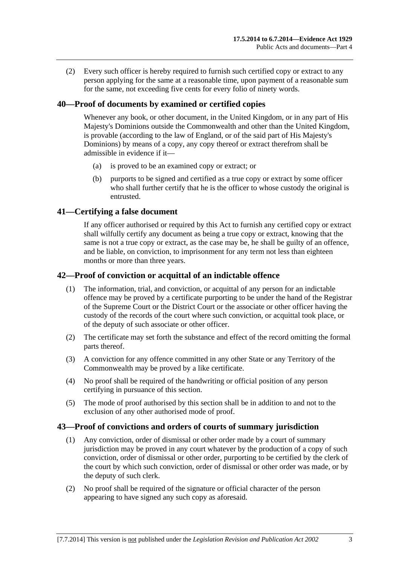(2) Every such officer is hereby required to furnish such certified copy or extract to any person applying for the same at a reasonable time, upon payment of a reasonable sum for the same, not exceeding five cents for every folio of ninety words.

## **40—Proof of documents by examined or certified copies**

Whenever any book, or other document, in the United Kingdom, or in any part of His Majesty's Dominions outside the Commonwealth and other than the United Kingdom, is provable (according to the law of England, or of the said part of His Majesty's Dominions) by means of a copy, any copy thereof or extract therefrom shall be admissible in evidence if it—

- (a) is proved to be an examined copy or extract; or
- (b) purports to be signed and certified as a true copy or extract by some officer who shall further certify that he is the officer to whose custody the original is entrusted.

#### **41—Certifying a false document**

If any officer authorised or required by this Act to furnish any certified copy or extract shall wilfully certify any document as being a true copy or extract, knowing that the same is not a true copy or extract, as the case may be, he shall be guilty of an offence, and be liable, on conviction, to imprisonment for any term not less than eighteen months or more than three years.

#### **42—Proof of conviction or acquittal of an indictable offence**

- (1) The information, trial, and conviction, or acquittal of any person for an indictable offence may be proved by a certificate purporting to be under the hand of the Registrar of the Supreme Court or the District Court or the associate or other officer having the custody of the records of the court where such conviction, or acquittal took place, or of the deputy of such associate or other officer.
- (2) The certificate may set forth the substance and effect of the record omitting the formal parts thereof.
- (3) A conviction for any offence committed in any other State or any Territory of the Commonwealth may be proved by a like certificate.
- (4) No proof shall be required of the handwriting or official position of any person certifying in pursuance of this section.
- (5) The mode of proof authorised by this section shall be in addition to and not to the exclusion of any other authorised mode of proof.

#### **43—Proof of convictions and orders of courts of summary jurisdiction**

- (1) Any conviction, order of dismissal or other order made by a court of summary jurisdiction may be proved in any court whatever by the production of a copy of such conviction, order of dismissal or other order, purporting to be certified by the clerk of the court by which such conviction, order of dismissal or other order was made, or by the deputy of such clerk.
- (2) No proof shall be required of the signature or official character of the person appearing to have signed any such copy as aforesaid.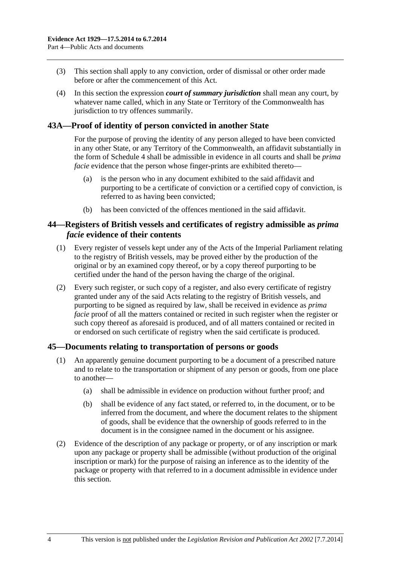- (3) This section shall apply to any conviction, order of dismissal or other order made before or after the commencement of this Act.
- (4) In this section the expression *court of summary jurisdiction* shall mean any court, by whatever name called, which in any State or Territory of the Commonwealth has jurisdiction to try offences summarily.

### **43A—Proof of identity of person convicted in another State**

For the purpose of proving the identity of any person alleged to have been convicted in any other State, or any Territory of the Commonwealth, an affidavit substantially in the form of [Schedule 4](#page-93-0) shall be admissible in evidence in all courts and shall be *prima facie* evidence that the person whose finger-prints are exhibited thereto—

- (a) is the person who in any document exhibited to the said affidavit and purporting to be a certificate of conviction or a certified copy of conviction, is referred to as having been convicted;
- (b) has been convicted of the offences mentioned in the said affidavit.

#### **44—Registers of British vessels and certificates of registry admissible as** *prima facie* **evidence of their contents**

- (1) Every register of vessels kept under any of the Acts of the Imperial Parliament relating to the registry of British vessels, may be proved either by the production of the original or by an examined copy thereof, or by a copy thereof purporting to be certified under the hand of the person having the charge of the original.
- (2) Every such register, or such copy of a register, and also every certificate of registry granted under any of the said Acts relating to the registry of British vessels, and purporting to be signed as required by law, shall be received in evidence as *prima facie* proof of all the matters contained or recited in such register when the register or such copy thereof as aforesaid is produced, and of all matters contained or recited in or endorsed on such certificate of registry when the said certificate is produced.

#### **45—Documents relating to transportation of persons or goods**

- (1) An apparently genuine document purporting to be a document of a prescribed nature and to relate to the transportation or shipment of any person or goods, from one place to another—
	- (a) shall be admissible in evidence on production without further proof; and
	- (b) shall be evidence of any fact stated, or referred to, in the document, or to be inferred from the document, and where the document relates to the shipment of goods, shall be evidence that the ownership of goods referred to in the document is in the consignee named in the document or his assignee.
- (2) Evidence of the description of any package or property, or of any inscription or mark upon any package or property shall be admissible (without production of the original inscription or mark) for the purpose of raising an inference as to the identity of the package or property with that referred to in a document admissible in evidence under this section.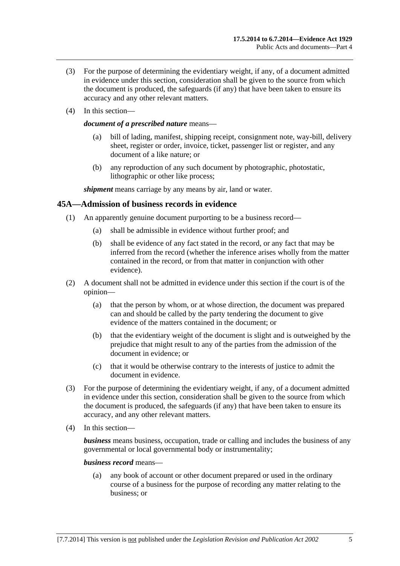- (3) For the purpose of determining the evidentiary weight, if any, of a document admitted in evidence under this section, consideration shall be given to the source from which the document is produced, the safeguards (if any) that have been taken to ensure its accuracy and any other relevant matters.
- (4) In this section—

#### *document of a prescribed nature* means—

- (a) bill of lading, manifest, shipping receipt, consignment note, way-bill, delivery sheet, register or order, invoice, ticket, passenger list or register, and any document of a like nature; or
- (b) any reproduction of any such document by photographic, photostatic, lithographic or other like process;

*shipment* means carriage by any means by air, land or water.

#### **45A—Admission of business records in evidence**

- (1) An apparently genuine document purporting to be a business record—
	- (a) shall be admissible in evidence without further proof; and
	- (b) shall be evidence of any fact stated in the record, or any fact that may be inferred from the record (whether the inference arises wholly from the matter contained in the record, or from that matter in conjunction with other evidence).
- (2) A document shall not be admitted in evidence under this section if the court is of the opinion—
	- (a) that the person by whom, or at whose direction, the document was prepared can and should be called by the party tendering the document to give evidence of the matters contained in the document; or
	- (b) that the evidentiary weight of the document is slight and is outweighed by the prejudice that might result to any of the parties from the admission of the document in evidence; or
	- (c) that it would be otherwise contrary to the interests of justice to admit the document in evidence.
- (3) For the purpose of determining the evidentiary weight, if any, of a document admitted in evidence under this section, consideration shall be given to the source from which the document is produced, the safeguards (if any) that have been taken to ensure its accuracy, and any other relevant matters.
- (4) In this section—

*business* means business, occupation, trade or calling and includes the business of any governmental or local governmental body or instrumentality;

#### *business record* means—

 (a) any book of account or other document prepared or used in the ordinary course of a business for the purpose of recording any matter relating to the business; or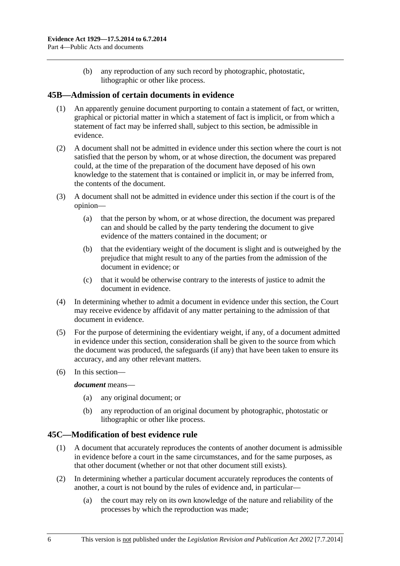(b) any reproduction of any such record by photographic, photostatic, lithographic or other like process.

#### **45B—Admission of certain documents in evidence**

- (1) An apparently genuine document purporting to contain a statement of fact, or written, graphical or pictorial matter in which a statement of fact is implicit, or from which a statement of fact may be inferred shall, subject to this section, be admissible in evidence.
- (2) A document shall not be admitted in evidence under this section where the court is not satisfied that the person by whom, or at whose direction, the document was prepared could, at the time of the preparation of the document have deposed of his own knowledge to the statement that is contained or implicit in, or may be inferred from, the contents of the document.
- (3) A document shall not be admitted in evidence under this section if the court is of the opinion—
	- (a) that the person by whom, or at whose direction, the document was prepared can and should be called by the party tendering the document to give evidence of the matters contained in the document; or
	- (b) that the evidentiary weight of the document is slight and is outweighed by the prejudice that might result to any of the parties from the admission of the document in evidence; or
	- (c) that it would be otherwise contrary to the interests of justice to admit the document in evidence.
- (4) In determining whether to admit a document in evidence under this section, the Court may receive evidence by affidavit of any matter pertaining to the admission of that document in evidence.
- (5) For the purpose of determining the evidentiary weight, if any, of a document admitted in evidence under this section, consideration shall be given to the source from which the document was produced, the safeguards (if any) that have been taken to ensure its accuracy, and any other relevant matters.
- (6) In this section—

#### *document* means—

- (a) any original document; or
- (b) any reproduction of an original document by photographic, photostatic or lithographic or other like process.

#### **45C—Modification of best evidence rule**

- (1) A document that accurately reproduces the contents of another document is admissible in evidence before a court in the same circumstances, and for the same purposes, as that other document (whether or not that other document still exists).
- (2) In determining whether a particular document accurately reproduces the contents of another, a court is not bound by the rules of evidence and, in particular—
	- (a) the court may rely on its own knowledge of the nature and reliability of the processes by which the reproduction was made;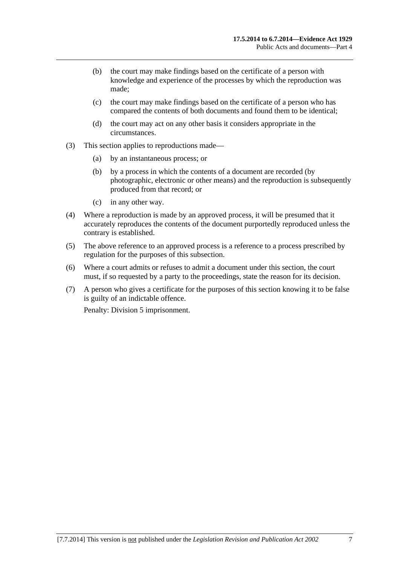- (b) the court may make findings based on the certificate of a person with knowledge and experience of the processes by which the reproduction was made;
- (c) the court may make findings based on the certificate of a person who has compared the contents of both documents and found them to be identical;
- (d) the court may act on any other basis it considers appropriate in the circumstances.
- (3) This section applies to reproductions made—
	- (a) by an instantaneous process; or
	- (b) by a process in which the contents of a document are recorded (by photographic, electronic or other means) and the reproduction is subsequently produced from that record; or
	- (c) in any other way.
- (4) Where a reproduction is made by an approved process, it will be presumed that it accurately reproduces the contents of the document purportedly reproduced unless the contrary is established.
- (5) The above reference to an approved process is a reference to a process prescribed by regulation for the purposes of this subsection.
- (6) Where a court admits or refuses to admit a document under this section, the court must, if so requested by a party to the proceedings, state the reason for its decision.
- (7) A person who gives a certificate for the purposes of this section knowing it to be false is guilty of an indictable offence.

Penalty: Division 5 imprisonment.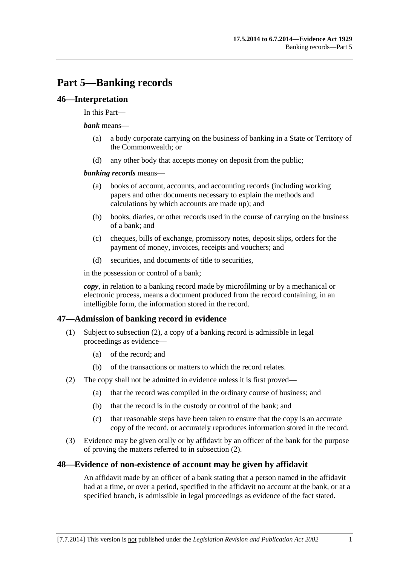# <span id="page-44-0"></span>**Part 5—Banking records**

#### **46—Interpretation**

#### In this Part—

#### *bank* means—

- (a) a body corporate carrying on the business of banking in a State or Territory of the Commonwealth; or
- (d) any other body that accepts money on deposit from the public;

#### *banking records* means—

- (a) books of account, accounts, and accounting records (including working papers and other documents necessary to explain the methods and calculations by which accounts are made up); and
- (b) books, diaries, or other records used in the course of carrying on the business of a bank; and
- (c) cheques, bills of exchange, promissory notes, deposit slips, orders for the payment of money, invoices, receipts and vouchers; and
- (d) securities, and documents of title to securities,

in the possession or control of a bank;

*copy*, in relation to a banking record made by microfilming or by a mechanical or electronic process, means a document produced from the record containing, in an intelligible form, the information stored in the record.

#### **47—Admission of banking record in evidence**

- (1) Subject to [subsection \(2\),](#page-44-0) a copy of a banking record is admissible in legal proceedings as evidence—
	- (a) of the record; and
	- (b) of the transactions or matters to which the record relates.
- (2) The copy shall not be admitted in evidence unless it is first proved—
	- (a) that the record was compiled in the ordinary course of business; and
	- (b) that the record is in the custody or control of the bank; and
	- (c) that reasonable steps have been taken to ensure that the copy is an accurate copy of the record, or accurately reproduces information stored in the record.
- (3) Evidence may be given orally or by affidavit by an officer of the bank for the purpose of proving the matters referred to in [subsection \(2\)](#page-44-0).

#### **48—Evidence of non-existence of account may be given by affidavit**

An affidavit made by an officer of a bank stating that a person named in the affidavit had at a time, or over a period, specified in the affidavit no account at the bank, or at a specified branch, is admissible in legal proceedings as evidence of the fact stated.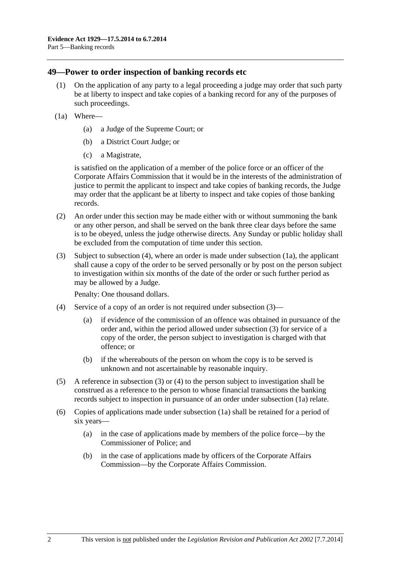#### <span id="page-45-0"></span>**49—Power to order inspection of banking records etc**

- (1) On the application of any party to a legal proceeding a judge may order that such party be at liberty to inspect and take copies of a banking record for any of the purposes of such proceedings.
- (1a) Where—
	- (a) a Judge of the Supreme Court; or
	- (b) a District Court Judge; or
	- (c) a Magistrate,

is satisfied on the application of a member of the police force or an officer of the Corporate Affairs Commission that it would be in the interests of the administration of justice to permit the applicant to inspect and take copies of banking records, the Judge may order that the applicant be at liberty to inspect and take copies of those banking records.

- (2) An order under this section may be made either with or without summoning the bank or any other person, and shall be served on the bank three clear days before the same is to be obeyed, unless the judge otherwise directs. Any Sunday or public holiday shall be excluded from the computation of time under this section.
- (3) Subject to [subsection \(4\),](#page-45-0) where an order is made under [subsection \(1a\),](#page-45-0) the applicant shall cause a copy of the order to be served personally or by post on the person subject to investigation within six months of the date of the order or such further period as may be allowed by a Judge.

Penalty: One thousand dollars.

- (4) Service of a copy of an order is not required under [subsection \(3\)](#page-45-0)
	- (a) if evidence of the commission of an offence was obtained in pursuance of the order and, within the period allowed under [subsection \(3\)](#page-45-0) for service of a copy of the order, the person subject to investigation is charged with that offence; or
	- (b) if the whereabouts of the person on whom the copy is to be served is unknown and not ascertainable by reasonable inquiry.
- (5) A reference in [subsection \(3\)](#page-45-0) or [\(4\)](#page-45-0) to the person subject to investigation shall be construed as a reference to the person to whose financial transactions the banking records subject to inspection in pursuance of an order under [subsection \(1a\)](#page-45-0) relate.
- (6) Copies of applications made under [subsection \(1a\)](#page-45-0) shall be retained for a period of six years—
	- (a) in the case of applications made by members of the police force—by the Commissioner of Police; and
	- (b) in the case of applications made by officers of the Corporate Affairs Commission—by the Corporate Affairs Commission.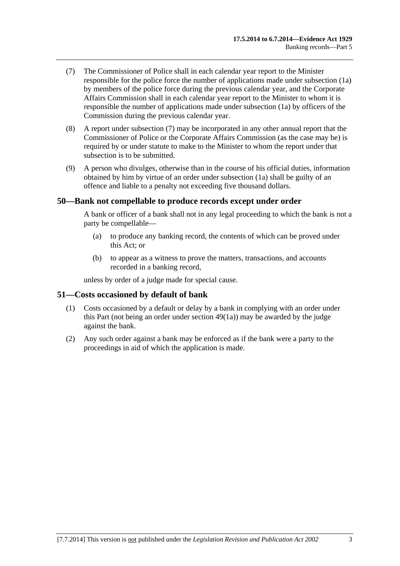- <span id="page-46-0"></span> (7) The Commissioner of Police shall in each calendar year report to the Minister responsible for the police force the number of applications made under [subsection \(1a\)](#page-45-0) by members of the police force during the previous calendar year, and the Corporate Affairs Commission shall in each calendar year report to the Minister to whom it is responsible the number of applications made under [subsection \(1a\)](#page-45-0) by officers of the Commission during the previous calendar year.
- (8) A report under [subsection \(7\)](#page-46-0) may be incorporated in any other annual report that the Commissioner of Police or the Corporate Affairs Commission (as the case may be) is required by or under statute to make to the Minister to whom the report under that subsection is to be submitted.
- (9) A person who divulges, otherwise than in the course of his official duties, information obtained by him by virtue of an order under [subsection \(1a\)](#page-45-0) shall be guilty of an offence and liable to a penalty not exceeding five thousand dollars.

#### **50—Bank not compellable to produce records except under order**

A bank or officer of a bank shall not in any legal proceeding to which the bank is not a party be compellable—

- (a) to produce any banking record, the contents of which can be proved under this Act; or
- (b) to appear as a witness to prove the matters, transactions, and accounts recorded in a banking record,

unless by order of a judge made for special cause.

#### **51—Costs occasioned by default of bank**

- (1) Costs occasioned by a default or delay by a bank in complying with an order under this Part (not being an order under [section 49\(1a\)\)](#page-45-0) may be awarded by the judge against the bank.
- (2) Any such order against a bank may be enforced as if the bank were a party to the proceedings in aid of which the application is made.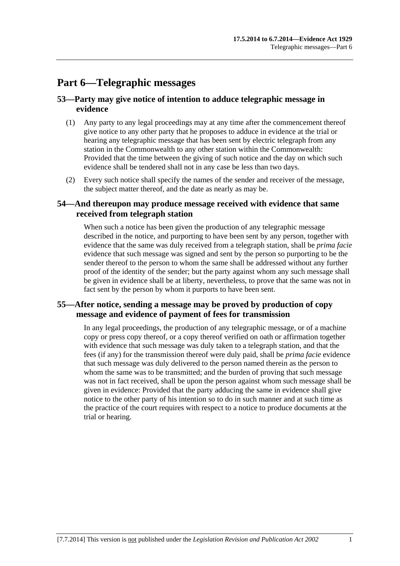# **Part 6—Telegraphic messages**

## **53—Party may give notice of intention to adduce telegraphic message in evidence**

- (1) Any party to any legal proceedings may at any time after the commencement thereof give notice to any other party that he proposes to adduce in evidence at the trial or hearing any telegraphic message that has been sent by electric telegraph from any station in the Commonwealth to any other station within the Commonwealth: Provided that the time between the giving of such notice and the day on which such evidence shall be tendered shall not in any case be less than two days.
- (2) Every such notice shall specify the names of the sender and receiver of the message, the subject matter thereof, and the date as nearly as may be.

## **54—And thereupon may produce message received with evidence that same received from telegraph station**

When such a notice has been given the production of any telegraphic message described in the notice, and purporting to have been sent by any person, together with evidence that the same was duly received from a telegraph station, shall be *prima facie* evidence that such message was signed and sent by the person so purporting to be the sender thereof to the person to whom the same shall be addressed without any further proof of the identity of the sender; but the party against whom any such message shall be given in evidence shall be at liberty, nevertheless, to prove that the same was not in fact sent by the person by whom it purports to have been sent.

## **55—After notice, sending a message may be proved by production of copy message and evidence of payment of fees for transmission**

In any legal proceedings, the production of any telegraphic message, or of a machine copy or press copy thereof, or a copy thereof verified on oath or affirmation together with evidence that such message was duly taken to a telegraph station, and that the fees (if any) for the transmission thereof were duly paid, shall be *prima facie* evidence that such message was duly delivered to the person named therein as the person to whom the same was to be transmitted; and the burden of proving that such message was not in fact received, shall be upon the person against whom such message shall be given in evidence: Provided that the party adducing the same in evidence shall give notice to the other party of his intention so to do in such manner and at such time as the practice of the court requires with respect to a notice to produce documents at the trial or hearing.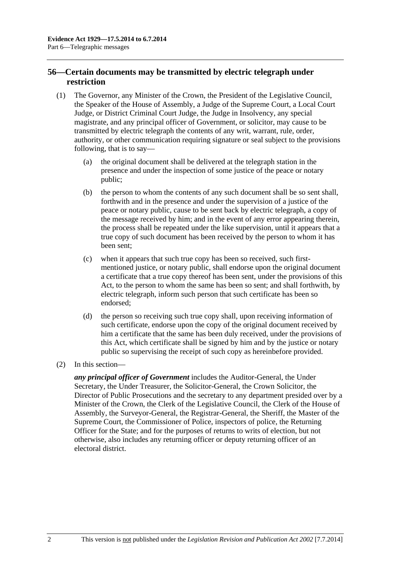# **56—Certain documents may be transmitted by electric telegraph under restriction**

- (1) The Governor, any Minister of the Crown, the President of the Legislative Council, the Speaker of the House of Assembly, a Judge of the Supreme Court, a Local Court Judge, or District Criminal Court Judge, the Judge in Insolvency, any special magistrate, and any principal officer of Government, or solicitor, may cause to be transmitted by electric telegraph the contents of any writ, warrant, rule, order, authority, or other communication requiring signature or seal subject to the provisions following, that is to say—
	- (a) the original document shall be delivered at the telegraph station in the presence and under the inspection of some justice of the peace or notary public;
	- (b) the person to whom the contents of any such document shall be so sent shall, forthwith and in the presence and under the supervision of a justice of the peace or notary public, cause to be sent back by electric telegraph, a copy of the message received by him; and in the event of any error appearing therein, the process shall be repeated under the like supervision, until it appears that a true copy of such document has been received by the person to whom it has been sent;
	- (c) when it appears that such true copy has been so received, such firstmentioned justice, or notary public, shall endorse upon the original document a certificate that a true copy thereof has been sent, under the provisions of this Act, to the person to whom the same has been so sent; and shall forthwith, by electric telegraph, inform such person that such certificate has been so endorsed;
	- (d) the person so receiving such true copy shall, upon receiving information of such certificate, endorse upon the copy of the original document received by him a certificate that the same has been duly received, under the provisions of this Act, which certificate shall be signed by him and by the justice or notary public so supervising the receipt of such copy as hereinbefore provided.
- (2) In this section—

*any principal officer of Government* includes the Auditor-General, the Under Secretary, the Under Treasurer, the Solicitor-General, the Crown Solicitor, the Director of Public Prosecutions and the secretary to any department presided over by a Minister of the Crown, the Clerk of the Legislative Council, the Clerk of the House of Assembly, the Surveyor-General, the Registrar-General, the Sheriff, the Master of the Supreme Court, the Commissioner of Police, inspectors of police, the Returning Officer for the State; and for the purposes of returns to writs of election, but not otherwise, also includes any returning officer or deputy returning officer of an electoral district.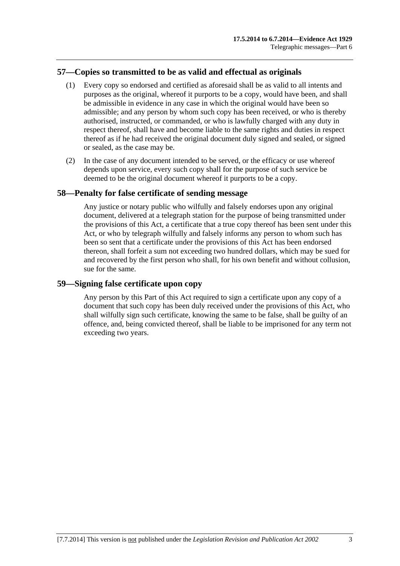# **57—Copies so transmitted to be as valid and effectual as originals**

- (1) Every copy so endorsed and certified as aforesaid shall be as valid to all intents and purposes as the original, whereof it purports to be a copy, would have been, and shall be admissible in evidence in any case in which the original would have been so admissible; and any person by whom such copy has been received, or who is thereby authorised, instructed, or commanded, or who is lawfully charged with any duty in respect thereof, shall have and become liable to the same rights and duties in respect thereof as if he had received the original document duly signed and sealed, or signed or sealed, as the case may be.
- (2) In the case of any document intended to be served, or the efficacy or use whereof depends upon service, every such copy shall for the purpose of such service be deemed to be the original document whereof it purports to be a copy.

#### **58—Penalty for false certificate of sending message**

Any justice or notary public who wilfully and falsely endorses upon any original document, delivered at a telegraph station for the purpose of being transmitted under the provisions of this Act, a certificate that a true copy thereof has been sent under this Act, or who by telegraph wilfully and falsely informs any person to whom such has been so sent that a certificate under the provisions of this Act has been endorsed thereon, shall forfeit a sum not exceeding two hundred dollars, which may be sued for and recovered by the first person who shall, for his own benefit and without collusion, sue for the same.

#### **59—Signing false certificate upon copy**

Any person by this Part of this Act required to sign a certificate upon any copy of a document that such copy has been duly received under the provisions of this Act, who shall wilfully sign such certificate, knowing the same to be false, shall be guilty of an offence, and, being convicted thereof, shall be liable to be imprisoned for any term not exceeding two years.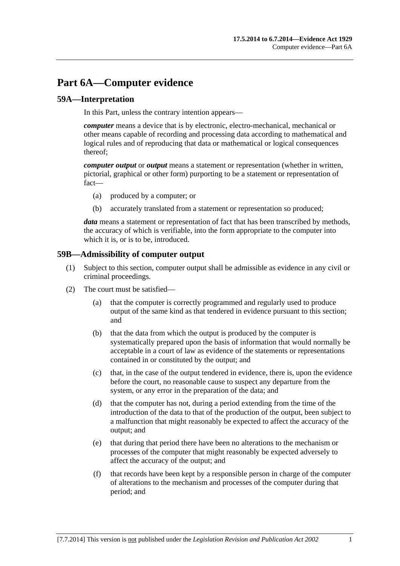# <span id="page-52-0"></span>**Part 6A—Computer evidence**

## **59A—Interpretation**

In this Part, unless the contrary intention appears—

*computer* means a device that is by electronic, electro-mechanical, mechanical or other means capable of recording and processing data according to mathematical and logical rules and of reproducing that data or mathematical or logical consequences thereof;

*computer output* or *output* means a statement or representation (whether in written, pictorial, graphical or other form) purporting to be a statement or representation of fact—

- (a) produced by a computer; or
- (b) accurately translated from a statement or representation so produced;

*data* means a statement or representation of fact that has been transcribed by methods, the accuracy of which is verifiable, into the form appropriate to the computer into which it is, or is to be, introduced.

#### **59B—Admissibility of computer output**

- (1) Subject to this section, computer output shall be admissible as evidence in any civil or criminal proceedings.
- (2) The court must be satisfied—
	- (a) that the computer is correctly programmed and regularly used to produce output of the same kind as that tendered in evidence pursuant to this section; and
	- (b) that the data from which the output is produced by the computer is systematically prepared upon the basis of information that would normally be acceptable in a court of law as evidence of the statements or representations contained in or constituted by the output; and
	- (c) that, in the case of the output tendered in evidence, there is, upon the evidence before the court, no reasonable cause to suspect any departure from the system, or any error in the preparation of the data; and
	- (d) that the computer has not, during a period extending from the time of the introduction of the data to that of the production of the output, been subject to a malfunction that might reasonably be expected to affect the accuracy of the output; and
	- (e) that during that period there have been no alterations to the mechanism or processes of the computer that might reasonably be expected adversely to affect the accuracy of the output; and
	- (f) that records have been kept by a responsible person in charge of the computer of alterations to the mechanism and processes of the computer during that period; and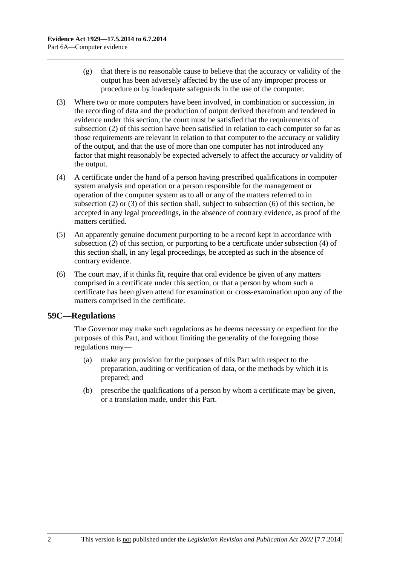- <span id="page-53-0"></span> (g) that there is no reasonable cause to believe that the accuracy or validity of the output has been adversely affected by the use of any improper process or procedure or by inadequate safeguards in the use of the computer.
- (3) Where two or more computers have been involved, in combination or succession, in the recording of data and the production of output derived therefrom and tendered in evidence under this section, the court must be satisfied that the requirements of [subsection \(2\)](#page-52-0) of this section have been satisfied in relation to each computer so far as those requirements are relevant in relation to that computer to the accuracy or validity of the output, and that the use of more than one computer has not introduced any factor that might reasonably be expected adversely to affect the accuracy or validity of the output.
- (4) A certificate under the hand of a person having prescribed qualifications in computer system analysis and operation or a person responsible for the management or operation of the computer system as to all or any of the matters referred to in [subsection \(2\)](#page-52-0) or [\(3\)](#page-53-0) of this section shall, subject to [subsection \(6\)](#page-53-0) of this section, be accepted in any legal proceedings, in the absence of contrary evidence, as proof of the matters certified.
- (5) An apparently genuine document purporting to be a record kept in accordance with [subsection \(2\)](#page-52-0) of this section, or purporting to be a certificate under [subsection \(4\)](#page-53-0) of this section shall, in any legal proceedings, be accepted as such in the absence of contrary evidence.
- (6) The court may, if it thinks fit, require that oral evidence be given of any matters comprised in a certificate under this section, or that a person by whom such a certificate has been given attend for examination or cross-examination upon any of the matters comprised in the certificate.

#### **59C—Regulations**

The Governor may make such regulations as he deems necessary or expedient for the purposes of this Part, and without limiting the generality of the foregoing those regulations may—

- (a) make any provision for the purposes of this Part with respect to the preparation, auditing or verification of data, or the methods by which it is prepared; and
- (b) prescribe the qualifications of a person by whom a certificate may be given, or a translation made, under this Part.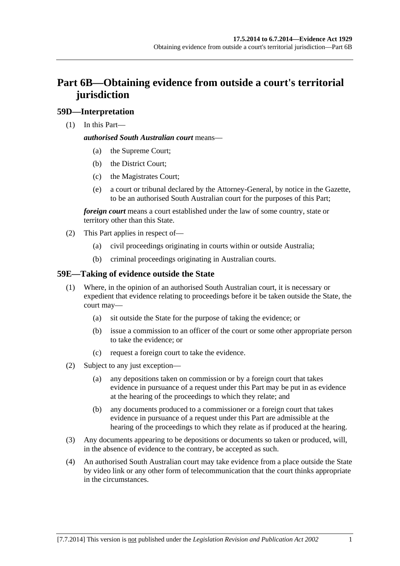# **Part 6B—Obtaining evidence from outside a court's territorial jurisdiction**

# **59D—Interpretation**

(1) In this Part—

#### *authorised South Australian court* means—

- (a) the Supreme Court;
- (b) the District Court;
- (c) the Magistrates Court;
- (e) a court or tribunal declared by the Attorney-General, by notice in the Gazette, to be an authorised South Australian court for the purposes of this Part;

*foreign court* means a court established under the law of some country, state or territory other than this State.

- (2) This Part applies in respect of—
	- (a) civil proceedings originating in courts within or outside Australia;
	- (b) criminal proceedings originating in Australian courts.

## **59E—Taking of evidence outside the State**

- (1) Where, in the opinion of an authorised South Australian court, it is necessary or expedient that evidence relating to proceedings before it be taken outside the State, the court may—
	- (a) sit outside the State for the purpose of taking the evidence; or
	- (b) issue a commission to an officer of the court or some other appropriate person to take the evidence; or
	- (c) request a foreign court to take the evidence.
- (2) Subject to any just exception—
	- (a) any depositions taken on commission or by a foreign court that takes evidence in pursuance of a request under this Part may be put in as evidence at the hearing of the proceedings to which they relate; and
	- (b) any documents produced to a commissioner or a foreign court that takes evidence in pursuance of a request under this Part are admissible at the hearing of the proceedings to which they relate as if produced at the hearing.
- (3) Any documents appearing to be depositions or documents so taken or produced, will, in the absence of evidence to the contrary, be accepted as such.
- (4) An authorised South Australian court may take evidence from a place outside the State by video link or any other form of telecommunication that the court thinks appropriate in the circumstances.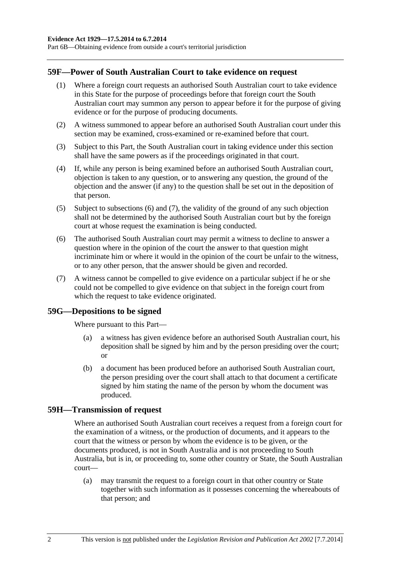<span id="page-55-0"></span>Part 6B—Obtaining evidence from outside a court's territorial jurisdiction

#### **59F—Power of South Australian Court to take evidence on request**

- (1) Where a foreign court requests an authorised South Australian court to take evidence in this State for the purpose of proceedings before that foreign court the South Australian court may summon any person to appear before it for the purpose of giving evidence or for the purpose of producing documents.
- (2) A witness summoned to appear before an authorised South Australian court under this section may be examined, cross-examined or re-examined before that court.
- (3) Subject to this Part, the South Australian court in taking evidence under this section shall have the same powers as if the proceedings originated in that court.
- (4) If, while any person is being examined before an authorised South Australian court, objection is taken to any question, or to answering any question, the ground of the objection and the answer (if any) to the question shall be set out in the deposition of that person.
- (5) Subject to [subsections \(6\)](#page-55-0) and [\(7\),](#page-55-0) the validity of the ground of any such objection shall not be determined by the authorised South Australian court but by the foreign court at whose request the examination is being conducted.
- (6) The authorised South Australian court may permit a witness to decline to answer a question where in the opinion of the court the answer to that question might incriminate him or where it would in the opinion of the court be unfair to the witness, or to any other person, that the answer should be given and recorded.
- (7) A witness cannot be compelled to give evidence on a particular subject if he or she could not be compelled to give evidence on that subject in the foreign court from which the request to take evidence originated.

#### **59G—Depositions to be signed**

Where pursuant to this Part—

- (a) a witness has given evidence before an authorised South Australian court, his deposition shall be signed by him and by the person presiding over the court; or
- (b) a document has been produced before an authorised South Australian court, the person presiding over the court shall attach to that document a certificate signed by him stating the name of the person by whom the document was produced.

#### **59H—Transmission of request**

Where an authorised South Australian court receives a request from a foreign court for the examination of a witness, or the production of documents, and it appears to the court that the witness or person by whom the evidence is to be given, or the documents produced, is not in South Australia and is not proceeding to South Australia, but is in, or proceeding to, some other country or State, the South Australian court—

 (a) may transmit the request to a foreign court in that other country or State together with such information as it possesses concerning the whereabouts of that person; and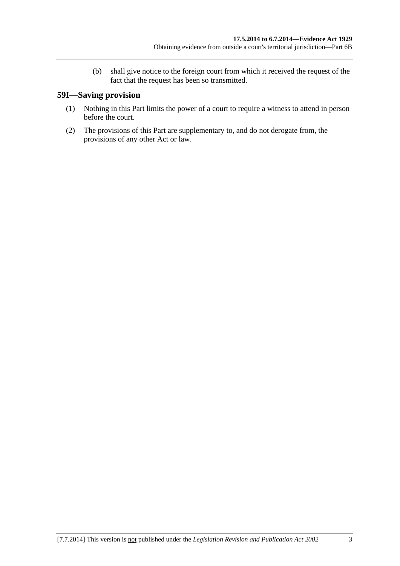(b) shall give notice to the foreign court from which it received the request of the fact that the request has been so transmitted.

# **59I—Saving provision**

- (1) Nothing in this Part limits the power of a court to require a witness to attend in person before the court.
- (2) The provisions of this Part are supplementary to, and do not derogate from, the provisions of any other Act or law.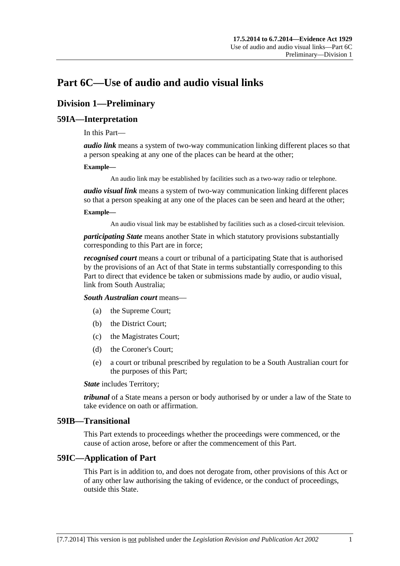# **Part 6C—Use of audio and audio visual links**

# **Division 1—Preliminary**

#### **59IA—Interpretation**

In this Part—

*audio link* means a system of two-way communication linking different places so that a person speaking at any one of the places can be heard at the other;

#### **Example—**

An audio link may be established by facilities such as a two-way radio or telephone.

*audio visual link* means a system of two-way communication linking different places so that a person speaking at any one of the places can be seen and heard at the other;

#### **Example—**

An audio visual link may be established by facilities such as a closed-circuit television.

*participating State* means another State in which statutory provisions substantially corresponding to this Part are in force;

*recognised court* means a court or tribunal of a participating State that is authorised by the provisions of an Act of that State in terms substantially corresponding to this Part to direct that evidence be taken or submissions made by audio, or audio visual, link from South Australia;

*South Australian court* means—

- (a) the Supreme Court;
- (b) the District Court;
- (c) the Magistrates Court;
- (d) the Coroner's Court;
- (e) a court or tribunal prescribed by regulation to be a South Australian court for the purposes of this Part;

*State* includes Territory;

*tribunal* of a State means a person or body authorised by or under a law of the State to take evidence on oath or affirmation.

#### **59IB—Transitional**

This Part extends to proceedings whether the proceedings were commenced, or the cause of action arose, before or after the commencement of this Part.

#### **59IC—Application of Part**

This Part is in addition to, and does not derogate from, other provisions of this Act or of any other law authorising the taking of evidence, or the conduct of proceedings, outside this State.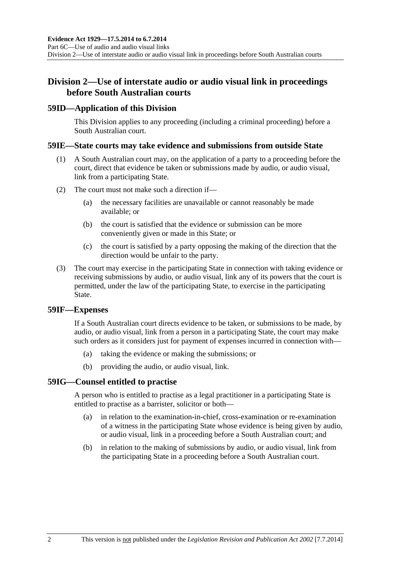# **Division 2—Use of interstate audio or audio visual link in proceedings before South Australian courts**

#### **59ID—Application of this Division**

This Division applies to any proceeding (including a criminal proceeding) before a South Australian court.

#### **59IE—State courts may take evidence and submissions from outside State**

- (1) A South Australian court may, on the application of a party to a proceeding before the court, direct that evidence be taken or submissions made by audio, or audio visual, link from a participating State.
- (2) The court must not make such a direction if—
	- (a) the necessary facilities are unavailable or cannot reasonably be made available; or
	- (b) the court is satisfied that the evidence or submission can be more conveniently given or made in this State; or
	- (c) the court is satisfied by a party opposing the making of the direction that the direction would be unfair to the party.
- (3) The court may exercise in the participating State in connection with taking evidence or receiving submissions by audio, or audio visual, link any of its powers that the court is permitted, under the law of the participating State, to exercise in the participating State.

#### **59IF—Expenses**

If a South Australian court directs evidence to be taken, or submissions to be made, by audio, or audio visual, link from a person in a participating State, the court may make such orders as it considers just for payment of expenses incurred in connection with—

- (a) taking the evidence or making the submissions; or
- (b) providing the audio, or audio visual, link.

#### **59IG—Counsel entitled to practise**

A person who is entitled to practise as a legal practitioner in a participating State is entitled to practise as a barrister, solicitor or both—

- (a) in relation to the examination-in-chief, cross-examination or re-examination of a witness in the participating State whose evidence is being given by audio, or audio visual, link in a proceeding before a South Australian court; and
- (b) in relation to the making of submissions by audio, or audio visual, link from the participating State in a proceeding before a South Australian court.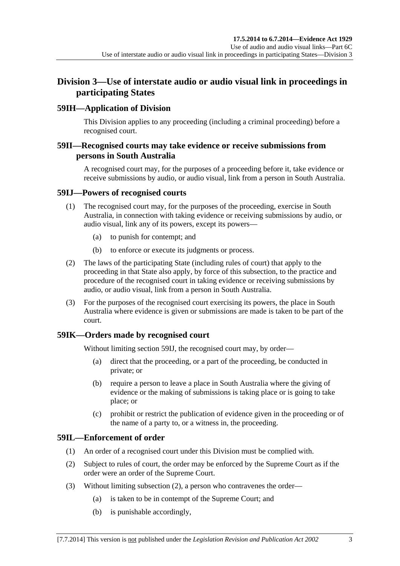# <span id="page-60-0"></span>**Division 3—Use of interstate audio or audio visual link in proceedings in participating States**

## **59IH—Application of Division**

This Division applies to any proceeding (including a criminal proceeding) before a recognised court.

### **59II—Recognised courts may take evidence or receive submissions from persons in South Australia**

A recognised court may, for the purposes of a proceeding before it, take evidence or receive submissions by audio, or audio visual, link from a person in South Australia.

#### **59IJ—Powers of recognised courts**

- (1) The recognised court may, for the purposes of the proceeding, exercise in South Australia, in connection with taking evidence or receiving submissions by audio, or audio visual, link any of its powers, except its powers—
	- (a) to punish for contempt; and
	- (b) to enforce or execute its judgments or process.
- (2) The laws of the participating State (including rules of court) that apply to the proceeding in that State also apply, by force of this subsection, to the practice and procedure of the recognised court in taking evidence or receiving submissions by audio, or audio visual, link from a person in South Australia.
- (3) For the purposes of the recognised court exercising its powers, the place in South Australia where evidence is given or submissions are made is taken to be part of the court.

#### **59IK—Orders made by recognised court**

Without limiting [section 59IJ,](#page-60-0) the recognised court may, by order—

- (a) direct that the proceeding, or a part of the proceeding, be conducted in private; or
- (b) require a person to leave a place in South Australia where the giving of evidence or the making of submissions is taking place or is going to take place; or
- (c) prohibit or restrict the publication of evidence given in the proceeding or of the name of a party to, or a witness in, the proceeding.

#### **59IL—Enforcement of order**

- (1) An order of a recognised court under this Division must be complied with.
- (2) Subject to rules of court, the order may be enforced by the Supreme Court as if the order were an order of the Supreme Court.
- (3) Without limiting [subsection \(2\),](#page-60-0) a person who contravenes the order—
	- (a) is taken to be in contempt of the Supreme Court; and
	- (b) is punishable accordingly,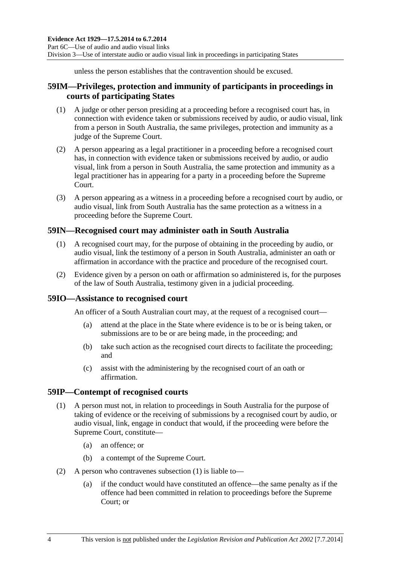unless the person establishes that the contravention should be excused.

# <span id="page-61-0"></span>**59IM—Privileges, protection and immunity of participants in proceedings in courts of participating States**

- (1) A judge or other person presiding at a proceeding before a recognised court has, in connection with evidence taken or submissions received by audio, or audio visual, link from a person in South Australia, the same privileges, protection and immunity as a judge of the Supreme Court.
- (2) A person appearing as a legal practitioner in a proceeding before a recognised court has, in connection with evidence taken or submissions received by audio, or audio visual, link from a person in South Australia, the same protection and immunity as a legal practitioner has in appearing for a party in a proceeding before the Supreme Court.
- (3) A person appearing as a witness in a proceeding before a recognised court by audio, or audio visual, link from South Australia has the same protection as a witness in a proceeding before the Supreme Court.

## **59IN—Recognised court may administer oath in South Australia**

- (1) A recognised court may, for the purpose of obtaining in the proceeding by audio, or audio visual, link the testimony of a person in South Australia, administer an oath or affirmation in accordance with the practice and procedure of the recognised court.
- (2) Evidence given by a person on oath or affirmation so administered is, for the purposes of the law of South Australia, testimony given in a judicial proceeding.

#### **59IO—Assistance to recognised court**

An officer of a South Australian court may, at the request of a recognised court—

- (a) attend at the place in the State where evidence is to be or is being taken, or submissions are to be or are being made, in the proceeding; and
- (b) take such action as the recognised court directs to facilitate the proceeding; and
- (c) assist with the administering by the recognised court of an oath or affirmation.

#### **59IP—Contempt of recognised courts**

- (1) A person must not, in relation to proceedings in South Australia for the purpose of taking of evidence or the receiving of submissions by a recognised court by audio, or audio visual, link, engage in conduct that would, if the proceeding were before the Supreme Court, constitute—
	- (a) an offence; or
	- (b) a contempt of the Supreme Court.
- (2) A person who contravenes [subsection \(1\)](#page-61-0) is liable to—
	- (a) if the conduct would have constituted an offence—the same penalty as if the offence had been committed in relation to proceedings before the Supreme Court; or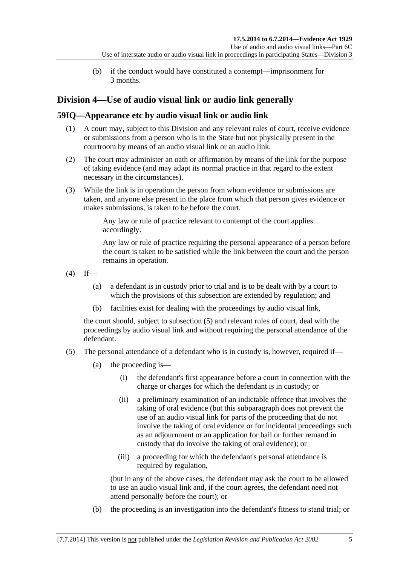(b) if the conduct would have constituted a contempt—imprisonment for 3 months.

# <span id="page-62-0"></span>**Division 4—Use of audio visual link or audio link generally**

# **59IQ—Appearance etc by audio visual link or audio link**

- (1) A court may, subject to this Division and any relevant rules of court, receive evidence or submissions from a person who is in the State but not physically present in the courtroom by means of an audio visual link or an audio link.
- (2) The court may administer an oath or affirmation by means of the link for the purpose of taking evidence (and may adapt its normal practice in that regard to the extent necessary in the circumstances).
- (3) While the link is in operation the person from whom evidence or submissions are taken, and anyone else present in the place from which that person gives evidence or makes submissions, is taken to be before the court.

Any law or rule of practice relevant to contempt of the court applies accordingly.

Any law or rule of practice requiring the personal appearance of a person before the court is taken to be satisfied while the link between the court and the person remains in operation.

 $(4)$  If—

- (a) a defendant is in custody prior to trial and is to be dealt with by a court to which the provisions of this subsection are extended by regulation; and
- (b) facilities exist for dealing with the proceedings by audio visual link,

the court should, subject to [subsection \(5\)](#page-62-0) and relevant rules of court, deal with the proceedings by audio visual link and without requiring the personal attendance of the defendant.

- (5) The personal attendance of a defendant who is in custody is, however, required if—
	- (a) the proceeding is—
		- (i) the defendant's first appearance before a court in connection with the charge or charges for which the defendant is in custody; or
		- (ii) a preliminary examination of an indictable offence that involves the taking of oral evidence (but this subparagraph does not prevent the use of an audio visual link for parts of the proceeding that do not involve the taking of oral evidence or for incidental proceedings such as an adjournment or an application for bail or further remand in custody that do involve the taking of oral evidence); or
		- (iii) a proceeding for which the defendant's personal attendance is required by regulation,

(but in any of the above cases, the defendant may ask the court to be allowed to use an audio visual link and, if the court agrees, the defendant need not attend personally before the court); or

(b) the proceeding is an investigation into the defendant's fitness to stand trial; or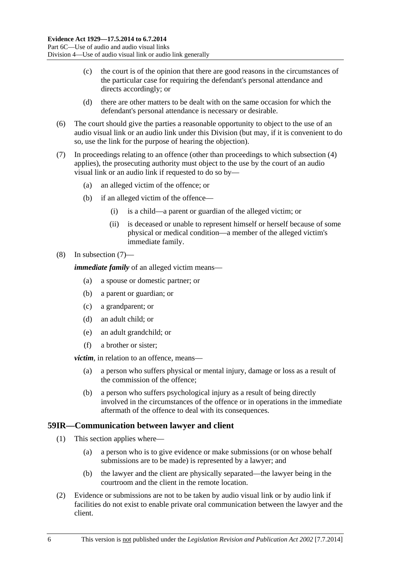- <span id="page-63-0"></span> (c) the court is of the opinion that there are good reasons in the circumstances of the particular case for requiring the defendant's personal attendance and directs accordingly; or
- (d) there are other matters to be dealt with on the same occasion for which the defendant's personal attendance is necessary or desirable.
- (6) The court should give the parties a reasonable opportunity to object to the use of an audio visual link or an audio link under this Division (but may, if it is convenient to do so, use the link for the purpose of hearing the objection).
- (7) In proceedings relating to an offence (other than proceedings to which [subsection \(4\)](#page-62-0) applies), the prosecuting authority must object to the use by the court of an audio visual link or an audio link if requested to do so by—
	- (a) an alleged victim of the offence; or
	- (b) if an alleged victim of the offence—
		- (i) is a child—a parent or guardian of the alleged victim; or
		- (ii) is deceased or unable to represent himself or herself because of some physical or medical condition—a member of the alleged victim's immediate family.

#### (8) In [subsection \(7\)—](#page-63-0)

*immediate family* of an alleged victim means—

- (a) a spouse or domestic partner; or
- (b) a parent or guardian; or
- (c) a grandparent; or
- (d) an adult child; or
- (e) an adult grandchild; or
- (f) a brother or sister;

*victim*, in relation to an offence, means—

- (a) a person who suffers physical or mental injury, damage or loss as a result of the commission of the offence;
- (b) a person who suffers psychological injury as a result of being directly involved in the circumstances of the offence or in operations in the immediate aftermath of the offence to deal with its consequences.

#### **59IR—Communication between lawyer and client**

- (1) This section applies where—
	- (a) a person who is to give evidence or make submissions (or on whose behalf submissions are to be made) is represented by a lawyer; and
	- (b) the lawyer and the client are physically separated—the lawyer being in the courtroom and the client in the remote location.
- (2) Evidence or submissions are not to be taken by audio visual link or by audio link if facilities do not exist to enable private oral communication between the lawyer and the client.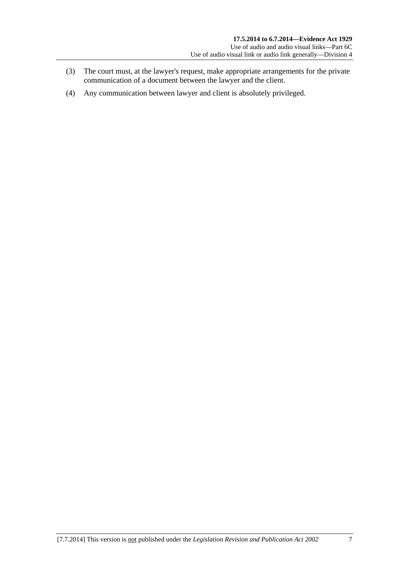- (3) The court must, at the lawyer's request, make appropriate arrangements for the private communication of a document between the lawyer and the client.
- (4) Any communication between lawyer and client is absolutely privileged.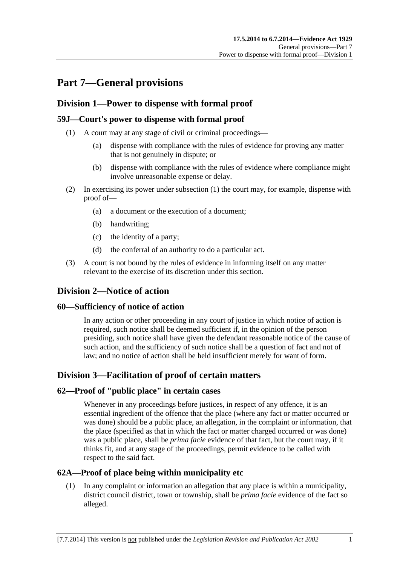# <span id="page-66-0"></span>**Part 7—General provisions**

# **Division 1—Power to dispense with formal proof**

### **59J—Court's power to dispense with formal proof**

- (1) A court may at any stage of civil or criminal proceedings—
	- (a) dispense with compliance with the rules of evidence for proving any matter that is not genuinely in dispute; or
	- (b) dispense with compliance with the rules of evidence where compliance might involve unreasonable expense or delay.
- (2) In exercising its power under [subsection \(1\)](#page-66-0) the court may, for example, dispense with proof of—
	- (a) a document or the execution of a document;
	- (b) handwriting;
	- (c) the identity of a party;
	- (d) the conferral of an authority to do a particular act.
- (3) A court is not bound by the rules of evidence in informing itself on any matter relevant to the exercise of its discretion under this section.

# **Division 2—Notice of action**

#### **60—Sufficiency of notice of action**

In any action or other proceeding in any court of justice in which notice of action is required, such notice shall be deemed sufficient if, in the opinion of the person presiding, such notice shall have given the defendant reasonable notice of the cause of such action, and the sufficiency of such notice shall be a question of fact and not of law; and no notice of action shall be held insufficient merely for want of form.

# **Division 3—Facilitation of proof of certain matters**

#### **62—Proof of "public place" in certain cases**

Whenever in any proceedings before justices, in respect of any offence, it is an essential ingredient of the offence that the place (where any fact or matter occurred or was done) should be a public place, an allegation, in the complaint or information, that the place (specified as that in which the fact or matter charged occurred or was done) was a public place, shall be *prima facie* evidence of that fact, but the court may, if it thinks fit, and at any stage of the proceedings, permit evidence to be called with respect to the said fact.

#### **62A—Proof of place being within municipality etc**

 (1) In any complaint or information an allegation that any place is within a municipality, district council district, town or township, shall be *prima facie* evidence of the fact so alleged.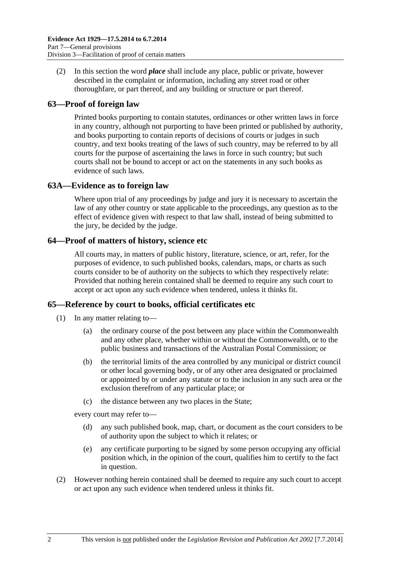(2) In this section the word *place* shall include any place, public or private, however described in the complaint or information, including any street road or other thoroughfare, or part thereof, and any building or structure or part thereof.

### **63—Proof of foreign law**

Printed books purporting to contain statutes, ordinances or other written laws in force in any country, although not purporting to have been printed or published by authority, and books purporting to contain reports of decisions of courts or judges in such country, and text books treating of the laws of such country, may be referred to by all courts for the purpose of ascertaining the laws in force in such country; but such courts shall not be bound to accept or act on the statements in any such books as evidence of such laws.

#### **63A—Evidence as to foreign law**

Where upon trial of any proceedings by judge and jury it is necessary to ascertain the law of any other country or state applicable to the proceedings, any question as to the effect of evidence given with respect to that law shall, instead of being submitted to the jury, be decided by the judge.

#### **64—Proof of matters of history, science etc**

All courts may, in matters of public history, literature, science, or art, refer, for the purposes of evidence, to such published books, calendars, maps, or charts as such courts consider to be of authority on the subjects to which they respectively relate: Provided that nothing herein contained shall be deemed to require any such court to accept or act upon any such evidence when tendered, unless it thinks fit.

#### **65—Reference by court to books, official certificates etc**

- (1) In any matter relating to—
	- (a) the ordinary course of the post between any place within the Commonwealth and any other place, whether within or without the Commonwealth, or to the public business and transactions of the Australian Postal Commission; or
	- (b) the territorial limits of the area controlled by any municipal or district council or other local governing body, or of any other area designated or proclaimed or appointed by or under any statute or to the inclusion in any such area or the exclusion therefrom of any particular place; or
	- (c) the distance between any two places in the State;

every court may refer to—

- (d) any such published book, map, chart, or document as the court considers to be of authority upon the subject to which it relates; or
- (e) any certificate purporting to be signed by some person occupying any official position which, in the opinion of the court, qualifies him to certify to the fact in question.
- (2) However nothing herein contained shall be deemed to require any such court to accept or act upon any such evidence when tendered unless it thinks fit.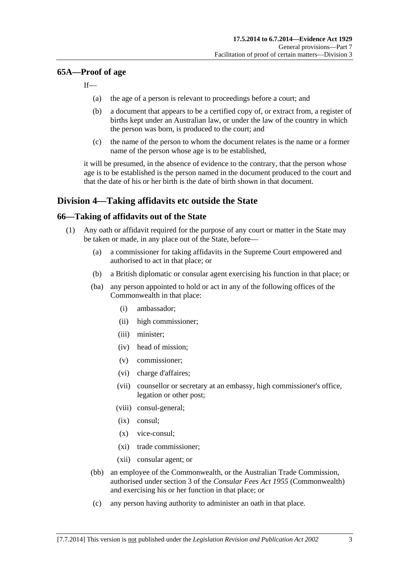#### <span id="page-68-0"></span>**65A—Proof of age**

If—

- (a) the age of a person is relevant to proceedings before a court; and
- (b) a document that appears to be a certified copy of, or extract from, a register of births kept under an Australian law, or under the law of the country in which the person was born, is produced to the court; and
- (c) the name of the person to whom the document relates is the name or a former name of the person whose age is to be established,

it will be presumed, in the absence of evidence to the contrary, that the person whose age is to be established is the person named in the document produced to the court and that the date of his or her birth is the date of birth shown in that document.

# **Division 4—Taking affidavits etc outside the State**

#### **66—Taking of affidavits out of the State**

- (1) Any oath or affidavit required for the purpose of any court or matter in the State may be taken or made, in any place out of the State, before—
	- (a) a commissioner for taking affidavits in the Supreme Court empowered and authorised to act in that place; or
	- (b) a British diplomatic or consular agent exercising his function in that place; or
	- (ba) any person appointed to hold or act in any of the following offices of the Commonwealth in that place:
		- (i) ambassador;
		- (ii) high commissioner;
		- (iii) minister;
		- (iv) head of mission;
		- (v) commissioner;
		- (vi) charge d'affaires;
		- (vii) counsellor or secretary at an embassy, high commissioner's office, legation or other post;
		- (viii) consul-general;
		- (ix) consul;
		- (x) vice-consul;
		- (xi) trade commissioner;
		- (xii) consular agent; or
	- (bb) an employee of the Commonwealth, or the Australian Trade Commission, authorised under section 3 of the *Consular Fees Act 1955* (Commonwealth) and exercising his or her function in that place; or
	- (c) any person having authority to administer an oath in that place.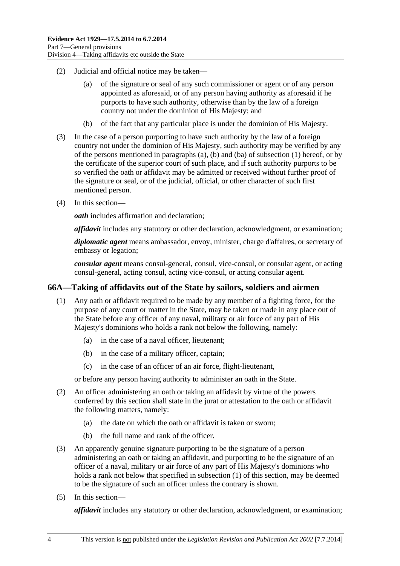- <span id="page-69-0"></span> (2) Judicial and official notice may be taken—
	- (a) of the signature or seal of any such commissioner or agent or of any person appointed as aforesaid, or of any person having authority as aforesaid if he purports to have such authority, otherwise than by the law of a foreign country not under the dominion of His Majesty; and
	- (b) of the fact that any particular place is under the dominion of His Majesty.
- (3) In the case of a person purporting to have such authority by the law of a foreign country not under the dominion of His Majesty, such authority may be verified by any of the persons mentioned in [paragraphs \(a\)](#page-68-0), [\(b\)](#page-68-0) and [\(ba\)](#page-68-0) of [subsection \(1\)](#page-68-0) hereof, or by the certificate of the superior court of such place, and if such authority purports to be so verified the oath or affidavit may be admitted or received without further proof of the signature or seal, or of the judicial, official, or other character of such first mentioned person.
- (4) In this section—

*oath* includes affirmation and declaration;

*affidavit* includes any statutory or other declaration, acknowledgment, or examination;

*diplomatic agent* means ambassador, envoy, minister, charge d'affaires, or secretary of embassy or legation;

*consular agent* means consul-general, consul, vice-consul, or consular agent, or acting consul-general, acting consul, acting vice-consul, or acting consular agent.

#### **66A—Taking of affidavits out of the State by sailors, soldiers and airmen**

- (1) Any oath or affidavit required to be made by any member of a fighting force, for the purpose of any court or matter in the State, may be taken or made in any place out of the State before any officer of any naval, military or air force of any part of His Majesty's dominions who holds a rank not below the following, namely:
	- (a) in the case of a naval officer, lieutenant;
	- (b) in the case of a military officer, captain;
	- (c) in the case of an officer of an air force, flight-lieutenant,

or before any person having authority to administer an oath in the State.

- (2) An officer administering an oath or taking an affidavit by virtue of the powers conferred by this section shall state in the jurat or attestation to the oath or affidavit the following matters, namely:
	- (a) the date on which the oath or affidavit is taken or sworn;
	- (b) the full name and rank of the officer.
- (3) An apparently genuine signature purporting to be the signature of a person administering an oath or taking an affidavit, and purporting to be the signature of an officer of a naval, military or air force of any part of His Majesty's dominions who holds a rank not below that specified in [subsection \(1\)](#page-69-0) of this section, may be deemed to be the signature of such an officer unless the contrary is shown.
- (5) In this section—

*affidavit* includes any statutory or other declaration, acknowledgment, or examination;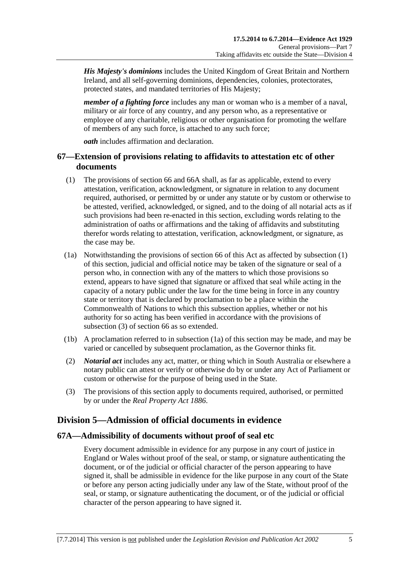<span id="page-70-0"></span>*His Majesty's dominions* includes the United Kingdom of Great Britain and Northern Ireland, and all self-governing dominions, dependencies, colonies, protectorates, protected states, and mandated territories of His Majesty;

*member of a fighting force* includes any man or woman who is a member of a naval, military or air force of any country, and any person who, as a representative or employee of any charitable, religious or other organisation for promoting the welfare of members of any such force, is attached to any such force;

*oath* includes affirmation and declaration.

## **67—Extension of provisions relating to affidavits to attestation etc of other documents**

- (1) The provisions of [section 66](#page-68-0) and [66A](#page-69-0) shall, as far as applicable, extend to every attestation, verification, acknowledgment, or signature in relation to any document required, authorised, or permitted by or under any statute or by custom or otherwise to be attested, verified, acknowledged, or signed, and to the doing of all notarial acts as if such provisions had been re-enacted in this section, excluding words relating to the administration of oaths or affirmations and the taking of affidavits and substituting therefor words relating to attestation, verification, acknowledgment, or signature, as the case may be.
- (1a) Notwithstanding the provisions of [section 66](#page-68-0) of this Act as affected by [subsection \(1\)](#page-70-0) of this section, judicial and official notice may be taken of the signature or seal of a person who, in connection with any of the matters to which those provisions so extend, appears to have signed that signature or affixed that seal while acting in the capacity of a notary public under the law for the time being in force in any country state or territory that is declared by proclamation to be a place within the Commonwealth of Nations to which this subsection applies, whether or not his authority for so acting has been verified in accordance with the provisions of [subsection \(3\)](#page-70-0) of [section 66](#page-68-0) as so extended.
- (1b) A proclamation referred to in [subsection \(1a\)](#page-70-0) of this section may be made, and may be varied or cancelled by subsequent proclamation, as the Governor thinks fit.
- (2) *Notarial act* includes any act, matter, or thing which in South Australia or elsewhere a notary public can attest or verify or otherwise do by or under any Act of Parliament or custom or otherwise for the purpose of being used in the State.
- (3) The provisions of this section apply to documents required, authorised, or permitted by or under the *[Real Property Act 1886](http://www.legislation.sa.gov.au/index.aspx?action=legref&type=act&legtitle=Real%20Property%20Act%201886)*.

# **Division 5—Admission of official documents in evidence**

#### **67A—Admissibility of documents without proof of seal etc**

Every document admissible in evidence for any purpose in any court of justice in England or Wales without proof of the seal, or stamp, or signature authenticating the document, or of the judicial or official character of the person appearing to have signed it, shall be admissible in evidence for the like purpose in any court of the State or before any person acting judicially under any law of the State, without proof of the seal, or stamp, or signature authenticating the document, or of the judicial or official character of the person appearing to have signed it.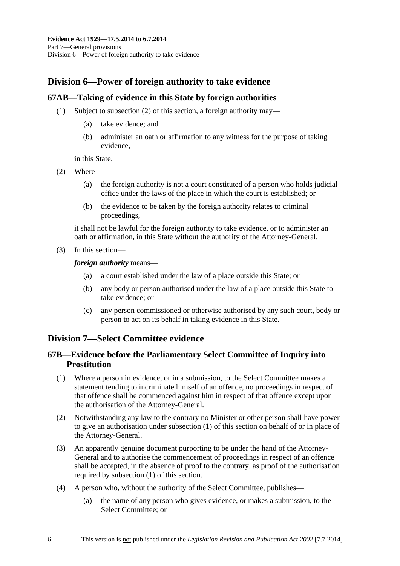# <span id="page-71-0"></span>**Division 6—Power of foreign authority to take evidence**

### **67AB—Taking of evidence in this State by foreign authorities**

- (1) Subject to [subsection \(2\)](#page-71-0) of this section, a foreign authority may—
	- (a) take evidence; and
	- (b) administer an oath or affirmation to any witness for the purpose of taking evidence,

in this State.

- (2) Where—
	- (a) the foreign authority is not a court constituted of a person who holds judicial office under the laws of the place in which the court is established; or
	- (b) the evidence to be taken by the foreign authority relates to criminal proceedings,

it shall not be lawful for the foreign authority to take evidence, or to administer an oath or affirmation, in this State without the authority of the Attorney-General.

(3) In this section—

*foreign authority* means—

- (a) a court established under the law of a place outside this State; or
- (b) any body or person authorised under the law of a place outside this State to take evidence; or
- (c) any person commissioned or otherwise authorised by any such court, body or person to act on its behalf in taking evidence in this State.

# **Division 7—Select Committee evidence**

## **67B—Evidence before the Parliamentary Select Committee of Inquiry into Prostitution**

- (1) Where a person in evidence, or in a submission, to the Select Committee makes a statement tending to incriminate himself of an offence, no proceedings in respect of that offence shall be commenced against him in respect of that offence except upon the authorisation of the Attorney-General.
- (2) Notwithstanding any law to the contrary no Minister or other person shall have power to give an authorisation under [subsection \(1\)](#page-71-0) of this section on behalf of or in place of the Attorney-General.
- (3) An apparently genuine document purporting to be under the hand of the Attorney-General and to authorise the commencement of proceedings in respect of an offence shall be accepted, in the absence of proof to the contrary, as proof of the authorisation required by [subsection \(1\)](#page-71-0) of this section.
- (4) A person who, without the authority of the Select Committee, publishes—
	- (a) the name of any person who gives evidence, or makes a submission, to the Select Committee; or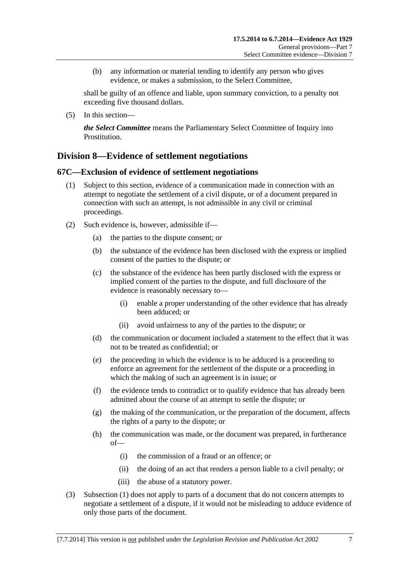<span id="page-72-0"></span> (b) any information or material tending to identify any person who gives evidence, or makes a submission, to the Select Committee,

shall be guilty of an offence and liable, upon summary conviction, to a penalty not exceeding five thousand dollars.

(5) In this section—

*the Select Committee* means the Parliamentary Select Committee of Inquiry into Prostitution.

# **Division 8—Evidence of settlement negotiations**

### **67C—Exclusion of evidence of settlement negotiations**

- (1) Subject to this section, evidence of a communication made in connection with an attempt to negotiate the settlement of a civil dispute, or of a document prepared in connection with such an attempt, is not admissible in any civil or criminal proceedings.
- (2) Such evidence is, however, admissible if—
	- (a) the parties to the dispute consent; or
	- (b) the substance of the evidence has been disclosed with the express or implied consent of the parties to the dispute; or
	- (c) the substance of the evidence has been partly disclosed with the express or implied consent of the parties to the dispute, and full disclosure of the evidence is reasonably necessary to—
		- (i) enable a proper understanding of the other evidence that has already been adduced; or
		- (ii) avoid unfairness to any of the parties to the dispute; or
	- (d) the communication or document included a statement to the effect that it was not to be treated as confidential; or
	- (e) the proceeding in which the evidence is to be adduced is a proceeding to enforce an agreement for the settlement of the dispute or a proceeding in which the making of such an agreement is in issue; or
	- (f) the evidence tends to contradict or to qualify evidence that has already been admitted about the course of an attempt to settle the dispute; or
	- (g) the making of the communication, or the preparation of the document, affects the rights of a party to the dispute; or
	- (h) the communication was made, or the document was prepared, in furtherance of—
		- (i) the commission of a fraud or an offence; or
		- (ii) the doing of an act that renders a person liable to a civil penalty; or
		- (iii) the abuse of a statutory power.
- (3) [Subsection \(1\)](#page-72-0) does not apply to parts of a document that do not concern attempts to negotiate a settlement of a dispute, if it would not be misleading to adduce evidence of only those parts of the document.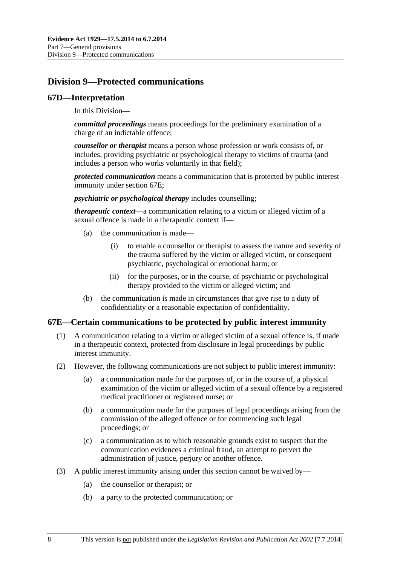# <span id="page-73-0"></span>**Division 9—Protected communications**

### **67D—Interpretation**

In this Division—

*committal proceedings* means proceedings for the preliminary examination of a charge of an indictable offence;

*counsellor or therapist* means a person whose profession or work consists of, or includes, providing psychiatric or psychological therapy to victims of trauma (and includes a person who works voluntarily in that field);

*protected communication* means a communication that is protected by public interest immunity under [section 67E](#page-73-0);

*psychiatric or psychological therapy* includes counselling;

*therapeutic context*—a communication relating to a victim or alleged victim of a sexual offence is made in a therapeutic context if—

- (a) the communication is made—
	- (i) to enable a counsellor or therapist to assess the nature and severity of the trauma suffered by the victim or alleged victim, or consequent psychiatric, psychological or emotional harm; or
	- (ii) for the purposes, or in the course, of psychiatric or psychological therapy provided to the victim or alleged victim; and
- (b) the communication is made in circumstances that give rise to a duty of confidentiality or a reasonable expectation of confidentiality.

### **67E—Certain communications to be protected by public interest immunity**

- (1) A communication relating to a victim or alleged victim of a sexual offence is, if made in a therapeutic context, protected from disclosure in legal proceedings by public interest immunity.
- (2) However, the following communications are not subject to public interest immunity:
	- (a) a communication made for the purposes of, or in the course of, a physical examination of the victim or alleged victim of a sexual offence by a registered medical practitioner or registered nurse; or
	- (b) a communication made for the purposes of legal proceedings arising from the commission of the alleged offence or for commencing such legal proceedings; or
	- (c) a communication as to which reasonable grounds exist to suspect that the communication evidences a criminal fraud, an attempt to pervert the administration of justice, perjury or another offence.
- (3) A public interest immunity arising under this section cannot be waived by—
	- (a) the counsellor or therapist; or
	- (b) a party to the protected communication; or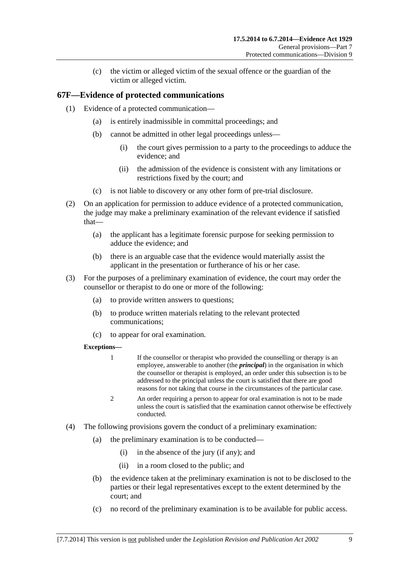(c) the victim or alleged victim of the sexual offence or the guardian of the victim or alleged victim.

## **67F—Evidence of protected communications**

- (1) Evidence of a protected communication—
	- (a) is entirely inadmissible in committal proceedings; and
	- (b) cannot be admitted in other legal proceedings unless—
		- (i) the court gives permission to a party to the proceedings to adduce the evidence; and
		- (ii) the admission of the evidence is consistent with any limitations or restrictions fixed by the court; and
	- (c) is not liable to discovery or any other form of pre-trial disclosure.
- (2) On an application for permission to adduce evidence of a protected communication, the judge may make a preliminary examination of the relevant evidence if satisfied that—
	- (a) the applicant has a legitimate forensic purpose for seeking permission to adduce the evidence; and
	- (b) there is an arguable case that the evidence would materially assist the applicant in the presentation or furtherance of his or her case.
- (3) For the purposes of a preliminary examination of evidence, the court may order the counsellor or therapist to do one or more of the following:
	- (a) to provide written answers to questions;
	- (b) to produce written materials relating to the relevant protected communications;
	- (c) to appear for oral examination.

### **Exceptions—**

- 1 If the counsellor or therapist who provided the counselling or therapy is an employee, answerable to another (the *principal*) in the organisation in which the counsellor or therapist is employed, an order under this subsection is to be addressed to the principal unless the court is satisfied that there are good reasons for not taking that course in the circumstances of the particular case.
- 2 An order requiring a person to appear for oral examination is not to be made unless the court is satisfied that the examination cannot otherwise be effectively conducted.
- (4) The following provisions govern the conduct of a preliminary examination:
	- (a) the preliminary examination is to be conducted—
		- (i) in the absence of the jury (if any); and
		- (ii) in a room closed to the public; and
	- (b) the evidence taken at the preliminary examination is not to be disclosed to the parties or their legal representatives except to the extent determined by the court; and
	- (c) no record of the preliminary examination is to be available for public access.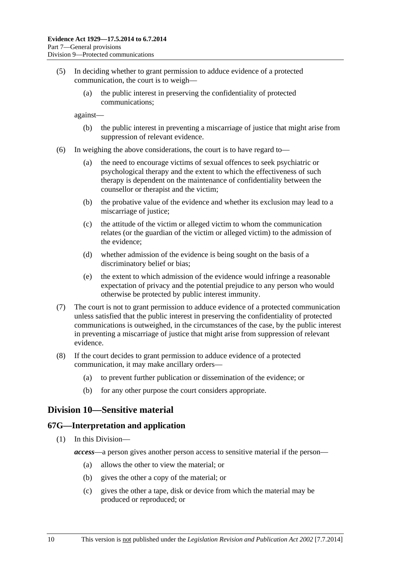- (5) In deciding whether to grant permission to adduce evidence of a protected communication, the court is to weigh—
	- (a) the public interest in preserving the confidentiality of protected communications;

against—

- (b) the public interest in preventing a miscarriage of justice that might arise from suppression of relevant evidence.
- (6) In weighing the above considerations, the court is to have regard to—
	- (a) the need to encourage victims of sexual offences to seek psychiatric or psychological therapy and the extent to which the effectiveness of such therapy is dependent on the maintenance of confidentiality between the counsellor or therapist and the victim;
	- (b) the probative value of the evidence and whether its exclusion may lead to a miscarriage of justice;
	- (c) the attitude of the victim or alleged victim to whom the communication relates (or the guardian of the victim or alleged victim) to the admission of the evidence;
	- (d) whether admission of the evidence is being sought on the basis of a discriminatory belief or bias;
	- (e) the extent to which admission of the evidence would infringe a reasonable expectation of privacy and the potential prejudice to any person who would otherwise be protected by public interest immunity.
- (7) The court is not to grant permission to adduce evidence of a protected communication unless satisfied that the public interest in preserving the confidentiality of protected communications is outweighed, in the circumstances of the case, by the public interest in preventing a miscarriage of justice that might arise from suppression of relevant evidence.
- (8) If the court decides to grant permission to adduce evidence of a protected communication, it may make ancillary orders—
	- (a) to prevent further publication or dissemination of the evidence; or
	- (b) for any other purpose the court considers appropriate.

## **Division 10—Sensitive material**

### **67G—Interpretation and application**

- (1) In this Division
	- *access*—a person gives another person access to sensitive material if the person—
		- (a) allows the other to view the material; or
		- (b) gives the other a copy of the material; or
		- (c) gives the other a tape, disk or device from which the material may be produced or reproduced; or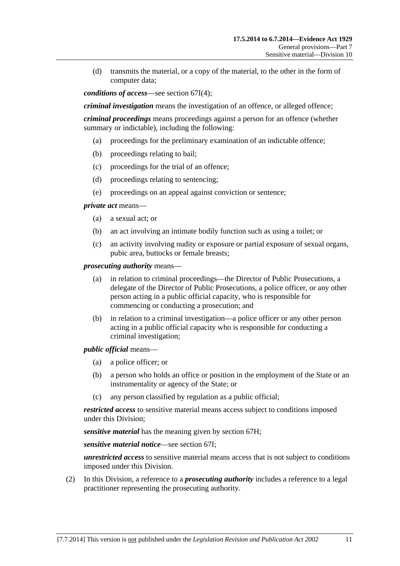(d) transmits the material, or a copy of the material, to the other in the form of computer data;

*conditions of access*—see [section 67I\(4\);](#page-77-0)

*criminal investigation* means the investigation of an offence, or alleged offence;

*criminal proceedings* means proceedings against a person for an offence (whether summary or indictable), including the following:

- (a) proceedings for the preliminary examination of an indictable offence;
- (b) proceedings relating to bail;
- (c) proceedings for the trial of an offence;
- (d) proceedings relating to sentencing;
- (e) proceedings on an appeal against conviction or sentence;

*private act* means—

- (a) a sexual act; or
- (b) an act involving an intimate bodily function such as using a toilet; or
- (c) an activity involving nudity or exposure or partial exposure of sexual organs, pubic area, buttocks or female breasts;

*prosecuting authority* means—

- (a) in relation to criminal proceedings—the Director of Public Prosecutions, a delegate of the Director of Public Prosecutions, a police officer, or any other person acting in a public official capacity, who is responsible for commencing or conducting a prosecution; and
- (b) in relation to a criminal investigation—a police officer or any other person acting in a public official capacity who is responsible for conducting a criminal investigation;

*public official* means—

- (a) a police officer; or
- (b) a person who holds an office or position in the employment of the State or an instrumentality or agency of the State; or
- (c) any person classified by regulation as a public official;

*restricted access* to sensitive material means access subject to conditions imposed under this Division;

*sensitive material* has the meaning given by [section 67H](#page-77-0);

*sensitive material notice*—see [section 67I](#page-77-0);

*unrestricted access* to sensitive material means access that is not subject to conditions imposed under this Division.

 (2) In this Division, a reference to a *prosecuting authority* includes a reference to a legal practitioner representing the prosecuting authority.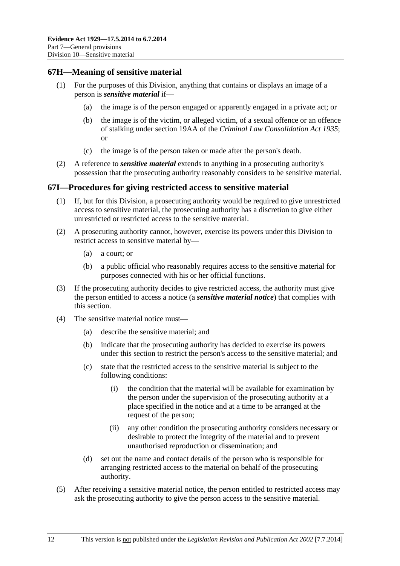### <span id="page-77-0"></span>**67H—Meaning of sensitive material**

- (1) For the purposes of this Division, anything that contains or displays an image of a person is *sensitive material* if—
	- (a) the image is of the person engaged or apparently engaged in a private act; or
	- (b) the image is of the victim, or alleged victim, of a sexual offence or an offence of stalking under section 19AA of the *[Criminal Law Consolidation Act 1935](http://www.legislation.sa.gov.au/index.aspx?action=legref&type=act&legtitle=Criminal%20Law%20Consolidation%20Act%201935)*; or
	- (c) the image is of the person taken or made after the person's death.
- (2) A reference to *sensitive material* extends to anything in a prosecuting authority's possession that the prosecuting authority reasonably considers to be sensitive material.

### **67I—Procedures for giving restricted access to sensitive material**

- (1) If, but for this Division, a prosecuting authority would be required to give unrestricted access to sensitive material, the prosecuting authority has a discretion to give either unrestricted or restricted access to the sensitive material.
- (2) A prosecuting authority cannot, however, exercise its powers under this Division to restrict access to sensitive material by—
	- (a) a court; or
	- (b) a public official who reasonably requires access to the sensitive material for purposes connected with his or her official functions.
- (3) If the prosecuting authority decides to give restricted access, the authority must give the person entitled to access a notice (a *sensitive material notice*) that complies with this section.
- (4) The sensitive material notice must—
	- (a) describe the sensitive material; and
	- (b) indicate that the prosecuting authority has decided to exercise its powers under this section to restrict the person's access to the sensitive material; and
	- (c) state that the restricted access to the sensitive material is subject to the following conditions:
		- (i) the condition that the material will be available for examination by the person under the supervision of the prosecuting authority at a place specified in the notice and at a time to be arranged at the request of the person;
		- (ii) any other condition the prosecuting authority considers necessary or desirable to protect the integrity of the material and to prevent unauthorised reproduction or dissemination; and
	- (d) set out the name and contact details of the person who is responsible for arranging restricted access to the material on behalf of the prosecuting authority.
- (5) After receiving a sensitive material notice, the person entitled to restricted access may ask the prosecuting authority to give the person access to the sensitive material.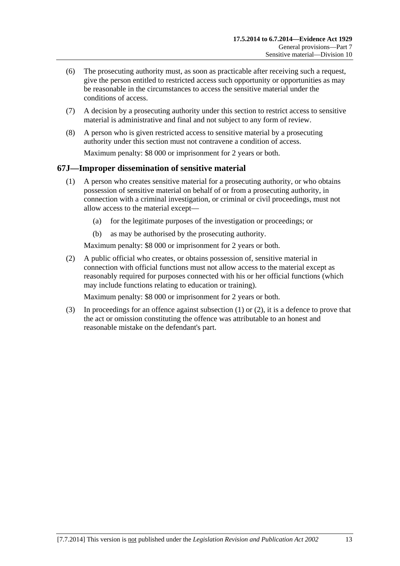- <span id="page-78-0"></span> (6) The prosecuting authority must, as soon as practicable after receiving such a request, give the person entitled to restricted access such opportunity or opportunities as may be reasonable in the circumstances to access the sensitive material under the conditions of access.
- (7) A decision by a prosecuting authority under this section to restrict access to sensitive material is administrative and final and not subject to any form of review.
- (8) A person who is given restricted access to sensitive material by a prosecuting authority under this section must not contravene a condition of access. Maximum penalty: \$8 000 or imprisonment for 2 years or both.

## **67J—Improper dissemination of sensitive material**

- (1) A person who creates sensitive material for a prosecuting authority, or who obtains possession of sensitive material on behalf of or from a prosecuting authority, in connection with a criminal investigation, or criminal or civil proceedings, must not allow access to the material except—
	- (a) for the legitimate purposes of the investigation or proceedings; or
	- (b) as may be authorised by the prosecuting authority.

Maximum penalty: \$8 000 or imprisonment for 2 years or both.

 (2) A public official who creates, or obtains possession of, sensitive material in connection with official functions must not allow access to the material except as reasonably required for purposes connected with his or her official functions (which may include functions relating to education or training).

Maximum penalty: \$8 000 or imprisonment for 2 years or both.

 (3) In proceedings for an offence against [subsection \(1\)](#page-78-0) or [\(2\)](#page-78-0), it is a defence to prove that the act or omission constituting the offence was attributable to an honest and reasonable mistake on the defendant's part.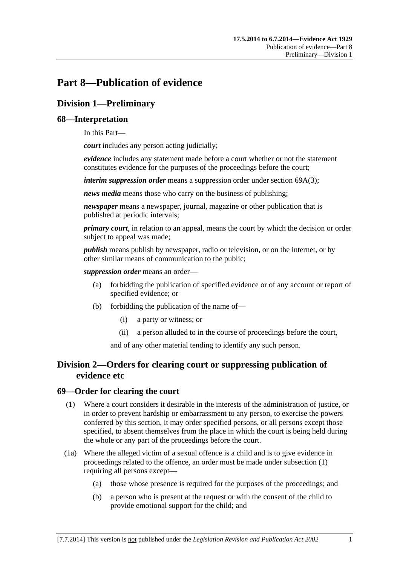# <span id="page-80-0"></span>**Part 8—Publication of evidence**

# **Division 1—Preliminary**

## **68—Interpretation**

In this Part—

*court* includes any person acting judicially;

*evidence* includes any statement made before a court whether or not the statement constitutes evidence for the purposes of the proceedings before the court;

*interim suppression order* means a suppression order under [section 69A\(3\)](#page-81-0);

*news media* means those who carry on the business of publishing;

*newspaper* means a newspaper, journal, magazine or other publication that is published at periodic intervals;

*primary court*, in relation to an appeal, means the court by which the decision or order subject to appeal was made;

*publish* means publish by newspaper, radio or television, or on the internet, or by other similar means of communication to the public;

*suppression order* means an order—

- (a) forbidding the publication of specified evidence or of any account or report of specified evidence; or
- (b) forbidding the publication of the name of—
	- (i) a party or witness; or
	- (ii) a person alluded to in the course of proceedings before the court,

and of any other material tending to identify any such person.

# **Division 2—Orders for clearing court or suppressing publication of evidence etc**

### **69—Order for clearing the court**

- (1) Where a court considers it desirable in the interests of the administration of justice, or in order to prevent hardship or embarrassment to any person, to exercise the powers conferred by this section, it may order specified persons, or all persons except those specified, to absent themselves from the place in which the court is being held during the whole or any part of the proceedings before the court.
- (1a) Where the alleged victim of a sexual offence is a child and is to give evidence in proceedings related to the offence, an order must be made under [subsection \(1\)](#page-80-0)  requiring all persons except—
	- (a) those whose presence is required for the purposes of the proceedings; and
	- (b) a person who is present at the request or with the consent of the child to provide emotional support for the child; and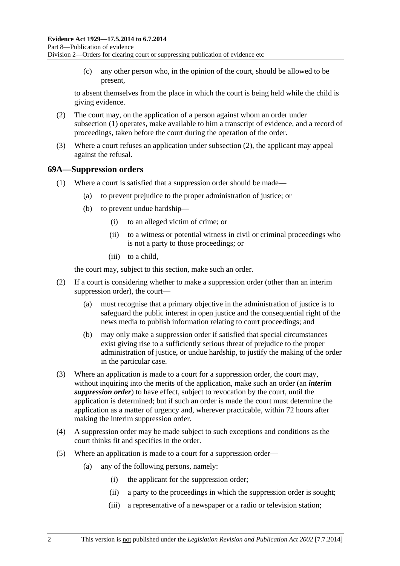<span id="page-81-0"></span> (c) any other person who, in the opinion of the court, should be allowed to be present,

to absent themselves from the place in which the court is being held while the child is giving evidence.

- (2) The court may, on the application of a person against whom an order under [subsection \(1\)](#page-80-0) operates, make available to him a transcript of evidence, and a record of proceedings, taken before the court during the operation of the order.
- (3) Where a court refuses an application under [subsection \(2\),](#page-81-0) the applicant may appeal against the refusal.

### **69A—Suppression orders**

- (1) Where a court is satisfied that a suppression order should be made—
	- (a) to prevent prejudice to the proper administration of justice; or
	- (b) to prevent undue hardship—
		- (i) to an alleged victim of crime; or
		- (ii) to a witness or potential witness in civil or criminal proceedings who is not a party to those proceedings; or
		- (iii) to a child,

the court may, subject to this section, make such an order.

- (2) If a court is considering whether to make a suppression order (other than an interim suppression order), the court—
	- (a) must recognise that a primary objective in the administration of justice is to safeguard the public interest in open justice and the consequential right of the news media to publish information relating to court proceedings; and
	- (b) may only make a suppression order if satisfied that special circumstances exist giving rise to a sufficiently serious threat of prejudice to the proper administration of justice, or undue hardship, to justify the making of the order in the particular case.
- (3) Where an application is made to a court for a suppression order, the court may, without inquiring into the merits of the application, make such an order (an *interim suppression order*) to have effect, subject to revocation by the court, until the application is determined; but if such an order is made the court must determine the application as a matter of urgency and, wherever practicable, within 72 hours after making the interim suppression order.
- (4) A suppression order may be made subject to such exceptions and conditions as the court thinks fit and specifies in the order.
- (5) Where an application is made to a court for a suppression order—
	- (a) any of the following persons, namely:
		- (i) the applicant for the suppression order;
		- (ii) a party to the proceedings in which the suppression order is sought;
		- (iii) a representative of a newspaper or a radio or television station;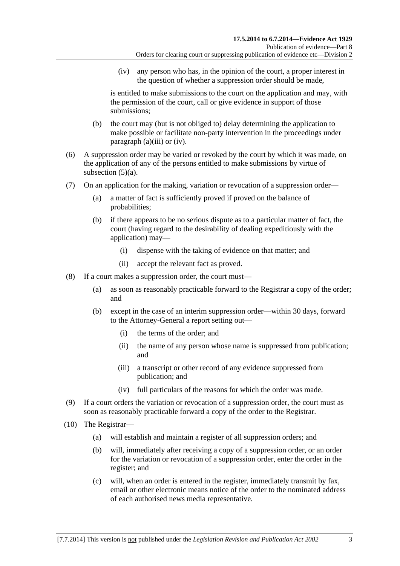<span id="page-82-0"></span> (iv) any person who has, in the opinion of the court, a proper interest in the question of whether a suppression order should be made,

is entitled to make submissions to the court on the application and may, with the permission of the court, call or give evidence in support of those submissions;

- (b) the court may (but is not obliged to) delay determining the application to make possible or facilitate non-party intervention in the proceedings under [paragraph \(a\)\(iii\)](#page-81-0) or [\(iv\)](#page-82-0).
- (6) A suppression order may be varied or revoked by the court by which it was made, on the application of any of the persons entitled to make submissions by virtue of subsection  $(5)(a)$ .
- (7) On an application for the making, variation or revocation of a suppression order—
	- (a) a matter of fact is sufficiently proved if proved on the balance of probabilities;
	- (b) if there appears to be no serious dispute as to a particular matter of fact, the court (having regard to the desirability of dealing expeditiously with the application) may—
		- (i) dispense with the taking of evidence on that matter; and
		- (ii) accept the relevant fact as proved.
- (8) If a court makes a suppression order, the court must—
	- (a) as soon as reasonably practicable forward to the Registrar a copy of the order; and
	- (b) except in the case of an interim suppression order—within 30 days, forward to the Attorney-General a report setting out—
		- (i) the terms of the order; and
		- (ii) the name of any person whose name is suppressed from publication; and
		- (iii) a transcript or other record of any evidence suppressed from publication; and
		- (iv) full particulars of the reasons for which the order was made.
- (9) If a court orders the variation or revocation of a suppression order, the court must as soon as reasonably practicable forward a copy of the order to the Registrar.
- (10) The Registrar—
	- (a) will establish and maintain a register of all suppression orders; and
	- (b) will, immediately after receiving a copy of a suppression order, or an order for the variation or revocation of a suppression order, enter the order in the register; and
	- (c) will, when an order is entered in the register, immediately transmit by fax, email or other electronic means notice of the order to the nominated address of each authorised news media representative.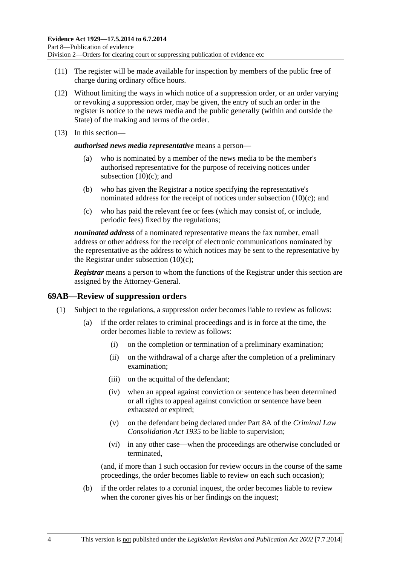- (11) The register will be made available for inspection by members of the public free of charge during ordinary office hours.
- (12) Without limiting the ways in which notice of a suppression order, or an order varying or revoking a suppression order, may be given, the entry of such an order in the register is notice to the news media and the public generally (within and outside the State) of the making and terms of the order.
- (13) In this section—

*authorised news media representative* means a person—

- (a) who is nominated by a member of the news media to be the member's authorised representative for the purpose of receiving notices under subsection  $(10)(c)$ ; and
- (b) who has given the Registrar a notice specifying the representative's nominated address for the receipt of notices under [subsection \(10\)\(c\);](#page-82-0) and
- (c) who has paid the relevant fee or fees (which may consist of, or include, periodic fees) fixed by the regulations;

*nominated address* of a nominated representative means the fax number, email address or other address for the receipt of electronic communications nominated by the representative as the address to which notices may be sent to the representative by the Registrar under subsection  $(10)(c)$ ;

*Registrar* means a person to whom the functions of the Registrar under this section are assigned by the Attorney-General.

### **69AB—Review of suppression orders**

- (1) Subject to the regulations, a suppression order becomes liable to review as follows:
	- (a) if the order relates to criminal proceedings and is in force at the time, the order becomes liable to review as follows:
		- (i) on the completion or termination of a preliminary examination;
		- (ii) on the withdrawal of a charge after the completion of a preliminary examination;
		- (iii) on the acquittal of the defendant;
		- (iv) when an appeal against conviction or sentence has been determined or all rights to appeal against conviction or sentence have been exhausted or expired;
		- (v) on the defendant being declared under Part 8A of the *[Criminal Law](http://www.legislation.sa.gov.au/index.aspx?action=legref&type=act&legtitle=Criminal%20Law%20Consolidation%20Act%201935)  [Consolidation Act 1935](http://www.legislation.sa.gov.au/index.aspx?action=legref&type=act&legtitle=Criminal%20Law%20Consolidation%20Act%201935)* to be liable to supervision;
		- (vi) in any other case—when the proceedings are otherwise concluded or terminated,

(and, if more than 1 such occasion for review occurs in the course of the same proceedings, the order becomes liable to review on each such occasion);

 (b) if the order relates to a coronial inquest, the order becomes liable to review when the coroner gives his or her findings on the inquest;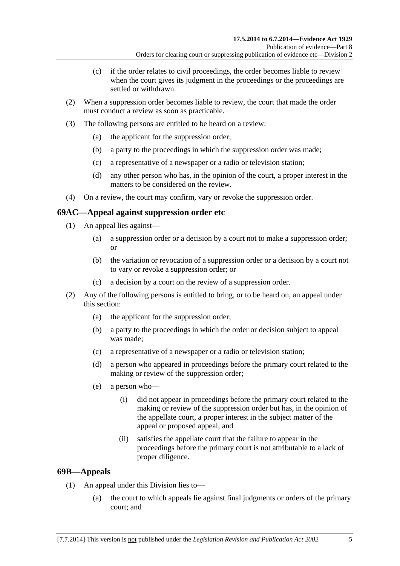- (c) if the order relates to civil proceedings, the order becomes liable to review when the court gives its judgment in the proceedings or the proceedings are settled or withdrawn.
- (2) When a suppression order becomes liable to review, the court that made the order must conduct a review as soon as practicable.
- (3) The following persons are entitled to be heard on a review:
	- (a) the applicant for the suppression order;
	- (b) a party to the proceedings in which the suppression order was made;
	- (c) a representative of a newspaper or a radio or television station;
	- (d) any other person who has, in the opinion of the court, a proper interest in the matters to be considered on the review.
- (4) On a review, the court may confirm, vary or revoke the suppression order.

## **69AC—Appeal against suppression order etc**

- (1) An appeal lies against—
	- (a) a suppression order or a decision by a court not to make a suppression order; or
	- (b) the variation or revocation of a suppression order or a decision by a court not to vary or revoke a suppression order; or
	- (c) a decision by a court on the review of a suppression order.
- (2) Any of the following persons is entitled to bring, or to be heard on, an appeal under this section:
	- (a) the applicant for the suppression order;
	- (b) a party to the proceedings in which the order or decision subject to appeal was made;
	- (c) a representative of a newspaper or a radio or television station;
	- (d) a person who appeared in proceedings before the primary court related to the making or review of the suppression order;
	- (e) a person who—
		- (i) did not appear in proceedings before the primary court related to the making or review of the suppression order but has, in the opinion of the appellate court, a proper interest in the subject matter of the appeal or proposed appeal; and
		- (ii) satisfies the appellate court that the failure to appear in the proceedings before the primary court is not attributable to a lack of proper diligence.

## **69B—Appeals**

- (1) An appeal under this Division lies to—
	- (a) the court to which appeals lie against final judgments or orders of the primary court; and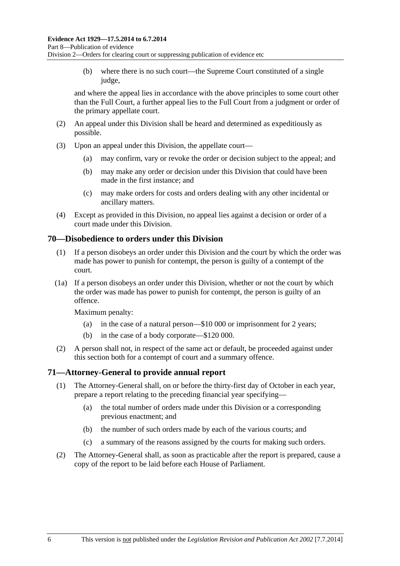(b) where there is no such court—the Supreme Court constituted of a single judge,

and where the appeal lies in accordance with the above principles to some court other than the Full Court, a further appeal lies to the Full Court from a judgment or order of the primary appellate court.

- (2) An appeal under this Division shall be heard and determined as expeditiously as possible.
- (3) Upon an appeal under this Division, the appellate court—
	- (a) may confirm, vary or revoke the order or decision subject to the appeal; and
	- (b) may make any order or decision under this Division that could have been made in the first instance; and
	- (c) may make orders for costs and orders dealing with any other incidental or ancillary matters.
- (4) Except as provided in this Division, no appeal lies against a decision or order of a court made under this Division.

### **70—Disobedience to orders under this Division**

- (1) If a person disobeys an order under this Division and the court by which the order was made has power to punish for contempt, the person is guilty of a contempt of the court.
- (1a) If a person disobeys an order under this Division, whether or not the court by which the order was made has power to punish for contempt, the person is guilty of an offence.

Maximum penalty:

- (a) in the case of a natural person—\$10 000 or imprisonment for 2 years;
- (b) in the case of a body corporate—\$120 000.
- (2) A person shall not, in respect of the same act or default, be proceeded against under this section both for a contempt of court and a summary offence.

### **71—Attorney-General to provide annual report**

- (1) The Attorney-General shall, on or before the thirty-first day of October in each year, prepare a report relating to the preceding financial year specifying—
	- (a) the total number of orders made under this Division or a corresponding previous enactment; and
	- (b) the number of such orders made by each of the various courts; and
	- (c) a summary of the reasons assigned by the courts for making such orders.
- (2) The Attorney-General shall, as soon as practicable after the report is prepared, cause a copy of the report to be laid before each House of Parliament.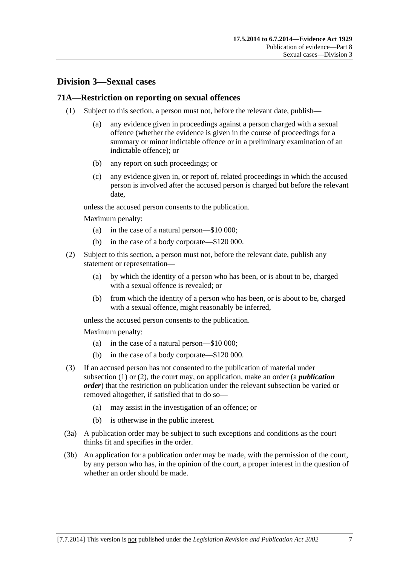# <span id="page-86-0"></span>**Division 3—Sexual cases**

### **71A—Restriction on reporting on sexual offences**

- (1) Subject to this section, a person must not, before the relevant date, publish—
	- (a) any evidence given in proceedings against a person charged with a sexual offence (whether the evidence is given in the course of proceedings for a summary or minor indictable offence or in a preliminary examination of an indictable offence); or
	- (b) any report on such proceedings; or
	- (c) any evidence given in, or report of, related proceedings in which the accused person is involved after the accused person is charged but before the relevant date,

unless the accused person consents to the publication.

Maximum penalty:

- (a) in the case of a natural person—\$10 000;
- (b) in the case of a body corporate—\$120 000.
- (2) Subject to this section, a person must not, before the relevant date, publish any statement or representation—
	- (a) by which the identity of a person who has been, or is about to be, charged with a sexual offence is revealed; or
	- (b) from which the identity of a person who has been, or is about to be, charged with a sexual offence, might reasonably be inferred,

unless the accused person consents to the publication.

Maximum penalty:

- (a) in the case of a natural person—\$10 000;
- (b) in the case of a body corporate—\$120 000.
- (3) If an accused person has not consented to the publication of material under [subsection \(1\)](#page-86-0) or [\(2\)](#page-86-0), the court may, on application, make an order (a *publication order*) that the restriction on publication under the relevant subsection be varied or removed altogether, if satisfied that to do so—
	- (a) may assist in the investigation of an offence; or
	- (b) is otherwise in the public interest.
- (3a) A publication order may be subject to such exceptions and conditions as the court thinks fit and specifies in the order.
- (3b) An application for a publication order may be made, with the permission of the court, by any person who has, in the opinion of the court, a proper interest in the question of whether an order should be made.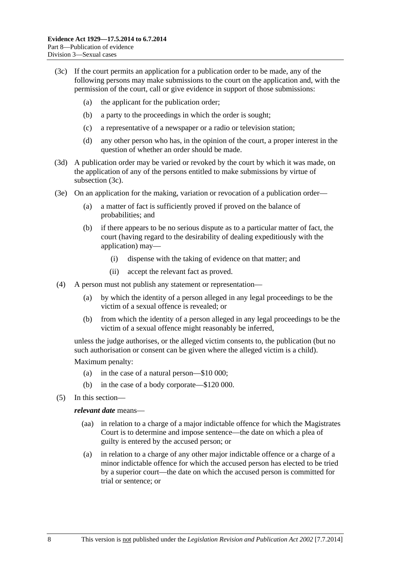- <span id="page-87-0"></span> (3c) If the court permits an application for a publication order to be made, any of the following persons may make submissions to the court on the application and, with the permission of the court, call or give evidence in support of those submissions:
	- (a) the applicant for the publication order;
	- (b) a party to the proceedings in which the order is sought;
	- (c) a representative of a newspaper or a radio or television station;
	- (d) any other person who has, in the opinion of the court, a proper interest in the question of whether an order should be made.
- (3d) A publication order may be varied or revoked by the court by which it was made, on the application of any of the persons entitled to make submissions by virtue of [subsection \(3c\).](#page-87-0)
- (3e) On an application for the making, variation or revocation of a publication order—
	- (a) a matter of fact is sufficiently proved if proved on the balance of probabilities; and
	- (b) if there appears to be no serious dispute as to a particular matter of fact, the court (having regard to the desirability of dealing expeditiously with the application) may—
		- (i) dispense with the taking of evidence on that matter; and
		- (ii) accept the relevant fact as proved.
- (4) A person must not publish any statement or representation—
	- (a) by which the identity of a person alleged in any legal proceedings to be the victim of a sexual offence is revealed; or
	- (b) from which the identity of a person alleged in any legal proceedings to be the victim of a sexual offence might reasonably be inferred,

unless the judge authorises, or the alleged victim consents to, the publication (but no such authorisation or consent can be given where the alleged victim is a child).

Maximum penalty:

- (a) in the case of a natural person—\$10 000;
- (b) in the case of a body corporate—\$120 000.
- (5) In this section—

### *relevant date* means—

- (aa) in relation to a charge of a major indictable offence for which the Magistrates Court is to determine and impose sentence—the date on which a plea of guilty is entered by the accused person; or
- (a) in relation to a charge of any other major indictable offence or a charge of a minor indictable offence for which the accused person has elected to be tried by a superior court—the date on which the accused person is committed for trial or sentence; or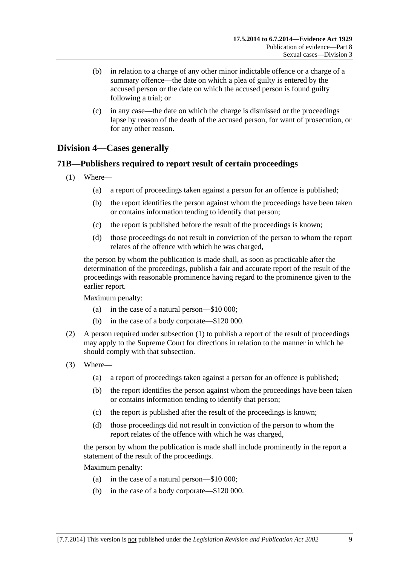- <span id="page-88-0"></span> (b) in relation to a charge of any other minor indictable offence or a charge of a summary offence—the date on which a plea of guilty is entered by the accused person or the date on which the accused person is found guilty following a trial; or
- (c) in any case—the date on which the charge is dismissed or the proceedings lapse by reason of the death of the accused person, for want of prosecution, or for any other reason.

# **Division 4—Cases generally**

## **71B—Publishers required to report result of certain proceedings**

- (1) Where—
	- (a) a report of proceedings taken against a person for an offence is published;
	- (b) the report identifies the person against whom the proceedings have been taken or contains information tending to identify that person;
	- (c) the report is published before the result of the proceedings is known;
	- (d) those proceedings do not result in conviction of the person to whom the report relates of the offence with which he was charged,

the person by whom the publication is made shall, as soon as practicable after the determination of the proceedings, publish a fair and accurate report of the result of the proceedings with reasonable prominence having regard to the prominence given to the earlier report.

Maximum penalty:

- (a) in the case of a natural person—\$10 000;
- (b) in the case of a body corporate—\$120 000.
- (2) A person required under [subsection \(1\)](#page-88-0) to publish a report of the result of proceedings may apply to the Supreme Court for directions in relation to the manner in which he should comply with that subsection.
- (3) Where—
	- (a) a report of proceedings taken against a person for an offence is published;
	- (b) the report identifies the person against whom the proceedings have been taken or contains information tending to identify that person;
	- (c) the report is published after the result of the proceedings is known;
	- (d) those proceedings did not result in conviction of the person to whom the report relates of the offence with which he was charged,

the person by whom the publication is made shall include prominently in the report a statement of the result of the proceedings.

Maximum penalty:

- (a) in the case of a natural person—\$10 000;
- (b) in the case of a body corporate—\$120 000.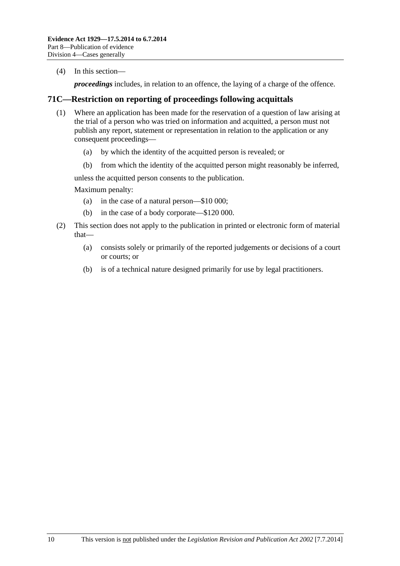(4) In this section—

*proceedings* includes, in relation to an offence, the laying of a charge of the offence.

### **71C—Restriction on reporting of proceedings following acquittals**

- (1) Where an application has been made for the reservation of a question of law arising at the trial of a person who was tried on information and acquitted, a person must not publish any report, statement or representation in relation to the application or any consequent proceedings—
	- (a) by which the identity of the acquitted person is revealed; or
	- (b) from which the identity of the acquitted person might reasonably be inferred,

unless the acquitted person consents to the publication.

Maximum penalty:

- (a) in the case of a natural person—\$10 000;
- (b) in the case of a body corporate—\$120 000.
- (2) This section does not apply to the publication in printed or electronic form of material that—
	- (a) consists solely or primarily of the reported judgements or decisions of a court or courts; or
	- (b) is of a technical nature designed primarily for use by legal practitioners.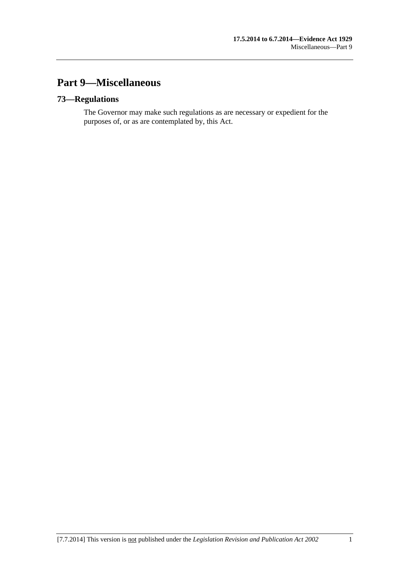# **Part 9—Miscellaneous**

# **73—Regulations**

The Governor may make such regulations as are necessary or expedient for the purposes of, or as are contemplated by, this Act.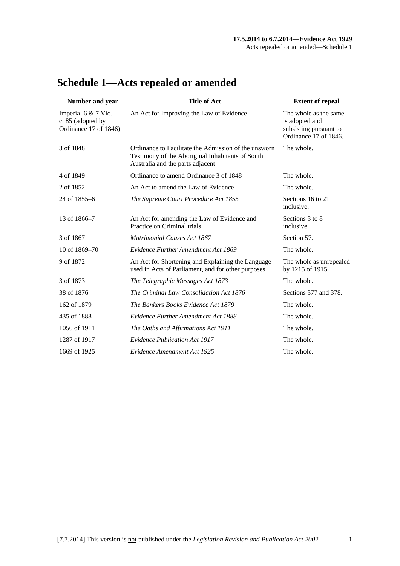| Number and year                                                   | <b>Title of Act</b>                                                                                                                          | <b>Extent of repeal</b>                                                                    |
|-------------------------------------------------------------------|----------------------------------------------------------------------------------------------------------------------------------------------|--------------------------------------------------------------------------------------------|
| Imperial 6 & 7 Vic.<br>c. 85 (adopted by<br>Ordinance 17 of 1846) | An Act for Improving the Law of Evidence                                                                                                     | The whole as the same<br>is adopted and<br>subsisting pursuant to<br>Ordinance 17 of 1846. |
| 3 of 1848                                                         | Ordinance to Facilitate the Admission of the unsworn<br>Testimony of the Aboriginal Inhabitants of South<br>Australia and the parts adjacent | The whole.                                                                                 |
| 4 of 1849                                                         | Ordinance to amend Ordinance 3 of 1848                                                                                                       | The whole.                                                                                 |
| 2 of 1852                                                         | An Act to amend the Law of Evidence                                                                                                          | The whole.                                                                                 |
| 24 of 1855–6                                                      | The Supreme Court Procedure Act 1855                                                                                                         | Sections 16 to 21<br>inclusive.                                                            |
| 13 of 1866–7                                                      | An Act for amending the Law of Evidence and<br>Practice on Criminal trials                                                                   | Sections 3 to 8<br>inclusive.                                                              |
| 3 of 1867                                                         | <b>Matrimonial Causes Act 1867</b>                                                                                                           | Section 57.                                                                                |
| 10 of 1869-70                                                     | Evidence Further Amendment Act 1869                                                                                                          | The whole.                                                                                 |
| 9 of 1872                                                         | An Act for Shortening and Explaining the Language<br>used in Acts of Parliament, and for other purposes                                      | The whole as unrepealed<br>by 1215 of 1915.                                                |
| 3 of 1873                                                         | The Telegraphic Messages Act 1873                                                                                                            | The whole.                                                                                 |
| 38 of 1876                                                        | The Criminal Law Consolidation Act 1876                                                                                                      | Sections 377 and 378.                                                                      |
| 162 of 1879                                                       | The Bankers Books Evidence Act 1879                                                                                                          | The whole.                                                                                 |
| 435 of 1888                                                       | <b>Evidence Further Amendment Act 1888</b>                                                                                                   | The whole.                                                                                 |
| 1056 of 1911                                                      | The Oaths and Affirmations Act 1911                                                                                                          | The whole.                                                                                 |
| 1287 of 1917                                                      | <b>Evidence Publication Act 1917</b>                                                                                                         | The whole.                                                                                 |
| 1669 of 1925                                                      | Evidence Amendment Act 1925                                                                                                                  | The whole.                                                                                 |

# **Schedule 1—Acts repealed or amended**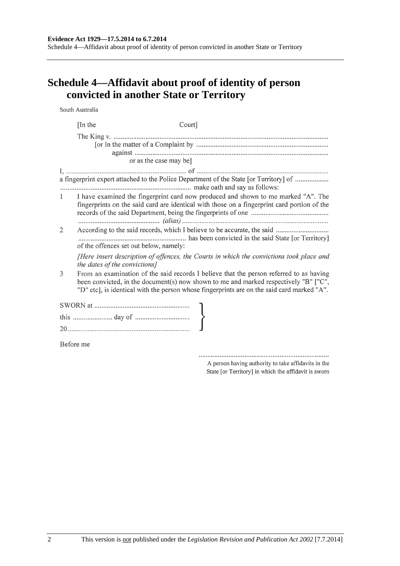**Schedule 4—Affidavit about proof of identity of person convicted in another State or Territory** 

South Australia Court] [In the or as the case may bel a fingerprint expert attached to the Police Department of the State [or Territory] of ........................ I have examined the fingerprint card now produced and shown to me marked "A". The  $\mathbf{1}$ fingerprints on the said card are identical with those on a fingerprint card portion of the 2 of the offences set out below, namely: [Here insert description of offences, the Courts in which the convictions took place and the dates of the convictions] 3 From an examination of the said records I believe that the person referred to as having been convicted, in the document(s) now shown to me and marked respectively "B" ["C", "D" etc], is identical with the person whose fingerprints are on the said card marked "A". Before me

> A person having authority to take affidavits in the State [or Territory] in which the affidavit is sworn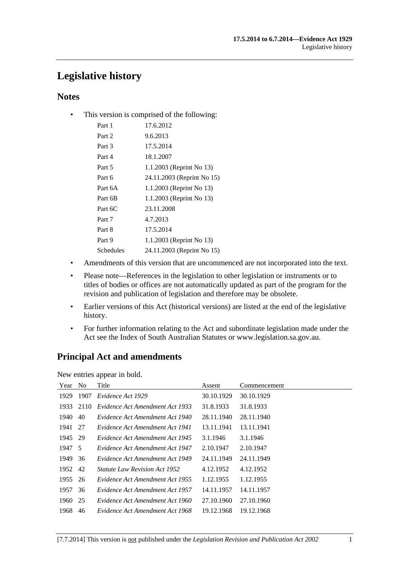# **Legislative history**

## **Notes**

• This version is comprised of the following:

| Part 1    | 17.6.2012                  |
|-----------|----------------------------|
| Part 2    | 9.6.2013                   |
| Part 3    | 17.5.2014                  |
| Part 4    | 18.1.2007                  |
| Part 5    | 1.1.2003 (Reprint No 13)   |
| Part 6    | 24.11.2003 (Reprint No 15) |
| Part 6A   | 1.1.2003 (Reprint No 13)   |
| Part 6B   | 1.1.2003 (Reprint No 13)   |
| Part 6C   | 23.11.2008                 |
| Part 7    | 4.7.2013                   |
| Part 8    | 17.5.2014                  |
| Part 9    | 1.1.2003 (Reprint No 13)   |
| Schedules | 24.11.2003 (Reprint No 15) |
|           |                            |

- Amendments of this version that are uncommenced are not incorporated into the text.
- Please note—References in the legislation to other legislation or instruments or to titles of bodies or offices are not automatically updated as part of the program for the revision and publication of legislation and therefore may be obsolete.
- Earlier versions of this Act (historical versions) are listed at the end of the legislative history.
- For further information relating to the Act and subordinate legislation made under the Act see the Index of South Australian Statutes or www.legislation.sa.gov.au.

# **Principal Act and amendments**

New entries appear in bold.

| Year    | N <sub>0</sub> | Title                                | Assent     | Commencement |
|---------|----------------|--------------------------------------|------------|--------------|
| 1929    | 1907           | Evidence Act 1929                    | 30.10.1929 | 30.10.1929   |
| 1933    | 2110           | Evidence Act Amendment Act 1933      | 31.8.1933  | 31.8.1933    |
| 1940    | 40             | Evidence Act Amendment Act 1940      | 28.11.1940 | 28.11.1940   |
| 1941 27 |                | Evidence Act Amendment Act 1941      | 13.11.1941 | 13.11.1941   |
| 1945 29 |                | Evidence Act Amendment Act 1945      | 3.1.1946   | 3.1.1946     |
| 1947 5  |                | Evidence Act Amendment Act 1947      | 2.10.1947  | 2.10.1947    |
| 1949    | 36             | Evidence Act Amendment Act 1949      | 24.11.1949 | 24.11.1949   |
| 1952 42 |                | <i>Statute Law Revision Act 1952</i> | 4.12.1952  | 4.12.1952    |
| 1955    | 26             | Evidence Act Amendment Act 1955      | 1.12.1955  | 1.12.1955    |
| 1957    | 36             | Evidence Act Amendment Act 1957      | 14.11.1957 | 14.11.1957   |
| 1960    | 25             | Evidence Act Amendment Act 1960      | 27.10.1960 | 27.10.1960   |
| 1968    | 46             | Evidence Act Amendment Act 1968      | 19.12.1968 | 19.12.1968   |
|         |                |                                      |            |              |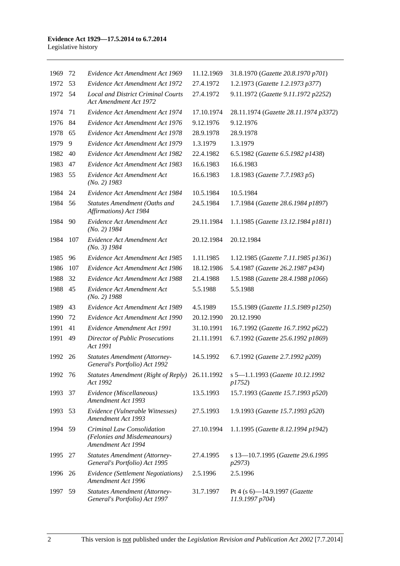| 1969    | 72  | Evidence Act Amendment Act 1969                                                  | 11.12.1969 | 31.8.1970 (Gazette 20.8.1970 p701)                          |
|---------|-----|----------------------------------------------------------------------------------|------------|-------------------------------------------------------------|
| 1972    | 53  | Evidence Act Amendment Act 1972                                                  | 27.4.1972  | 1.2.1973 (Gazette 1.2.1973 p377)                            |
| 1972    | 54  | <b>Local and District Criminal Courts</b><br><b>Act Amendment Act 1972</b>       | 27.4.1972  | 9.11.1972 (Gazette 9.11.1972 p2252)                         |
| 1974    | 71  | Evidence Act Amendment Act 1974                                                  | 17.10.1974 | 28.11.1974 (Gazette 28.11.1974 p3372)                       |
| 1976    | 84  | Evidence Act Amendment Act 1976                                                  | 9.12.1976  | 9.12.1976                                                   |
| 1978    | 65  | Evidence Act Amendment Act 1978                                                  | 28.9.1978  | 28.9.1978                                                   |
| 1979    | 9   | Evidence Act Amendment Act 1979                                                  | 1.3.1979   | 1.3.1979                                                    |
| 1982    | 40  | Evidence Act Amendment Act 1982                                                  | 22.4.1982  | 6.5.1982 (Gazette 6.5.1982 p1438)                           |
| 1983    | 47  | Evidence Act Amendment Act 1983                                                  | 16.6.1983  | 16.6.1983                                                   |
| 1983    | 55  | Evidence Act Amendment Act<br>$(No. 2)$ 1983                                     | 16.6.1983  | 1.8.1983 (Gazette 7.7.1983 p5)                              |
| 1984    | 24  | Evidence Act Amendment Act 1984                                                  | 10.5.1984  | 10.5.1984                                                   |
| 1984    | 56  | Statutes Amendment (Oaths and<br>Affirmations) Act 1984                          | 24.5.1984  | 1.7.1984 (Gazette 28.6.1984 p1897)                          |
| 1984    | 90  | Evidence Act Amendment Act<br>$(No. 2)$ 1984                                     | 29.11.1984 | 1.1.1985 (Gazette 13.12.1984 p1811)                         |
| 1984    | 107 | Evidence Act Amendment Act<br>$(No. 3)$ 1984                                     | 20.12.1984 | 20.12.1984                                                  |
| 1985    | 96  | Evidence Act Amendment Act 1985                                                  | 1.11.1985  | 1.12.1985 (Gazette 7.11.1985 p1361)                         |
| 1986    | 107 | Evidence Act Amendment Act 1986                                                  | 18.12.1986 | 5.4.1987 (Gazette 26.2.1987 p434)                           |
| 1988    | 32  | Evidence Act Amendment Act 1988                                                  | 21.4.1988  | 1.5.1988 (Gazette 28.4.1988 p1066)                          |
| 1988    | 45  | Evidence Act Amendment Act<br>$(No. 2)$ 1988                                     | 5.5.1988   | 5.5.1988                                                    |
| 1989    | 43  | Evidence Act Amendment Act 1989                                                  | 4.5.1989   | 15.5.1989 (Gazette 11.5.1989 p1250)                         |
| 1990    | 72  | Evidence Act Amendment Act 1990                                                  | 20.12.1990 | 20.12.1990                                                  |
| 1991    | 41  | Evidence Amendment Act 1991                                                      | 31.10.1991 | 16.7.1992 (Gazette 16.7.1992 p622)                          |
| 1991    | 49  | <b>Director of Public Prosecutions</b><br>Act 1991                               | 21.11.1991 | 6.7.1992 (Gazette 25.6.1992 p1869)                          |
| 1992    | 26  | <b>Statutes Amendment (Attorney-</b><br>General's Portfolio) Act 1992            | 14.5.1992  | 6.7.1992 (Gazette 2.7.1992 p209)                            |
| 1992 76 |     | <b>Statutes Amendment (Right of Reply)</b><br>Act 1992                           | 26.11.1992 | s 5-1.1.1993 (Gazette 10.12.1992<br><i>p1752</i> )          |
| 1993    | 37  | Evidence (Miscellaneous)<br>Amendment Act 1993                                   | 13.5.1993  | 15.7.1993 (Gazette 15.7.1993 p520)                          |
| 1993    | 53  | Evidence (Vulnerable Witnesses)<br>Amendment Act 1993                            | 27.5.1993  | 1.9.1993 (Gazette 15.7.1993 p520)                           |
| 1994    | 59  | Criminal Law Consolidation<br>(Felonies and Misdemeanours)<br>Amendment Act 1994 | 27.10.1994 | 1.1.1995 (Gazette 8.12.1994 p1942)                          |
| 1995    | 27  | <b>Statutes Amendment (Attorney-</b><br>General's Portfolio) Act 1995            | 27.4.1995  | s 13-10.7.1995 (Gazette 29.6.1995<br><i>p</i> 2973)         |
| 1996    | 26  | Evidence (Settlement Negotiations)<br>Amendment Act 1996                         | 2.5.1996   | 2.5.1996                                                    |
| 1997    | 59  | <b>Statutes Amendment (Attorney-</b><br>General's Portfolio) Act 1997            | 31.7.1997  | Pt 4 (s $6$ )-14.9.1997 ( <i>Gazette</i><br>11.9.1997 p704) |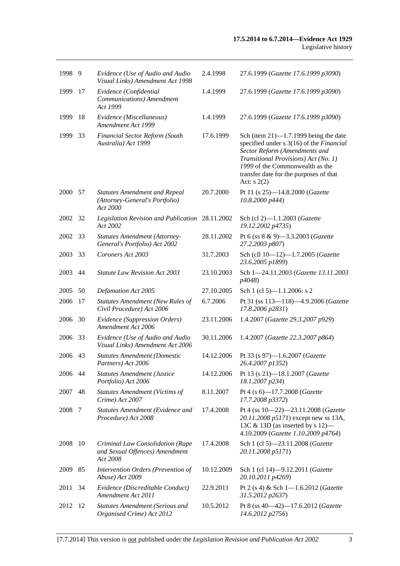| 1998    | - 9 | Evidence (Use of Audio and Audio<br>Visual Links) Amendment Act 1998               | 2.4.1998   | 27.6.1999 (Gazette 17.6.1999 p3090)                                                                                                                                                                                                                       |
|---------|-----|------------------------------------------------------------------------------------|------------|-----------------------------------------------------------------------------------------------------------------------------------------------------------------------------------------------------------------------------------------------------------|
| 1999    | 17  | Evidence (Confidential<br>Communications) Amendment<br>Act 1999                    | 1.4.1999   | 27.6.1999 (Gazette 17.6.1999 p3090)                                                                                                                                                                                                                       |
| 1999    | 18  | Evidence (Miscellaneous)<br>Amendment Act 1999                                     | 1.4.1999   | 27.6.1999 (Gazette 17.6.1999 p3090)                                                                                                                                                                                                                       |
| 1999    | 33  | <b>Financial Sector Reform (South</b><br>Australia) Act 1999                       | 17.6.1999  | Sch (item $21$ )—1.7.1999 being the date<br>specified under s 3(16) of the Financial<br>Sector Reform (Amendments and<br>Transitional Provisions) Act (No. 1)<br>1999 of the Commonwealth as the<br>transfer date for the purposes of that<br>Act: $s(2)$ |
| 2000 57 |     | <b>Statutes Amendment and Repeal</b><br>(Attorney-General's Portfolio)<br>Act 2000 | 20.7.2000  | Pt 11 (s 25)-14.8.2000 (Gazette<br>10.8.2000 p444)                                                                                                                                                                                                        |
| 2002    | 32  | Legislation Revision and Publication 28.11.2002<br>Act 2002                        |            | Sch (cl 2)-1.1.2003 (Gazette<br>19.12.2002 p4735)                                                                                                                                                                                                         |
| 2002    | 33  | <b>Statutes Amendment (Attorney-</b><br>General's Portfolio) Act 2002              | 28.11.2002 | Pt 6 (ss 8 & 9)-3.3.2003 (Gazette<br>27.2.2003 p807)                                                                                                                                                                                                      |
| 2003    | 33  | Coroners Act 2003                                                                  | 31.7.2003  | Sch (cll 10-12)-1.7.2005 (Gazette<br>23.6.2005 p1899)                                                                                                                                                                                                     |
| 2003    | 44  | <b>Statute Law Revision Act 2003</b>                                               | 23.10.2003 | Sch 1-24.11.2003 (Gazette 13.11.2003)<br>p4048)                                                                                                                                                                                                           |
| 2005    | 50  | Defamation Act 2005                                                                | 27.10.2005 | Sch 1 (cl 5)-1.1.2006: s 2                                                                                                                                                                                                                                |
| 2006    | 17  | <b>Statutes Amendment (New Rules of</b><br>Civil Procedure) Act 2006               | 6.7.2006   | Pt 31 (ss 113-118)-4.9.2006 (Gazette<br>17.8.2006 p2831)                                                                                                                                                                                                  |
| 2006    | 30  | Evidence (Suppression Orders)<br>Amendment Act 2006                                | 23.11.2006 | 1.4.2007 (Gazette 29.3.2007 p929)                                                                                                                                                                                                                         |
| 2006    | 33  | Evidence (Use of Audio and Audio<br>Visual Links) Amendment Act 2006               | 30.11.2006 | 1.4.2007 (Gazette 22.3.2007 p864)                                                                                                                                                                                                                         |
| 2006    | 43  | <b>Statutes Amendment (Domestic</b><br>Partners) Act 2006                          | 14.12.2006 | Pt 33 (s 97)-1.6.2007 (Gazette<br>26.4.2007 p1352)                                                                                                                                                                                                        |
| 2006    | 44  | <b>Statutes Amendment (Justice</b><br>Portfolio) Act 2006                          | 14.12.2006 | Pt 13 (s 21)-18.1.2007 (Gazette<br>18.1.2007 p234)                                                                                                                                                                                                        |
| 2007    | 48  | <b>Statutes Amendment (Victims of</b><br>Crime) Act 2007                           | 8.11.2007  | Pt 4 (s 6)-17.7.2008 (Gazette<br>17.7.2008 p3372)                                                                                                                                                                                                         |
| 2008    | 7   | Statutes Amendment (Evidence and<br>Procedure) Act 2008                            | 17.4.2008  | Pt 4 (ss 10-22)-23.11.2008 (Gazette<br>20.11.2008 p5171) except new ss 13A,<br>13C $\&$ 13D (as inserted by s 12)—<br>4.10.2009 (Gazette 1.10.2009 p4764)                                                                                                 |
| 2008    | 10  | Criminal Law Consolidation (Rape<br>and Sexual Offences) Amendment<br>Act 2008     | 17.4.2008  | Sch 1 (cl 5)-23.11.2008 (Gazette<br>20.11.2008 p5171)                                                                                                                                                                                                     |
| 2009    | 85  | Intervention Orders (Prevention of<br>Abuse) Act 2009                              | 10.12.2009 | Sch 1 (cl 14)-9.12.2011 (Gazette<br>20.10.2011 p4269)                                                                                                                                                                                                     |
| 2011    | 34  | Evidence (Discreditable Conduct)<br>Amendment Act 2011                             | 22.9.2011  | Pt 2 (s 4) & Sch 1-1.6.2012 (Gazette<br>31.5.2012 p2637)                                                                                                                                                                                                  |
| 2012    | 12  | <b>Statutes Amendment (Serious and</b><br>Organised Crime) Act 2012                | 10.5.2012  | Pt 8 (ss 40-42)-17.6.2012 (Gazette<br>14.6.2012 p2756)                                                                                                                                                                                                    |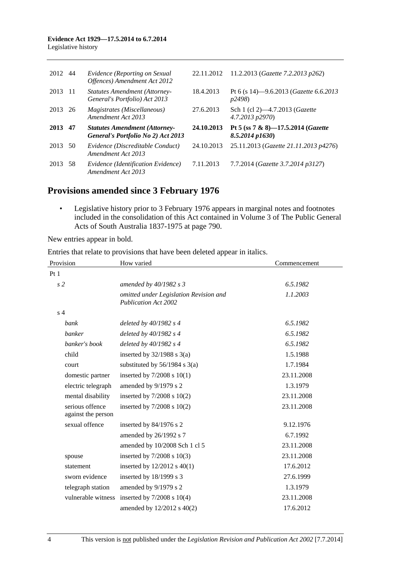| 2012    | -44 | Evidence (Reporting on Sexual<br>Offences) Amendment Act 2012              | 22.11.2012 | 11.2.2013 ( <i>Gazette 7.2.2013 p262</i> )                       |
|---------|-----|----------------------------------------------------------------------------|------------|------------------------------------------------------------------|
| 2013    | -11 | <b>Statutes Amendment (Attorney-</b><br>General's Portfolio) Act 2013      | 18.4.2013  | Pt 6 (s 14)–9.6.2013 ( <i>Gazette 6.6.2013</i><br><i>p</i> 2498) |
| 2013 26 |     | <i>Magistrates (Miscellaneous)</i><br>Amendment Act 2013                   | 27.6.2013  | Sch 1 (cl 2)-4.7.2013 ( <i>Gazette</i><br>4.7.2013 p2970)        |
|         |     |                                                                            |            |                                                                  |
| 2013    | 47  | <b>Statutes Amendment (Attorney-</b><br>General's Portfolio No 2) Act 2013 | 24.10.2013 | Pt 5 (ss 7 & 8)-17.5.2014 (Gazette<br>$8.5.2014$ p $1630$ )      |
| 2013    | 50  | Evidence (Discreditable Conduct)<br>Amendment Act 2013                     | 24.10.2013 | 25.11.2013 (Gazette 21.11.2013 p4276)                            |

# **Provisions amended since 3 February 1976**

 • Legislative history prior to 3 February 1976 appears in marginal notes and footnotes included in the consolidation of this Act contained in Volume 3 of The Public General Acts of South Australia 1837-1975 at page 790.

New entries appear in bold.

Entries that relate to provisions that have been deleted appear in italics.

| Provision                             | How varied                                                            | Commencement |
|---------------------------------------|-----------------------------------------------------------------------|--------------|
| Pt 1                                  |                                                                       |              |
| s <sub>2</sub>                        | amended by 40/1982 s 3                                                | 6.5.1982     |
|                                       | omitted under Legislation Revision and<br><b>Publication Act 2002</b> | 1.1.2003     |
| s <sub>4</sub>                        |                                                                       |              |
| bank                                  | deleted by $40/1982$ s 4                                              | 6.5.1982     |
| banker                                | deleted by $40/1982$ s 4                                              | 6.5.1982     |
| banker's book                         | deleted by $40/1982$ s 4                                              | 6.5.1982     |
| child                                 | inserted by $32/1988$ s $3(a)$                                        | 1.5.1988     |
| court                                 | substituted by $56/1984$ s $3(a)$                                     | 1.7.1984     |
| domestic partner                      | inserted by $7/2008$ s $10(1)$                                        | 23.11.2008   |
| electric telegraph                    | amended by 9/1979 s 2                                                 | 1.3.1979     |
| mental disability                     | inserted by $7/2008$ s $10(2)$                                        | 23.11.2008   |
| serious offence<br>against the person | inserted by $7/2008$ s $10(2)$                                        | 23.11.2008   |
| sexual offence                        | inserted by $84/1976$ s 2                                             | 9.12.1976    |
|                                       | amended by 26/1992 s 7                                                | 6.7.1992     |
|                                       | amended by 10/2008 Sch 1 cl 5                                         | 23.11.2008   |
| spouse                                | inserted by $7/2008$ s $10(3)$                                        | 23.11.2008   |
| statement                             | inserted by $12/2012$ s $40(1)$                                       | 17.6.2012    |
| sworn evidence                        | inserted by 18/1999 s 3                                               | 27.6.1999    |
| telegraph station                     | amended by 9/1979 s 2                                                 | 1.3.1979     |
| vulnerable witness                    | inserted by $7/2008$ s $10(4)$                                        | 23.11.2008   |
|                                       | amended by 12/2012 s 40(2)                                            | 17.6.2012    |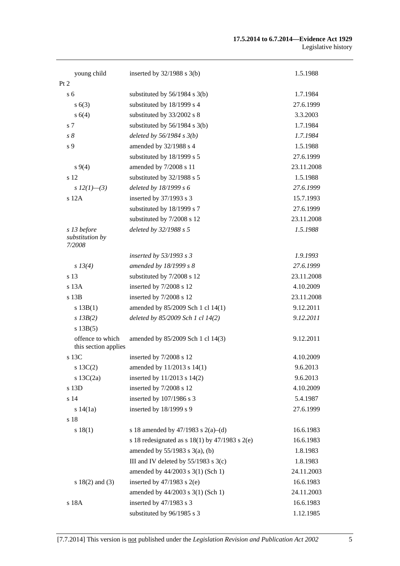#### **17.5.2014 to 6.7.2014—Evidence Act 1929**  Legislative history

| young child                              | inserted by $32/1988$ s $3(b)$                       | 1.5.1988   |
|------------------------------------------|------------------------------------------------------|------------|
| Pt 2                                     |                                                      |            |
| s <sub>6</sub>                           | substituted by $56/1984$ s $3(b)$                    | 1.7.1984   |
| s(6(3))                                  | substituted by 18/1999 s 4                           | 27.6.1999  |
| s 6(4)                                   | substituted by 33/2002 s 8                           | 3.3.2003   |
| s 7                                      | substituted by $56/1984$ s $3(b)$                    | 1.7.1984   |
| $s\,8$                                   | deleted by $56/1984 s 3(b)$                          | 1.7.1984   |
| s 9                                      | amended by 32/1988 s 4                               | 1.5.1988   |
|                                          | substituted by 18/1999 s 5                           | 27.6.1999  |
| $s\,9(4)$                                | amended by 7/2008 s 11                               | 23.11.2008 |
| s 12                                     | substituted by 32/1988 s 5                           | 1.5.1988   |
| s $12(1)$ —(3)                           | deleted by $18/1999 s 6$                             | 27.6.1999  |
| s 12A                                    | inserted by 37/1993 s 3                              | 15.7.1993  |
|                                          | substituted by 18/1999 s 7                           | 27.6.1999  |
|                                          | substituted by 7/2008 s 12                           | 23.11.2008 |
| s 13 before<br>substitution by<br>7/2008 | deleted by 32/1988 s 5                               | 1.5.1988   |
|                                          | inserted by 53/1993 s 3                              | 1.9.1993   |
| $s\,13(4)$                               | amended by 18/1999 s 8                               | 27.6.1999  |
| s 13                                     | substituted by 7/2008 s 12                           | 23.11.2008 |
| s 13A                                    | inserted by 7/2008 s 12                              | 4.10.2009  |
| s 13B                                    | inserted by 7/2008 s 12                              | 23.11.2008 |
| s 13B(1)                                 | amended by 85/2009 Sch 1 cl 14(1)                    | 9.12.2011  |
| $s$ 13B(2)                               | deleted by 85/2009 Sch 1 cl 14(2)                    | 9.12.2011  |
| s 13B(5)                                 |                                                      |            |
| offence to which<br>this section applies | amended by 85/2009 Sch 1 cl 14(3)                    | 9.12.2011  |
| s 13C                                    | inserted by 7/2008 s 12                              | 4.10.2009  |
| $s$ 13C(2)                               | amended by 11/2013 s 14(1)                           | 9.6.2013   |
| s $13C(2a)$                              | inserted by $11/2013$ s $14(2)$                      | 9.6.2013   |
| s 13D                                    | inserted by 7/2008 s 12                              | 4.10.2009  |
| s 14                                     | inserted by 107/1986 s 3                             | 5.4.1987   |
| s 14(1a)                                 | inserted by 18/1999 s 9                              | 27.6.1999  |
| s 18                                     |                                                      |            |
| s 18(1)                                  | s 18 amended by 47/1983 s 2(a)–(d)                   | 16.6.1983  |
|                                          | s 18 redesignated as s $18(1)$ by $47/1983$ s $2(e)$ | 16.6.1983  |
|                                          | amended by $55/1983$ s $3(a)$ , (b)                  | 1.8.1983   |
|                                          | III and IV deleted by $55/1983$ s $3(c)$             | 1.8.1983   |
|                                          | amended by 44/2003 s 3(1) (Sch 1)                    | 24.11.2003 |
| s $18(2)$ and $(3)$                      | inserted by $47/1983$ s $2(e)$                       | 16.6.1983  |
|                                          | amended by 44/2003 s 3(1) (Sch 1)                    | 24.11.2003 |
| s 18A                                    | inserted by 47/1983 s 3                              | 16.6.1983  |
|                                          | substituted by 96/1985 s 3                           | 1.12.1985  |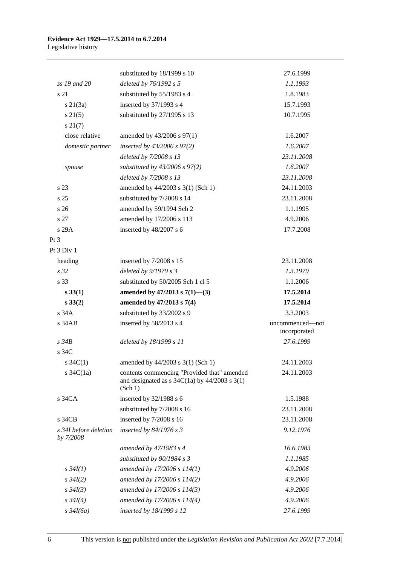#### **Evidence Act 1929—17.5.2014 to 6.7.2014**  Legislative history

|                                    | substituted by 18/1999 s 10                                                                                                              | 27.6.1999                       |
|------------------------------------|------------------------------------------------------------------------------------------------------------------------------------------|---------------------------------|
| ss 19 and 20                       | deleted by 76/1992 s 5                                                                                                                   | 1.1.1993                        |
| s 21                               | substituted by 55/1983 s 4                                                                                                               | 1.8.1983                        |
| $s \, 21(3a)$                      | inserted by 37/1993 s 4                                                                                                                  | 15.7.1993                       |
| $s \, 21(5)$                       | substituted by 27/1995 s 13                                                                                                              | 10.7.1995                       |
| $s\,21(7)$                         |                                                                                                                                          |                                 |
| close relative                     | amended by $43/2006$ s $97(1)$                                                                                                           | 1.6.2007                        |
| domestic partner                   | inserted by $43/2006$ s $97(2)$                                                                                                          | 1.6.2007                        |
|                                    | deleted by 7/2008 s 13                                                                                                                   | 23.11.2008                      |
| spouse                             | substituted by $43/2006$ s $97(2)$                                                                                                       | 1.6.2007                        |
|                                    | deleted by 7/2008 s 13                                                                                                                   | 23.11.2008                      |
| s 23                               | amended by 44/2003 s 3(1) (Sch 1)                                                                                                        | 24.11.2003                      |
| s <sub>25</sub>                    | substituted by 7/2008 s 14                                                                                                               | 23.11.2008                      |
| s <sub>26</sub>                    | amended by 59/1994 Sch 2                                                                                                                 | 1.1.1995                        |
| s 27                               | amended by 17/2006 s 113                                                                                                                 | 4.9.2006                        |
| s 29A                              | inserted by 48/2007 s 6                                                                                                                  | 17.7.2008                       |
| $Pt\,3$                            |                                                                                                                                          |                                 |
| Pt 3 Div 1                         |                                                                                                                                          |                                 |
| heading                            | inserted by 7/2008 s 15                                                                                                                  | 23.11.2008                      |
| s <sub>32</sub>                    | deleted by 9/1979 s 3                                                                                                                    | 1.3.1979                        |
| s 33                               | substituted by 50/2005 Sch 1 cl 5                                                                                                        | 1.1.2006                        |
| $s\,33(1)$                         | amended by $47/2013$ s $7(1)$ —(3)                                                                                                       | 17.5.2014                       |
| $s\,33(2)$                         | amended by 47/2013 s 7(4)                                                                                                                | 17.5.2014                       |
| s34A                               | substituted by 33/2002 s 9                                                                                                               | 3.3.2003                        |
|                                    |                                                                                                                                          |                                 |
| $s$ 34 $AB$                        | inserted by 58/2013 s 4                                                                                                                  | uncommenced-not<br>incorporated |
| $s \overline{34B}$                 | deleted by 18/1999 s 11                                                                                                                  | 27.6.1999                       |
| s 34C                              |                                                                                                                                          |                                 |
| s $34C(1)$                         | amended by 44/2003 s 3(1) (Sch 1)                                                                                                        | 24.11.2003                      |
| s $34C(1a)$                        | contents commencing "Provided that" amended<br>and designated as $s \frac{34C(1a)}{y} \frac{44}{2003} \frac{s \cdot 3(1)}{y}$<br>(Sch 1) | 24.11.2003                      |
| s 34CA                             | inserted by 32/1988 s 6                                                                                                                  | 1.5.1988                        |
|                                    | substituted by 7/2008 s 16                                                                                                               | 23.11.2008                      |
| s 34CB                             | inserted by 7/2008 s 16                                                                                                                  | 23.11.2008                      |
| s 34I before deletion<br>by 7/2008 | inserted by $84/1976$ s 3                                                                                                                | 9.12.1976                       |
|                                    | amended by 47/1983 s 4                                                                                                                   | 16.6.1983                       |
|                                    | substituted by 90/1984 s 3                                                                                                               | 1.1.1985                        |
| $s \, 34I(1)$                      | amended by 17/2006 s 114(1)                                                                                                              | 4.9.2006                        |
| $s \frac{34I(2)}{2}$               | amended by 17/2006 s 114(2)                                                                                                              | 4.9.2006                        |
| $s \, 34I(3)$                      | amended by 17/2006 s 114(3)                                                                                                              | 4.9.2006                        |
| $s \, 34I(4)$                      | amended by 17/2006 s 114(4)                                                                                                              | 4.9.2006                        |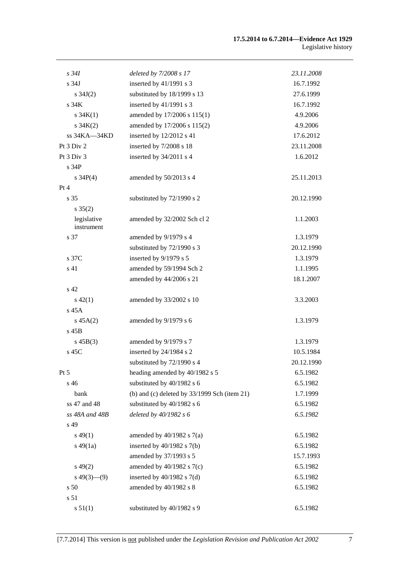#### **17.5.2014 to 6.7.2014—Evidence Act 1929**  Legislative history

| $s\,34I$                  | deleted by 7/2008 s 17                         | 23.11.2008 |
|---------------------------|------------------------------------------------|------------|
| s 34J                     | inserted by 41/1991 s 3                        | 16.7.1992  |
| s $34J(2)$                | substituted by 18/1999 s 13                    | 27.6.1999  |
| s 34K                     | inserted by 41/1991 s 3                        | 16.7.1992  |
| $s \, 34K(1)$             | amended by 17/2006 s 115(1)                    | 4.9.2006   |
| $s \, 34K(2)$             | amended by 17/2006 s 115(2)                    | 4.9.2006   |
| ss 34KA-34KD              | inserted by 12/2012 s 41                       | 17.6.2012  |
| Pt 3 Div 2                | inserted by 7/2008 s 18                        | 23.11.2008 |
| Pt 3 Div 3                | inserted by 34/2011 s 4                        | 1.6.2012   |
| s 34P                     |                                                |            |
| s $34P(4)$                | amended by 50/2013 s 4                         | 25.11.2013 |
| Pt 4                      |                                                |            |
| s <sub>35</sub>           | substituted by 72/1990 s 2                     | 20.12.1990 |
| $s \, 35(2)$              |                                                |            |
| legislative<br>instrument | amended by 32/2002 Sch cl 2                    | 1.1.2003   |
| s 37                      | amended by 9/1979 s 4                          | 1.3.1979   |
|                           | substituted by 72/1990 s 3                     | 20.12.1990 |
| s 37C                     | inserted by 9/1979 s 5                         | 1.3.1979   |
| s 41                      | amended by 59/1994 Sch 2                       | 1.1.1995   |
|                           | amended by 44/2006 s 21                        | 18.1.2007  |
| s 42                      |                                                |            |
| $s\ 42(1)$                | amended by 33/2002 s 10                        | 3.3.2003   |
| s 45A                     |                                                |            |
| $s\,45A(2)$               | amended by 9/1979 s 6                          | 1.3.1979   |
| s 45B                     |                                                |            |
| $s\,45B(3)$               | amended by 9/1979 s 7                          | 1.3.1979   |
| s 45C                     | inserted by 24/1984 s 2                        | 10.5.1984  |
|                           | substituted by 72/1990 s 4                     | 20.12.1990 |
| Pt 5                      | heading amended by 40/1982 s 5                 | 6.5.1982   |
| s 46                      | substituted by 40/1982 s 6                     | 6.5.1982   |
| bank                      | (b) and (c) deleted by $33/1999$ Sch (item 21) | 1.7.1999   |
| ss 47 and 48              | substituted by 40/1982 s 6                     | 6.5.1982   |
| ss 48A and 48B            | deleted by 40/1982 s 6                         | 6.5.1982   |
| s 49                      |                                                |            |
| $s\,49(1)$                | amended by $40/1982$ s $7(a)$                  | 6.5.1982   |
| $s\,49(1a)$               | inserted by $40/1982$ s $7(b)$                 | 6.5.1982   |
|                           | amended by 37/1993 s 5                         | 15.7.1993  |
| $s\,49(2)$                | amended by $40/1982$ s $7(c)$                  | 6.5.1982   |
| $s\,49(3)$ —(9)           | inserted by $40/1982$ s $7(d)$                 | 6.5.1982   |
| s 50                      | amended by 40/1982 s 8                         | 6.5.1982   |
| s 51                      |                                                |            |
| s 51(1)                   | substituted by 40/1982 s 9                     | 6.5.1982   |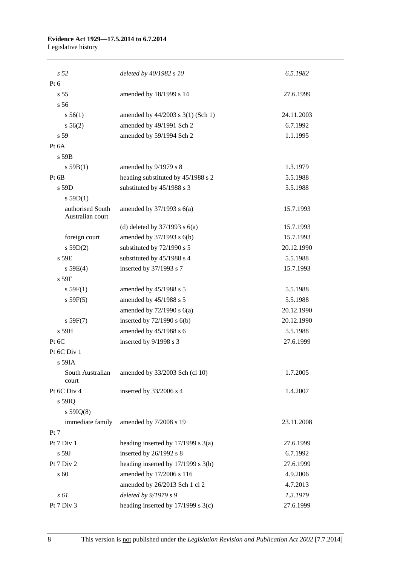## **Evidence Act 1929—17.5.2014 to 6.7.2014**

Legislative history

| s <sub>52</sub>                      | deleted by 40/1982 s 10                | 6.5.1982   |
|--------------------------------------|----------------------------------------|------------|
| Pt $6$                               |                                        |            |
| s <sub>55</sub>                      | amended by 18/1999 s 14                | 27.6.1999  |
| s 56                                 |                                        |            |
| s 56(1)                              | amended by 44/2003 s 3(1) (Sch 1)      | 24.11.2003 |
| $s\,56(2)$                           | amended by 49/1991 Sch 2               | 6.7.1992   |
| s 59                                 | amended by 59/1994 Sch 2               | 1.1.1995   |
| Pt 6A                                |                                        |            |
| $s$ 59 $B$                           |                                        |            |
| s 59B(1)                             | amended by 9/1979 s 8                  | 1.3.1979   |
| Pt 6B                                | heading substituted by 45/1988 s 2     | 5.5.1988   |
| $s$ 59D                              | substituted by 45/1988 s 3             | 5.5.1988   |
| s 59D(1)                             |                                        |            |
| authorised South<br>Australian court | amended by $37/1993$ s $6(a)$          | 15.7.1993  |
|                                      | (d) deleted by $37/1993$ s $6(a)$      | 15.7.1993  |
| foreign court                        | amended by 37/1993 s 6(b)              | 15.7.1993  |
| s 59D(2)                             | substituted by 72/1990 s 5             | 20.12.1990 |
| $s$ 59 $E$                           | substituted by 45/1988 s 4             | 5.5.1988   |
| s 59E(4)                             | inserted by 37/1993 s 7                | 15.7.1993  |
| s 59F                                |                                        |            |
| $s$ 59 $F(1)$                        | amended by 45/1988 s 5                 | 5.5.1988   |
| s 59F(5)                             | amended by 45/1988 s 5                 | 5.5.1988   |
|                                      | amended by $72/1990$ s $6(a)$          | 20.12.1990 |
| s 59F(7)                             | inserted by 72/1990 s 6(b)             | 20.12.1990 |
| s 59H                                | amended by 45/1988 s 6                 | 5.5.1988   |
| Pt 6C                                | inserted by 9/1998 s 3                 | 27.6.1999  |
| Pt 6C Div 1                          |                                        |            |
| s 59IA                               |                                        |            |
| South Australian<br>court            | amended by 33/2003 Sch (cl 10)         | 1.7.2005   |
| Pt 6C Div 4                          | inserted by 33/2006 s 4                | 1.4.2007   |
| s 59IQ                               |                                        |            |
| s $59IQ(8)$                          |                                        |            |
| immediate family                     | amended by 7/2008 s 19                 | 23.11.2008 |
| Pt 7                                 |                                        |            |
| Pt 7 Div 1                           | heading inserted by $17/1999$ s $3(a)$ | 27.6.1999  |
| s 59J                                | inserted by 26/1992 s 8                | 6.7.1992   |
| Pt 7 Div 2                           | heading inserted by 17/1999 s 3(b)     | 27.6.1999  |
| s 60                                 | amended by 17/2006 s 116               | 4.9.2006   |
|                                      | amended by 26/2013 Sch 1 cl 2          | 4.7.2013   |
| s 61                                 | deleted by 9/1979 s 9                  | 1.3.1979   |
| Pt 7 Div 3                           | heading inserted by $17/1999$ s $3(c)$ | 27.6.1999  |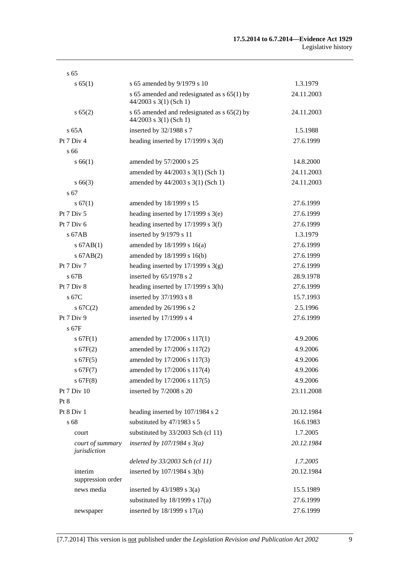#### **17.5.2014 to 6.7.2014—Evidence Act 1929**  Legislative history

| s <sub>65</sub>                  |                                                                           |            |
|----------------------------------|---------------------------------------------------------------------------|------------|
| s 65(1)                          | s 65 amended by 9/1979 s 10                                               | 1.3.1979   |
|                                  | s 65 amended and redesignated as $s$ 65(1) by<br>$44/2003$ s 3(1) (Sch 1) | 24.11.2003 |
| s 65(2)                          | s 65 amended and redesignated as $s$ 65(2) by<br>$44/2003$ s 3(1) (Sch 1) | 24.11.2003 |
| $s$ 65A                          | inserted by 32/1988 s 7                                                   | 1.5.1988   |
| Pt 7 Div 4                       | heading inserted by $17/1999$ s $3(d)$                                    | 27.6.1999  |
| s 66                             |                                                                           |            |
| s 66(1)                          | amended by 57/2000 s 25                                                   | 14.8.2000  |
|                                  | amended by 44/2003 s 3(1) (Sch 1)                                         | 24.11.2003 |
| $s\,66(3)$                       | amended by 44/2003 s 3(1) (Sch 1)                                         | 24.11.2003 |
| s 67                             |                                                                           |            |
| s 67(1)                          | amended by 18/1999 s 15                                                   | 27.6.1999  |
| Pt 7 Div 5                       | heading inserted by $17/1999$ s $3(e)$                                    | 27.6.1999  |
| Pt $7$ Div $6$                   | heading inserted by $17/1999$ s 3(f)                                      | 27.6.1999  |
| $s$ 67AB                         | inserted by 9/1979 s 11                                                   | 1.3.1979   |
| $s$ 67AB $(1)$                   | amended by 18/1999 s 16(a)                                                | 27.6.1999  |
| $s$ 67AB $(2)$                   | amended by 18/1999 s 16(b)                                                | 27.6.1999  |
| Pt 7 Div 7                       | heading inserted by $17/1999$ s 3(g)                                      | 27.6.1999  |
| $s$ 67B                          | inserted by $65/1978$ s 2                                                 | 28.9.1978  |
| Pt 7 Div 8                       | heading inserted by $17/1999$ s $3(h)$                                    | 27.6.1999  |
| s 67C                            | inserted by $37/1993$ s 8                                                 | 15.7.1993  |
| $s \, 67C(2)$                    | amended by 26/1996 s 2                                                    | 2.5.1996   |
| Pt 7 Div 9                       | inserted by $17/1999$ s 4                                                 | 27.6.1999  |
| s 67F                            |                                                                           |            |
| s 67F(1)                         | amended by 17/2006 s 117(1)                                               | 4.9.2006   |
| s 67F(2)                         | amended by 17/2006 s 117(2)                                               | 4.9.2006   |
| $s$ 67F(5)                       | amended by 17/2006 s 117(3)                                               | 4.9.2006   |
| s67F(7)                          | amended by 17/2006 s 117(4)                                               | 4.9.2006   |
| $s$ 67F(8)                       | amended by 17/2006 s 117(5)                                               | 4.9.2006   |
| Pt 7 Div 10                      | inserted by 7/2008 s 20                                                   | 23.11.2008 |
| Pt 8                             |                                                                           |            |
| Pt 8 Div 1                       | heading inserted by 107/1984 s 2                                          | 20.12.1984 |
| s 68                             | substituted by 47/1983 s 5                                                | 16.6.1983  |
| court                            | substituted by 33/2003 Sch (cl 11)                                        | 1.7.2005   |
| court of summary<br>jurisdiction | inserted by $107/1984$ s $3(a)$                                           | 20.12.1984 |
|                                  | deleted by 33/2003 Sch (cl 11)                                            | 1.7.2005   |
| interim<br>suppression order     | inserted by $107/1984$ s $3(b)$                                           | 20.12.1984 |
| news media                       | inserted by $43/1989$ s $3(a)$                                            | 15.5.1989  |
|                                  | substituted by $18/1999$ s $17(a)$                                        | 27.6.1999  |
| newspaper                        | inserted by 18/1999 s 17(a)                                               | 27.6.1999  |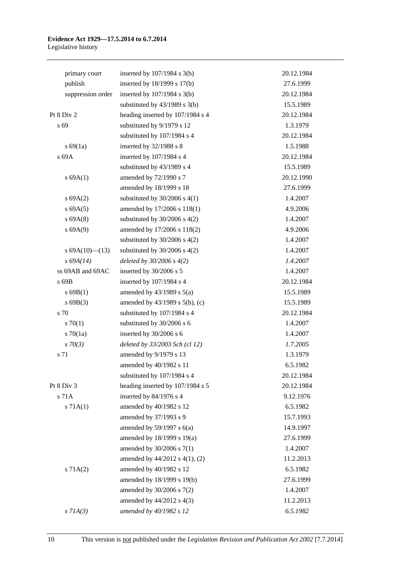### **Evidence Act 1929—17.5.2014 to 6.7.2014**  Legislative history

| primary court     | inserted by $107/1984$ s $3(b)$     | 20.12.1984 |
|-------------------|-------------------------------------|------------|
| publish           | inserted by 18/1999 s 17(b)         | 27.6.1999  |
| suppression order | inserted by $107/1984$ s $3(b)$     | 20.12.1984 |
|                   | substituted by $43/1989$ s $3(b)$   | 15.5.1989  |
| Pt 8 Div 2        | heading inserted by 107/1984 s 4    | 20.12.1984 |
| s 69              | substituted by 9/1979 s 12          | 1.3.1979   |
|                   | substituted by 107/1984 s 4         | 20.12.1984 |
| s 69(1a)          | inserted by 32/1988 s 8             | 1.5.1988   |
| s 69A             | inserted by 107/1984 s 4            | 20.12.1984 |
|                   | substituted by 43/1989 s 4          | 15.5.1989  |
| s 69A(1)          | amended by 72/1990 s 7              | 20.12.1990 |
|                   | amended by 18/1999 s 18             | 27.6.1999  |
| s 69A(2)          | substituted by $30/2006$ s $4(1)$   | 1.4.2007   |
| s 69A(5)          | amended by 17/2006 s 118(1)         | 4.9.2006   |
| $s$ 69A $(8)$     | substituted by $30/2006$ s $4(2)$   | 1.4.2007   |
| s 69A(9)          | amended by 17/2006 s 118(2)         | 4.9.2006   |
|                   | substituted by $30/2006$ s $4(2)$   | 1.4.2007   |
| s $69A(10)$ (13)  | substituted by $30/2006$ s $4(2)$   | 1.4.2007   |
| $s\,69A(14)$      | deleted by $30/2006 s 4(2)$         | 1.4.2007   |
| ss 69AB and 69AC  | inserted by 30/2006 s 5             | 1.4.2007   |
| s 69B             | inserted by 107/1984 s 4            | 20.12.1984 |
| $s$ 69B(1)        | amended by $43/1989$ s $5(a)$       | 15.5.1989  |
| s69B(3)           | amended by $43/1989$ s $5(b)$ , (c) | 15.5.1989  |
| s 70              | substituted by 107/1984 s 4         | 20.12.1984 |
| 570(1)            | substituted by 30/2006 s 6          | 1.4.2007   |
| $s \, 70(1a)$     | inserted by 30/2006 s 6             | 1.4.2007   |
| $s \, 70(3)$      | deleted by 33/2003 Sch (cl 12)      | 1.7.2005   |
| s 71              | amended by 9/1979 s 13              | 1.3.1979   |
|                   | amended by 40/1982 s 11             | 6.5.1982   |
|                   | substituted by 107/1984 s 4         | 20.12.1984 |
| Pt 8 Div 3        | heading inserted by 107/1984 s 5    | 20.12.1984 |
| s 71A             | inserted by 84/1976 s 4             | 9.12.1976  |
| s 71A(1)          | amended by 40/1982 s 12             | 6.5.1982   |
|                   | amended by 37/1993 s 9              | 15.7.1993  |
|                   | amended by $59/1997$ s $6(a)$       | 14.9.1997  |
|                   | amended by 18/1999 s 19(a)          | 27.6.1999  |
|                   | amended by $30/2006$ s $7(1)$       | 1.4.2007   |
|                   | amended by 44/2012 s 4(1), (2)      | 11.2.2013  |
| s 71A(2)          | amended by 40/1982 s 12             | 6.5.1982   |
|                   | amended by 18/1999 s 19(b)          | 27.6.1999  |
|                   | amended by 30/2006 s 7(2)           | 1.4.2007   |
|                   | amended by 44/2012 s 4(3)           | 11.2.2013  |
| $s$ 71A(3)        | amended by 40/1982 s 12             | 6.5.1982   |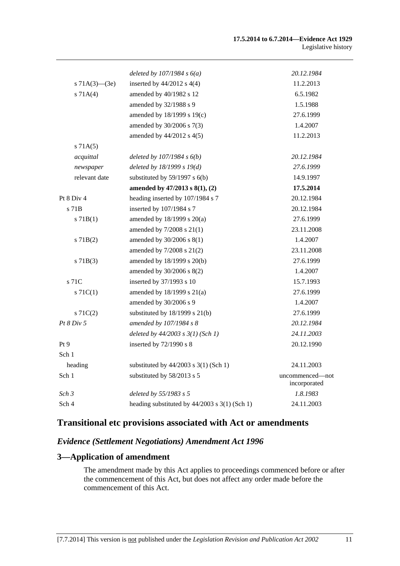|                     | deleted by $107/1984 s 6(a)$                    | 20.12.1984                      |
|---------------------|-------------------------------------------------|---------------------------------|
| s $71A(3)$ — $(3e)$ | inserted by $44/2012$ s $4(4)$                  | 11.2.2013                       |
| s 71A(4)            | amended by 40/1982 s 12                         | 6.5.1982                        |
|                     | amended by 32/1988 s 9                          | 1.5.1988                        |
|                     | amended by $18/1999$ s $19(c)$                  | 27.6.1999                       |
|                     | amended by 30/2006 s 7(3)                       | 1.4.2007                        |
|                     | amended by 44/2012 s 4(5)                       | 11.2.2013                       |
| s 71A(5)            |                                                 |                                 |
| acquittal           | deleted by $107/1984 s 6(b)$                    | 20.12.1984                      |
| newspaper           | deleted by $18/1999 s 19(d)$                    | 27.6.1999                       |
| relevant date       | substituted by $59/1997$ s $6(b)$               | 14.9.1997                       |
|                     | amended by $47/2013$ s $8(1)$ , (2)             | 17.5.2014                       |
| Pt 8 Div 4          | heading inserted by 107/1984 s 7                | 20.12.1984                      |
| s 71B               | inserted by 107/1984 s 7                        | 20.12.1984                      |
| $s$ 71B(1)          | amended by 18/1999 s 20(a)                      | 27.6.1999                       |
|                     | amended by 7/2008 s 21(1)                       | 23.11.2008                      |
| $s$ 71 $B(2)$       | amended by 30/2006 s 8(1)                       | 1.4.2007                        |
|                     | amended by $7/2008$ s $21(2)$                   | 23.11.2008                      |
| $s$ 71B(3)          | amended by $18/1999$ s $20(b)$                  | 27.6.1999                       |
|                     | amended by 30/2006 s 8(2)                       | 1.4.2007                        |
| s 71C               | inserted by 37/1993 s 10                        | 15.7.1993                       |
| $s \, 71C(1)$       | amended by 18/1999 s 21(a)                      | 27.6.1999                       |
|                     | amended by 30/2006 s 9                          | 1.4.2007                        |
| $s \, 71C(2)$       | substituted by $18/1999$ s $21(b)$              | 27.6.1999                       |
| Pt 8 Div 5          | amended by 107/1984 s 8                         | 20.12.1984                      |
|                     | deleted by $44/2003$ s $3(1)$ (Sch 1)           | 24.11.2003                      |
| Pt 9                | inserted by 72/1990 s 8                         | 20.12.1990                      |
| Sch 1               |                                                 |                                 |
| heading             | substituted by $44/2003$ s 3(1) (Sch 1)         | 24.11.2003                      |
| Sch 1               | substituted by 58/2013 s 5                      | uncommenced—not<br>incorporated |
| Sch <sub>3</sub>    | deleted by 55/1983 s 5                          | 1.8.1983                        |
| Sch 4               | heading substituted by $44/2003$ s 3(1) (Sch 1) | 24.11.2003                      |

# **Transitional etc provisions associated with Act or amendments**

## *Evidence (Settlement Negotiations) Amendment Act 1996*

# **3—Application of amendment**

The amendment made by this Act applies to proceedings commenced before or after the commencement of this Act, but does not affect any order made before the commencement of this Act.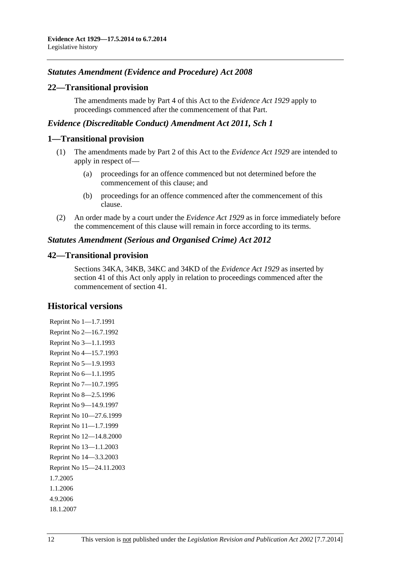## *Statutes Amendment (Evidence and Procedure) Act 2008*

### **22—Transitional provision**

The amendments made by [Part 4](#page-0-0) of this Act to the *[Evidence Act 1929](http://www.legislation.sa.gov.au/index.aspx?action=legref&type=act&legtitle=Evidence%20Act%201929)* apply to proceedings commenced after the commencement of that Part.

### *Evidence (Discreditable Conduct) Amendment Act 2011, Sch 1*

### **1—Transitional provision**

- (1) The amendments made by [Part 2](#page-0-0) of this Act to the *[Evidence Act 1929](http://www.legislation.sa.gov.au/index.aspx?action=legref&type=act&legtitle=Evidence%20Act%201929)* are intended to apply in respect of—
	- (a) proceedings for an offence commenced but not determined before the commencement of this clause; and
	- (b) proceedings for an offence commenced after the commencement of this clause.
- (2) An order made by a court under the *[Evidence Act 1929](http://www.legislation.sa.gov.au/index.aspx?action=legref&type=act&legtitle=Evidence%20Act%201929)* as in force immediately before the commencement of this clause will remain in force according to its terms.

### *Statutes Amendment (Serious and Organised Crime) Act 2012*

### **42—Transitional provision**

Sections 34KA, 34KB, 34KC and 34KD of the *[Evidence Act 1929](http://www.legislation.sa.gov.au/index.aspx?action=legref&type=act&legtitle=Evidence%20Act%201929)* as inserted by [section 41](#page-0-0) of this Act only apply in relation to proceedings commenced after the commencement of [section 41.](#page-0-0)

### **Historical versions**

Reprint No 1—1.7.1991 Reprint No 2—16.7.1992 Reprint No 3—1.1.1993 Reprint No 4—15.7.1993 Reprint No 5—1.9.1993 Reprint No 6—1.1.1995 Reprint No 7—10.7.1995 Reprint No 8—2.5.1996 Reprint No 9—14.9.1997 Reprint No 10—27.6.1999 Reprint No 11—1.7.1999 Reprint No 12—14.8.2000 Reprint No 13—1.1.2003 Reprint No 14—3.3.2003 Reprint No 15—24.11.2003 1.7.2005 1.1.2006 4.9.2006 18.1.2007